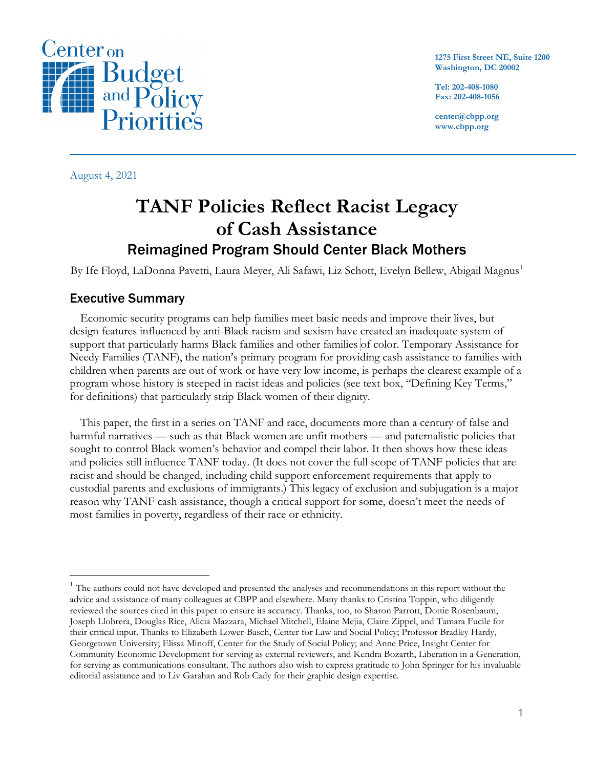

**1275 First Street NE, Suite 1200 Washington, DC 20002**

**Tel: 202-408-1080 Fax: 202-408-1056**

**center@cbpp.org www.cbpp.org**

August 4, 2021

# **TANF Policies Reflect Racist Legacy of Cash Assistance** Reimagined Program Should Center Black Mothers

By Ife Floyd, LaDonna Pavetti, Laura Meyer, Ali Safawi, Liz Schott, Evelyn Bellew, Abigail Magnus<sup>[1](#page-0-0)</sup>

## Executive Summary

Economic security programs can help families meet basic needs and improve their lives, but design features influenced by anti-Black racism and sexism have created an inadequate system of support that particularly harms Black families and other families of color. Temporary Assistance for Needy Families (TANF), the nation's primary program for providing cash assistance to families with children when parents are out of work or have very low income, is perhaps the clearest example of a program whose history is steeped in racist ideas and policies (see text box, "Defining Key Terms," for definitions) that particularly strip Black women of their dignity.

This paper, the first in a series on TANF and race, documents more than a century of false and harmful narratives — such as that Black women are unfit mothers — and paternalistic policies that sought to control Black women's behavior and compel their labor. It then shows how these ideas and policies still influence TANF today. (It does not cover the full scope of TANF policies that are racist and should be changed, including child support enforcement requirements that apply to custodial parents and exclusions of immigrants.) This legacy of exclusion and subjugation is a major reason why TANF cash assistance, though a critical support for some, doesn't meet the needs of most families in poverty, regardless of their race or ethnicity.

<span id="page-0-0"></span><sup>&</sup>lt;sup>1</sup> The authors could not have developed and presented the analyses and recommendations in this report without the advice and assistance of many colleagues at CBPP and elsewhere. Many thanks to Cristina Toppin, who diligently reviewed the sources cited in this paper to ensure its accuracy. Thanks, too, to Sharon Parrott, Dottie Rosenbaum, Joseph Llobrera, Douglas Rice, Alicia Mazzara, Michael Mitchell, Elaine Mejia, Claire Zippel, and Tamara Fucile for their critical input. Thanks to Elizabeth Lower-Basch, Center for Law and Social Policy; Professor Bradley Hardy, Georgetown University; Elissa Minoff, Center for the Study of Social Policy; and Anne Price, Insight Center for Community Economic Development for serving as external reviewers, and Kendra Bozarth, Liberation in a Generation, for serving as communications consultant. The authors also wish to express gratitude to John Springer for his invaluable editorial assistance and to Liv Garahan and Rob Cady for their graphic design expertise.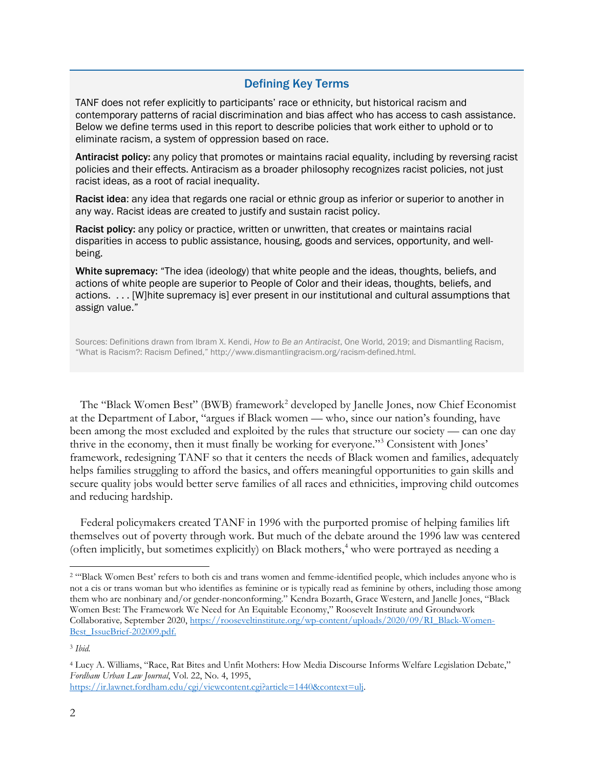## Defining Key Terms

TANF does not refer explicitly to participants' race or ethnicity, but historical racism and contemporary patterns of racial discrimination and bias affect who has access to cash assistance. Below we define terms used in this report to describe policies that work either to uphold or to eliminate racism, a system of oppression based on race.

Antiracist policy: any policy that promotes or maintains racial equality, including by reversing racist policies and their effects. Antiracism as a broader philosophy recognizes racist policies, not just racist ideas, as a root of racial inequality.

Racist idea: any idea that regards one racial or ethnic group as inferior or superior to another in any way. Racist ideas are created to justify and sustain racist policy.

Racist policy: any policy or practice, written or unwritten, that creates or maintains racial disparities in access to public assistance, housing, goods and services, opportunity, and wellbeing.

White supremacy: "The idea (ideology) that white people and the ideas, thoughts, beliefs, and actions of white people are superior to People of Color and their ideas, thoughts, beliefs, and actions. . . . [W]hite supremacy is] ever present in our institutional and cultural assumptions that assign value."

Sources: Definitions drawn from Ibram X. Kendi, *How to Be an Antiracist*, One World, 2019; and Dismantling Racism, "What is Racism?: Racism Defined," [http://www.dismantlingracism.org/racism-defined.html.](http://www.dismantlingracism.org/racism-defined.html) 

The "Black Women Best" (BWB) framework<sup>[2](#page-1-0)</sup> developed by Janelle Jones, now Chief Economist at the Department of Labor, "argues if Black women — who, since our nation's founding, have been among the most excluded and exploited by the rules that structure our society — can one day thrive in the economy, then it must finally be working for everyone.["3](#page-1-1) Consistent with Jones' framework, redesigning TANF so that it centers the needs of Black women and families, adequately helps families struggling to afford the basics, and offers meaningful opportunities to gain skills and secure quality jobs would better serve families of all races and ethnicities, improving child outcomes and reducing hardship.

Federal policymakers created TANF in 1996 with the purported promise of helping families lift themselves out of poverty through work. But much of the debate around the 1996 law was centered (often implicitly, but sometimes explicitly) on Black mothers,<sup>[4](#page-1-2)</sup> who were portrayed as needing a

<span id="page-1-0"></span><sup>&</sup>lt;sup>2</sup> "Black Women Best' refers to both cis and trans women and femme-identified people, which includes anyone who is not a cis or trans woman but who identifies as feminine or is typically read as feminine by others, including those among them who are nonbinary and/or gender-nonconforming." Kendra Bozarth, Grace Western, and Janelle Jones, "Black Women Best: The Framework We Need for An Equitable Economy," Roosevelt Institute and Groundwork Collaborative*,* September 2020, [https://rooseveltinstitute.org/wp-content/uploads/2020/09/RI\\_Black-Women-](https://rooseveltinstitute.org/wp-content/uploads/2020/09/RI_Black-Women-Best_IssueBrief-202009.pdf.%20%20t22Blac)[Best\\_IssueBrief-202009.pdf.](https://rooseveltinstitute.org/wp-content/uploads/2020/09/RI_Black-Women-Best_IssueBrief-202009.pdf.%20%20t22Blac)

<span id="page-1-1"></span><sup>3</sup> *Ibid.*

<span id="page-1-2"></span><sup>4</sup> Lucy A. Williams, "Race, Rat Bites and Unfit Mothers: How Media Discourse Informs Welfare Legislation Debate," *Fordham Urban Law Journal*, Vol. 22, No. 4, 1995,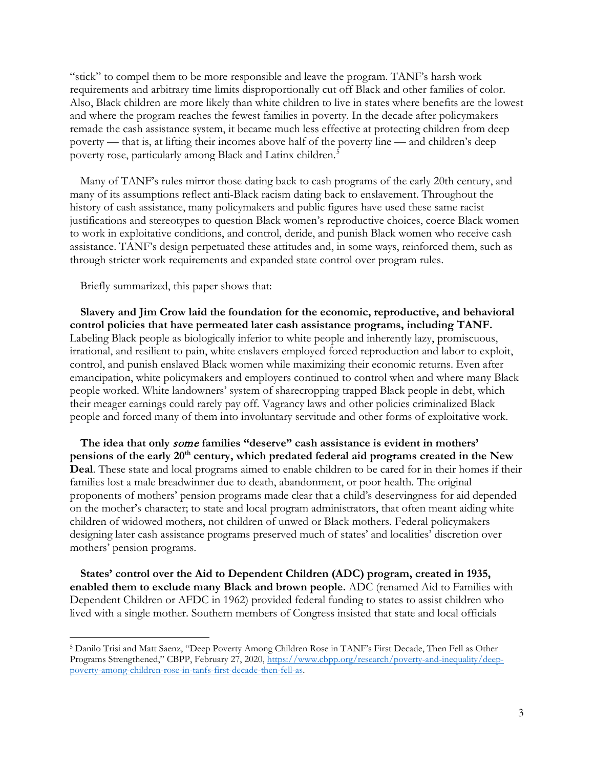"stick" to compel them to be more responsible and leave the program. TANF's harsh work requirements and arbitrary time limits disproportionally cut off Black and other families of color. Also, Black children are more likely than white children to live in states where benefits are the lowest and where the program reaches the fewest families in poverty. In the decade after policymakers remade the cash assistance system, it became much less effective at protecting children from deep poverty — that is, at lifting their incomes above half of the poverty line — and children's deep poverty rose, particularly among Black and Latinx children.<sup>[5](#page-2-0)</sup>

Many of TANF's rules mirror those dating back to cash programs of the early 20th century, and many of its assumptions reflect anti-Black racism dating back to enslavement. Throughout the history of cash assistance, many policymakers and public figures have used these same racist justifications and stereotypes to question Black women's reproductive choices, coerce Black women to work in exploitative conditions, and control, deride, and punish Black women who receive cash assistance. TANF's design perpetuated these attitudes and, in some ways, reinforced them, such as through stricter work requirements and expanded state control over program rules.

Briefly summarized, this paper shows that:

**Slavery and Jim Crow laid the foundation for the economic, reproductive, and behavioral control policies that have permeated later cash assistance programs, including TANF.** Labeling Black people as biologically inferior to white people and inherently lazy, promiscuous, irrational, and resilient to pain, white enslavers employed forced reproduction and labor to exploit, control, and punish enslaved Black women while maximizing their economic returns. Even after emancipation, white policymakers and employers continued to control when and where many Black people worked. White landowners' system of sharecropping trapped Black people in debt, which their meager earnings could rarely pay off. Vagrancy laws and other policies criminalized Black people and forced many of them into involuntary servitude and other forms of exploitative work.

**The idea that only** some **families "deserve" cash assistance is evident in mothers' pensions of the early 20th century, which predated federal aid programs created in the New Deal**. These state and local programs aimed to enable children to be cared for in their homes if their families lost a male breadwinner due to death, abandonment, or poor health. The original proponents of mothers' pension programs made clear that a child's deservingness for aid depended on the mother's character; to state and local program administrators, that often meant aiding white children of widowed mothers, not children of unwed or Black mothers. Federal policymakers designing later cash assistance programs preserved much of states' and localities' discretion over mothers' pension programs.

**States' control over the Aid to Dependent Children (ADC) program, created in 1935, enabled them to exclude many Black and brown people.** ADC (renamed Aid to Families with Dependent Children or AFDC in 1962) provided federal funding to states to assist children who lived with a single mother. Southern members of Congress insisted that state and local officials

<span id="page-2-0"></span><sup>5</sup> Danilo Trisi and Matt Saenz, "Deep Poverty Among Children Rose in TANF's First Decade, Then Fell as Other Programs Strengthened," CBPP, February 27, 2020, [https://www.cbpp.org/research/poverty-and-inequality/deep](https://www.cbpp.org/research/poverty-and-inequality/deep-poverty-among-children-rose-in-tanfs-first-decade-then-fell-as)[poverty-among-children-rose-in-tanfs-first-decade-then-fell-as.](https://www.cbpp.org/research/poverty-and-inequality/deep-poverty-among-children-rose-in-tanfs-first-decade-then-fell-as)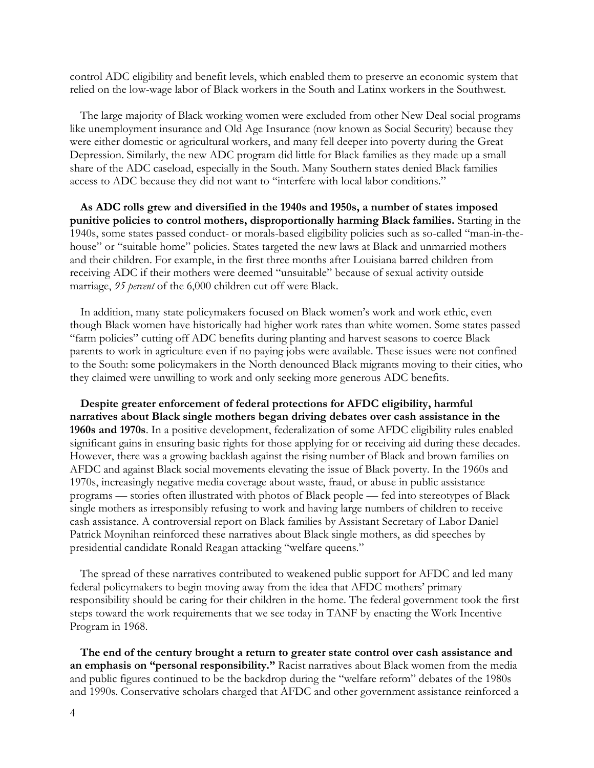control ADC eligibility and benefit levels, which enabled them to preserve an economic system that relied on the low-wage labor of Black workers in the South and Latinx workers in the Southwest.

The large majority of Black working women were excluded from other New Deal social programs like unemployment insurance and Old Age Insurance (now known as Social Security) because they were either domestic or agricultural workers, and many fell deeper into poverty during the Great Depression. Similarly, the new ADC program did little for Black families as they made up a small share of the ADC caseload, especially in the South. Many Southern states denied Black families access to ADC because they did not want to "interfere with local labor conditions."

**As ADC rolls grew and diversified in the 1940s and 1950s, a number of states imposed punitive policies to control mothers, disproportionally harming Black families.** Starting in the 1940s, some states passed conduct- or morals-based eligibility policies such as so-called "man-in-thehouse" or "suitable home" policies. States targeted the new laws at Black and unmarried mothers and their children. For example, in the first three months after Louisiana barred children from receiving ADC if their mothers were deemed "unsuitable" because of sexual activity outside marriage, *95 percent* of the 6,000 children cut off were Black.

In addition, many state policymakers focused on Black women's work and work ethic, even though Black women have historically had higher work rates than white women. Some states passed "farm policies" cutting off ADC benefits during planting and harvest seasons to coerce Black parents to work in agriculture even if no paying jobs were available. These issues were not confined to the South: some policymakers in the North denounced Black migrants moving to their cities, who they claimed were unwilling to work and only seeking more generous ADC benefits.

**Despite greater enforcement of federal protections for AFDC eligibility, harmful narratives about Black single mothers began driving debates over cash assistance in the 1960s and 1970s**. In a positive development, federalization of some AFDC eligibility rules enabled significant gains in ensuring basic rights for those applying for or receiving aid during these decades. However, there was a growing backlash against the rising number of Black and brown families on AFDC and against Black social movements elevating the issue of Black poverty. In the 1960s and 1970s, increasingly negative media coverage about waste, fraud, or abuse in public assistance programs — stories often illustrated with photos of Black people — fed into stereotypes of Black single mothers as irresponsibly refusing to work and having large numbers of children to receive cash assistance. A controversial report on Black families by Assistant Secretary of Labor Daniel Patrick Moynihan reinforced these narratives about Black single mothers, as did speeches by presidential candidate Ronald Reagan attacking "welfare queens."

The spread of these narratives contributed to weakened public support for AFDC and led many federal policymakers to begin moving away from the idea that AFDC mothers' primary responsibility should be caring for their children in the home. The federal government took the first steps toward the work requirements that we see today in TANF by enacting the Work Incentive Program in 1968.

**The end of the century brought a return to greater state control over cash assistance and an emphasis on "personal responsibility."** Racist narratives about Black women from the media and public figures continued to be the backdrop during the "welfare reform" debates of the 1980s and 1990s. Conservative scholars charged that AFDC and other government assistance reinforced a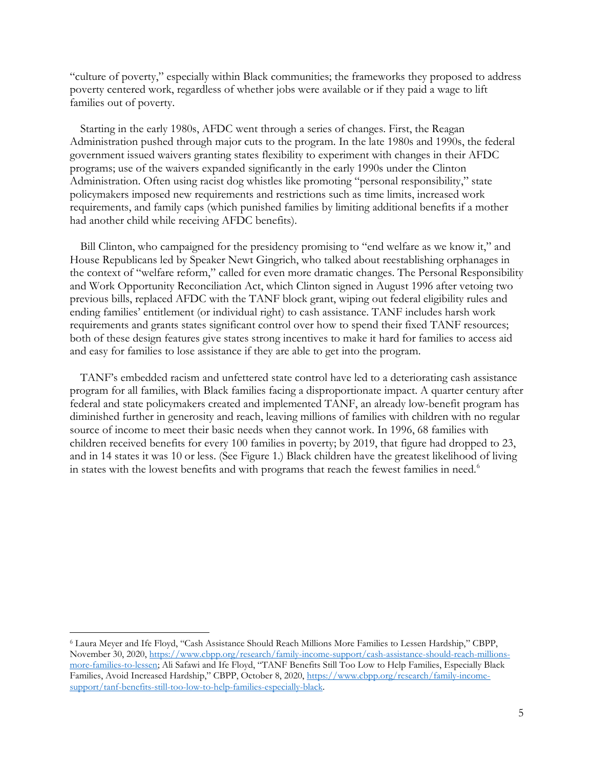"culture of poverty," especially within Black communities; the frameworks they proposed to address poverty centered work, regardless of whether jobs were available or if they paid a wage to lift families out of poverty.

Starting in the early 1980s, AFDC went through a series of changes. First, the Reagan Administration pushed through major cuts to the program. In the late 1980s and 1990s, the federal government issued waivers granting states flexibility to experiment with changes in their AFDC programs; use of the waivers expanded significantly in the early 1990s under the Clinton Administration. Often using racist dog whistles like promoting "personal responsibility," state policymakers imposed new requirements and restrictions such as time limits, increased work requirements, and family caps (which punished families by limiting additional benefits if a mother had another child while receiving AFDC benefits).

Bill Clinton, who campaigned for the presidency promising to "end welfare as we know it," and House Republicans led by Speaker Newt Gingrich, who talked about reestablishing orphanages in the context of "welfare reform," called for even more dramatic changes. The Personal Responsibility and Work Opportunity Reconciliation Act, which Clinton signed in August 1996 after vetoing two previous bills, replaced AFDC with the TANF block grant, wiping out federal eligibility rules and ending families' entitlement (or individual right) to cash assistance. TANF includes harsh work requirements and grants states significant control over how to spend their fixed TANF resources; both of these design features give states strong incentives to make it hard for families to access aid and easy for families to lose assistance if they are able to get into the program.

TANF's embedded racism and unfettered state control have led to a deteriorating cash assistance program for all families, with Black families facing a disproportionate impact. A quarter century after federal and state policymakers created and implemented TANF, an already low-benefit program has diminished further in generosity and reach, leaving millions of families with children with no regular source of income to meet their basic needs when they cannot work. In 1996, 68 families with children received benefits for every 100 families in poverty; by 2019, that figure had dropped to 23, and in 14 states it was 10 or less. (See Figure 1.) Black children have the greatest likelihood of living in states with the lowest benefits and with programs that reach the fewest families in need.<sup>[6](#page-4-0)</sup>

<span id="page-4-0"></span><sup>6</sup> Laura Meyer and Ife Floyd, "Cash Assistance Should Reach Millions More Families to Lessen Hardship," CBPP, November 30, 2020, [https://www.cbpp.org/research/family-income-support/cash-assistance-should-reach-millions](https://www.cbpp.org/research/family-income-support/cash-assistance-should-reach-millions-more-families-to-lessen)[more-families-to-lessen;](https://www.cbpp.org/research/family-income-support/cash-assistance-should-reach-millions-more-families-to-lessen) Ali Safawi and Ife Floyd, "TANF Benefits Still Too Low to Help Families, Especially Black Families, Avoid Increased Hardship," CBPP, October 8, 2020, [https://www.cbpp.org/research/family-income](https://www.cbpp.org/research/family-income-support/tanf-benefits-still-too-low-to-help-families-especially-black)[support/tanf-benefits-still-too-low-to-help-families-especially-black.](https://www.cbpp.org/research/family-income-support/tanf-benefits-still-too-low-to-help-families-especially-black)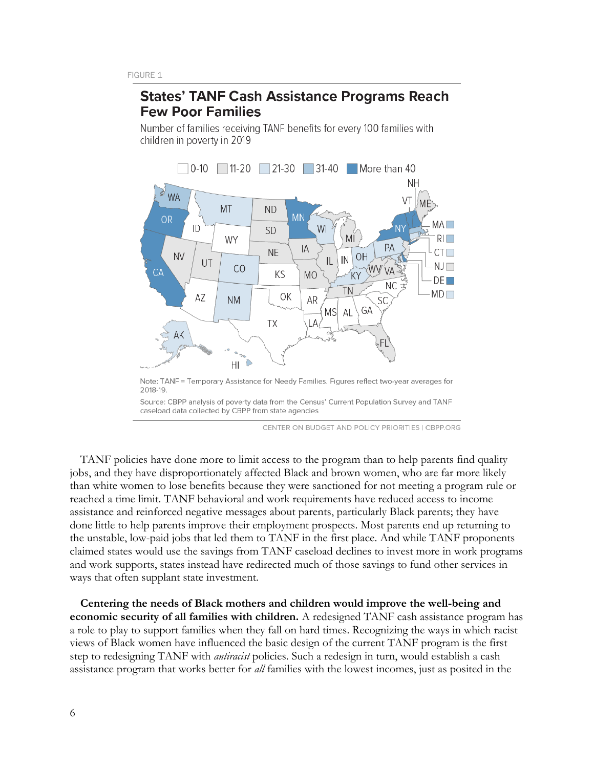## **States' TANF Cash Assistance Programs Reach Few Poor Families**

Number of families receiving TANF benefits for every 100 families with children in poverty in 2019



Note: TANF = Temporary Assistance for Needy Families. Figures reflect two-year averages for 2018-19

Source: CBPP analysis of poverty data from the Census' Current Population Survey and TANF caseload data collected by CBPP from state agencies

CENTER ON BUDGET AND POLICY PRIORITIES | CBPP.ORG

TANF policies have done more to limit access to the program than to help parents find quality jobs, and they have disproportionately affected Black and brown women, who are far more likely than white women to lose benefits because they were sanctioned for not meeting a program rule or reached a time limit. TANF behavioral and work requirements have reduced access to income assistance and reinforced negative messages about parents, particularly Black parents; they have done little to help parents improve their employment prospects. Most parents end up returning to the unstable, low-paid jobs that led them to TANF in the first place. And while TANF proponents claimed states would use the savings from TANF caseload declines to invest more in work programs and work supports, states instead have redirected much of those savings to fund other services in ways that often supplant state investment.

**Centering the needs of Black mothers and children would improve the well-being and economic security of all families with children.** A redesigned TANF cash assistance program has a role to play to support families when they fall on hard times. Recognizing the ways in which racist views of Black women have influenced the basic design of the current TANF program is the first step to redesigning TANF with *antiracist* policies. Such a redesign in turn, would establish a cash assistance program that works better for *all* families with the lowest incomes, just as posited in the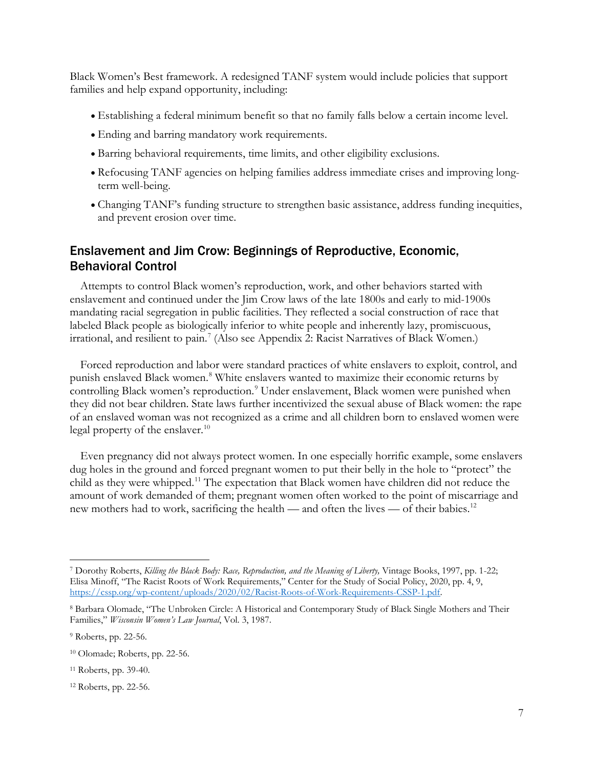Black Women's Best framework. A redesigned TANF system would include policies that support families and help expand opportunity, including:

- Establishing a federal minimum benefit so that no family falls below a certain income level.
- Ending and barring mandatory work requirements.
- Barring behavioral requirements, time limits, and other eligibility exclusions.
- Refocusing TANF agencies on helping families address immediate crises and improving longterm well-being.
- Changing TANF's funding structure to strengthen basic assistance, address funding inequities, and prevent erosion over time.

## Enslavement and Jim Crow: Beginnings of Reproductive, Economic, Behavioral Control

Attempts to control Black women's reproduction, work, and other behaviors started with enslavement and continued under the Jim Crow laws of the late 1800s and early to mid-1900s mandating racial segregation in public facilities. They reflected a social construction of race that labeled Black people as biologically inferior to white people and inherently lazy, promiscuous, irrational, and resilient to pain.<sup>[7](#page-6-0)</sup> (Also see Appendix 2: Racist Narratives of Black Women.)

Forced reproduction and labor were standard practices of white enslavers to exploit, control, and punish enslaved Black women.<sup>[8](#page-6-1)</sup> White enslavers wanted to maximize their economic returns by controlling Black women's reproduction.<sup>[9](#page-6-2)</sup> Under enslavement, Black women were punished when they did not bear children. State laws further incentivized the sexual abuse of Black women: the rape of an enslaved woman was not recognized as a crime and all children born to enslaved women were legal property of the enslaver. [10](#page-6-3) 

Even pregnancy did not always protect women. In one especially horrific example, some enslavers dug holes in the ground and forced pregnant women to put their belly in the hole to "protect" the child as they were whipped.[11](#page-6-4) The expectation that Black women have children did not reduce the amount of work demanded of them; pregnant women often worked to the point of miscarriage and new mothers had to work, sacrificing the health — and often the lives — of their babies.<sup>[12](#page-6-5)</sup>

<span id="page-6-0"></span><sup>7</sup> Dorothy Roberts, *Killing the Black Body: Race, Reproduction, and the Meaning of Liberty,* Vintage Books, 1997, pp. 1-22; Elisa Minoff, "The Racist Roots of Work Requirements," Center for the Study of Social Policy, 2020, pp. 4, 9, [https://cssp.org/wp-content/uploads/2020/02/Racist-Roots-of-Work-Requirements-CSSP-1.pdf.](https://cssp.org/wp-content/uploads/2020/02/Racist-Roots-of-Work-Requirements-CSSP-1.pdf)

<span id="page-6-1"></span><sup>8</sup> Barbara Olomade, "The Unbroken Circle: A Historical and Contemporary Study of Black Single Mothers and Their Families," *Wisconsin Women's Law Journal*, Vol. 3, 1987.

<span id="page-6-2"></span><sup>9</sup> Roberts, pp. 22-56.

<span id="page-6-3"></span><sup>10</sup> Olomade; Roberts, pp. 22-56.

<span id="page-6-4"></span><sup>11</sup> Roberts, pp. 39-40.

<span id="page-6-5"></span><sup>12</sup> Roberts, pp. 22-56.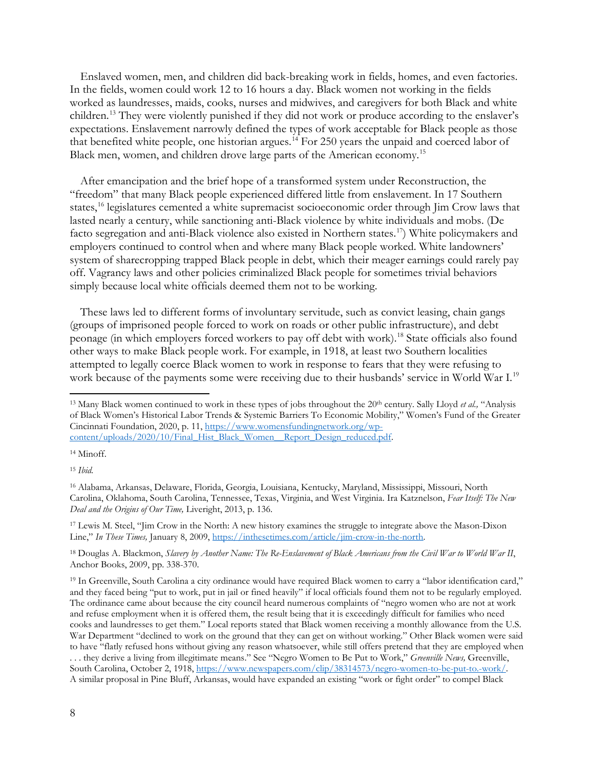Enslaved women, men, and children did back-breaking work in fields, homes, and even factories. In the fields, women could work 12 to 16 hours a day. Black women not working in the fields worked as laundresses, maids, cooks, nurses and midwives, and caregivers for both Black and white children.[13](#page-7-0) They were violently punished if they did not work or produce according to the enslaver's expectations. Enslavement narrowly defined the types of work acceptable for Black people as those that benefited white people, one historian argues. [14](#page-7-1) For 250 years the unpaid and coerced labor of Black men, women, and children drove large parts of the American economy.[15](#page-7-2)

After emancipation and the brief hope of a transformed system under Reconstruction, the "freedom" that many Black people experienced differed little from enslavement. In 17 Southern states,<sup>[16](#page-7-3)</sup> legislatures cemented a white supremacist socioeconomic order through Jim Crow laws that lasted nearly a century, while sanctioning anti-Black violence by white individuals and mobs. (De facto segregation and anti-Black violence also existed in Northern states.<sup>[17](#page-7-4)</sup>) White policymakers and employers continued to control when and where many Black people worked. White landowners' system of sharecropping trapped Black people in debt, which their meager earnings could rarely pay off. Vagrancy laws and other policies criminalized Black people for sometimes trivial behaviors simply because local white officials deemed them not to be working.

These laws led to different forms of involuntary servitude, such as convict leasing, chain gangs (groups of imprisoned people forced to work on roads or other public infrastructure), and debt peonage (in which employers forced workers to pay off debt with work). [18](#page-7-5) State officials also found other ways to make Black people work. For example, in 1918, at least two Southern localities attempted to legally coerce Black women to work in response to fears that they were refusing to work because of the payments some were receiving due to their husbands' service in World War I.<sup>[19](#page-7-6)</sup>

<span id="page-7-4"></span><sup>17</sup> Lewis M. Steel, "Jim Crow in the North: A new history examines the struggle to integrate above the Mason-Dixon Line," *In These Times,* January 8, 2009, [https://inthesetimes.com/article/jim-crow-in-the-north.](https://inthesetimes.com/article/jim-crow-in-the-north) 

<span id="page-7-5"></span><sup>18</sup> Douglas A. Blackmon, *Slavery by Another Name: The Re-Enslavement of Black Americans from the Civil War to World War II*, Anchor Books, 2009, pp. 338-370.

<span id="page-7-0"></span><sup>&</sup>lt;sup>13</sup> Many Black women continued to work in these types of jobs throughout the 20<sup>th</sup> century. Sally Lloyd *et al.*, "Analysis of Black Women's Historical Labor Trends & Systemic Barriers To Economic Mobility," Women's Fund of the Greater Cincinnati Foundation, 2020, p. 11, [https://www.womensfundingnetwork.org/wp](https://www.womensfundingnetwork.org/wp-content/uploads/2020/10/Final_Hist_Black_Women__Report_Design_reduced.pdf)[content/uploads/2020/10/Final\\_Hist\\_Black\\_Women\\_\\_Report\\_Design\\_reduced.pdf.](https://www.womensfundingnetwork.org/wp-content/uploads/2020/10/Final_Hist_Black_Women__Report_Design_reduced.pdf)

<span id="page-7-1"></span><sup>14</sup> Minoff.

<span id="page-7-2"></span><sup>15</sup> *Ibid.*

<span id="page-7-3"></span><sup>16</sup> Alabama, Arkansas, Delaware, Florida, Georgia, Louisiana, Kentucky, Maryland, Mississippi, Missouri, North Carolina, Oklahoma, South Carolina, Tennessee, Texas, Virginia, and West Virginia. Ira Katznelson, *Fear Itself: The New Deal and the Origins of Our Time,* Liveright, 2013, p. 136.

<span id="page-7-6"></span><sup>19</sup> In Greenville, South Carolina a city ordinance would have required Black women to carry a "labor identification card," and they faced being "put to work, put in jail or fined heavily" if local officials found them not to be regularly employed. The ordinance came about because the city council heard numerous complaints of "negro women who are not at work and refuse employment when it is offered them, the result being that it is exceedingly difficult for families who need cooks and laundresses to get them." Local reports stated that Black women receiving a monthly allowance from the U.S. War Department "declined to work on the ground that they can get on without working." Other Black women were said to have "flatly refused hons without giving any reason whatsoever, while still offers pretend that they are employed when . . . they derive a living from illegitimate means." See "Negro Women to Be Put to Work," *Greenville News,* Greenville, South Carolina, October 2, 1918, [https://www.newspapers.com/clip/38314573/negro-women-to-be-put-to.-work/.](https://www.newspapers.com/clip/38314573/negro-women-to-be-put-to.-work/)  A similar proposal in Pine Bluff, Arkansas, would have expanded an existing "work or fight order" to compel Black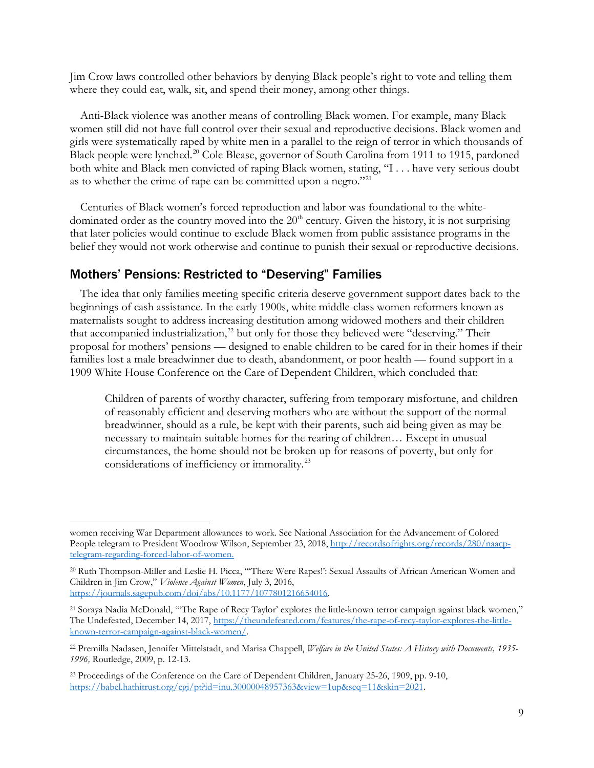Jim Crow laws controlled other behaviors by denying Black people's right to vote and telling them where they could eat, walk, sit, and spend their money, among other things.

Anti-Black violence was another means of controlling Black women. For example, many Black women still did not have full control over their sexual and reproductive decisions. Black women and girls were systematically raped by white men in a parallel to the reign of terror in which thousands of Black people were lynched.<sup>[20](#page-8-0)</sup> Cole Blease, governor of South Carolina from 1911 to 1915, pardoned both white and Black men convicted of raping Black women, stating, "I . . . have very serious doubt as to whether the crime of rape can be committed upon a negro."[21](#page-8-1)

Centuries of Black women's forced reproduction and labor was foundational to the whitedominated order as the country moved into the  $20<sup>th</sup>$  century. Given the history, it is not surprising that later policies would continue to exclude Black women from public assistance programs in the belief they would not work otherwise and continue to punish their sexual or reproductive decisions.

### Mothers' Pensions: Restricted to "Deserving" Families

The idea that only families meeting specific criteria deserve government support dates back to the beginnings of cash assistance. In the early 1900s, white middle-class women reformers known as maternalists sought to address increasing destitution among widowed mothers and their children that accompanied industrialization,<sup>22</sup> but only for those they believed were "deserving." Their proposal for mothers' pensions — designed to enable children to be cared for in their homes if their families lost a male breadwinner due to death, abandonment, or poor health — found support in a 1909 White House Conference on the Care of Dependent Children, which concluded that:

Children of parents of worthy character, suffering from temporary misfortune, and children of reasonably efficient and deserving mothers who are without the support of the normal breadwinner, should as a rule, be kept with their parents, such aid being given as may be necessary to maintain suitable homes for the rearing of children… Except in unusual circumstances, the home should not be broken up for reasons of poverty, but only for considerations of inefficiency or immorality.[23](#page-8-3)

women receiving War Department allowances to work. See National Association for the Advancement of Colored People telegram to President Woodrow Wilson, September 23, 2018, [http://recordsofrights.org/records/280/naacp](http://recordsofrights.org/records/280/naacp-telegram-regarding-forced-labor-of-women)[telegram-regarding-forced-labor-of-women.](http://recordsofrights.org/records/280/naacp-telegram-regarding-forced-labor-of-women)

<span id="page-8-0"></span><sup>20</sup> Ruth Thompson-Miller and Leslie H. Picca, "'There Were Rapes!': Sexual Assaults of African American Women and Children in Jim Crow," *Violence Against Women*, July 3, 2016, [https://journals.sagepub.com/doi/abs/10.1177/1077801216654016.](https://journals.sagepub.com/doi/abs/10.1177/1077801216654016) 

<span id="page-8-1"></span><sup>21</sup> Soraya Nadia McDonald, "'The Rape of Recy Taylor' explores the little-known terror campaign against black women," The Undefeated, December 14, 2017, [https://theundefeated.com/features/the-rape-of-recy-taylor-explores-the-little](https://theundefeated.com/features/the-rape-of-recy-taylor-explores-the-little-known-terror-campaign-against-black-women/)[known-terror-campaign-against-black-women/.](https://theundefeated.com/features/the-rape-of-recy-taylor-explores-the-little-known-terror-campaign-against-black-women/)

<span id="page-8-2"></span><sup>22</sup> Premilla Nadasen, Jennifer Mittelstadt, and Marisa Chappell, *Welfare in the United States: A History with Documents, 1935- 1996,* Routledge, 2009, p. 12-13.

<span id="page-8-3"></span><sup>&</sup>lt;sup>23</sup> Proceedings of the Conference on the Care of Dependent Children, January 25-26, 1909, pp. 9-10, [https://babel.hathitrust.org/cgi/pt?id=inu.30000048957363&view=1up&seq=11&skin=2021.](https://babel.hathitrust.org/cgi/pt?id=inu.30000048957363&view=1up&seq=11&skin=2021)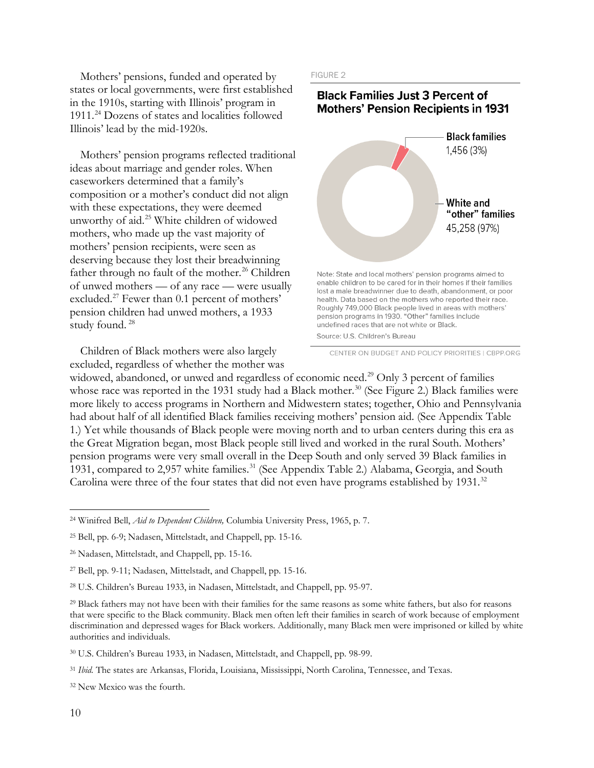Mothers' pensions, funded and operated by states or local governments, were first established in the 1910s, starting with Illinois' program in 1911.[24](#page-9-0) Dozens of states and localities followed Illinois' lead by the mid-1920s.

Mothers' pension programs reflected traditional ideas about marriage and gender roles. When caseworkers determined that a family's composition or a mother's conduct did not align with these expectations, they were deemed unworthy of aid.[25](#page-9-1) White children of widowed mothers, who made up the vast majority of mothers' pension recipients, were seen as deserving because they lost their breadwinning father through no fault of the mother.<sup>[26](#page-9-2)</sup> Children of unwed mothers — of any race — were usually excluded.<sup>[27](#page-9-3)</sup> Fewer than 0.1 percent of mothers' pension children had unwed mothers, a 1933 study found. [28](#page-9-4)

Children of Black mothers were also largely excluded, regardless of whether the mother was FIGURE 2



CENTER ON BUDGET AND POLICY PRIORITIES | CBPP.ORG

widowed, abandoned, or unwed and regardless of economic need.<sup>[29](#page-9-5)</sup> Only 3 percent of families whose race was reported in the 1931 study had a Black mother.<sup>[30](#page-9-6)</sup> (See Figure 2.) Black families were more likely to access programs in Northern and Midwestern states; together, Ohio and Pennsylvania had about half of all identified Black families receiving mothers' pension aid. (See Appendix Table 1.) Yet while thousands of Black people were moving north and to urban centers during this era as the Great Migration began, most Black people still lived and worked in the rural South. Mothers' pension programs were very small overall in the Deep South and only served 39 Black families in 19[31](#page-9-7), compared to 2,957 white families.<sup>31</sup> (See Appendix Table 2.) Alabama, Georgia, and South Carolina were three of the four states that did not even have programs established by 1931.<sup>32</sup>

<span id="page-9-0"></span><sup>24</sup> Winifred Bell, *Aid to Dependent Children,* Columbia University Press, 1965, p. 7.

<span id="page-9-1"></span><sup>25</sup> Bell, pp. 6-9; Nadasen, Mittelstadt, and Chappell, pp. 15-16.

<span id="page-9-2"></span><sup>26</sup> Nadasen, Mittelstadt, and Chappell, pp. 15-16.

<span id="page-9-3"></span><sup>27</sup> Bell, pp. 9-11; Nadasen, Mittelstadt, and Chappell, pp. 15-16.

<span id="page-9-4"></span><sup>28</sup> U.S. Children's Bureau 1933, in Nadasen, Mittelstadt, and Chappell, pp. 95-97.

<span id="page-9-5"></span><sup>&</sup>lt;sup>29</sup> Black fathers may not have been with their families for the same reasons as some white fathers, but also for reasons that were specific to the Black community. Black men often left their families in search of work because of employment discrimination and depressed wages for Black workers. Additionally, many Black men were imprisoned or killed by white authorities and individuals.

<span id="page-9-6"></span><sup>30</sup> U.S. Children's Bureau 1933, in Nadasen, Mittelstadt, and Chappell, pp. 98-99.

<span id="page-9-7"></span><sup>31</sup> *Ibid.* The states are Arkansas, Florida, Louisiana, Mississippi, North Carolina, Tennessee, and Texas.

<span id="page-9-8"></span><sup>32</sup> New Mexico was the fourth.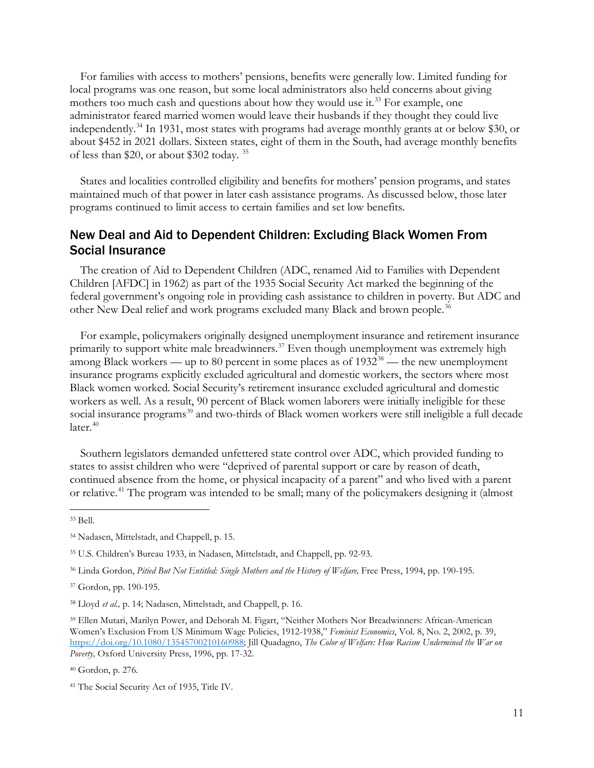For families with access to mothers' pensions, benefits were generally low. Limited funding for local programs was one reason, but some local administrators also held concerns about giving mothers too much cash and questions about how they would use it.<sup>33</sup> For example, one administrator feared married women would leave their husbands if they thought they could live independently.[34](#page-10-1) In 1931, most states with programs had average monthly grants at or below \$30, or about \$452 in 2021 dollars. Sixteen states, eight of them in the South, had average monthly benefits of less than \$20, or about \$302 today. [35](#page-10-2)

States and localities controlled eligibility and benefits for mothers' pension programs, and states maintained much of that power in later cash assistance programs. As discussed below, those later programs continued to limit access to certain families and set low benefits.

### New Deal and Aid to Dependent Children: Excluding Black Women From Social Insurance

The creation of Aid to Dependent Children (ADC, renamed Aid to Families with Dependent Children [AFDC] in 1962) as part of the 1935 Social Security Act marked the beginning of the federal government's ongoing role in providing cash assistance to children in poverty. But ADC and other New Deal relief and work programs excluded many Black and brown people.<sup>[36](#page-10-3)</sup>

For example, policymakers originally designed unemployment insurance and retirement insurance primarily to support white male breadwinners.<sup>[37](#page-10-4)</sup> Even though unemployment was extremely high among Black workers — up to 80 percent in some places as of  $1932^{38}$  $1932^{38}$  $1932^{38}$  — the new unemployment insurance programs explicitly excluded agricultural and domestic workers, the sectors where most Black women worked. Social Security's retirement insurance excluded agricultural and domestic workers as well. As a result, 90 percent of Black women laborers were initially ineligible for these social insurance programs<sup>[39](#page-10-6)</sup> and two-thirds of Black women workers were still ineligible a full decade later. [40](#page-10-7)

Southern legislators demanded unfettered state control over ADC, which provided funding to states to assist children who were "deprived of parental support or care by reason of death, continued absence from the home, or physical incapacity of a parent" and who lived with a parent or relative.<sup>[41](#page-10-8)</sup> The program was intended to be small; many of the policymakers designing it (almost

<span id="page-10-0"></span><sup>33</sup> Bell.

<span id="page-10-1"></span><sup>34</sup> Nadasen, Mittelstadt, and Chappell, p. 15.

<span id="page-10-2"></span><sup>35</sup> U.S. Children's Bureau 1933, in Nadasen, Mittelstadt, and Chappell, pp. 92-93.

<span id="page-10-3"></span><sup>36</sup> Linda Gordon, *Pitied But Not Entitled: Single Mothers and the History of Welfare,* Free Press, 1994, pp. 190-195.

<span id="page-10-4"></span><sup>37</sup> Gordon, pp. 190-195.

<span id="page-10-5"></span><sup>38</sup> Lloyd *et al.,* p. 14; Nadasen, Mittelstadt, and Chappell, p. 16.

<span id="page-10-6"></span><sup>39</sup> Ellen Mutari, Marilyn Power, and Deborah M. Figart, "Neither Mothers Nor Breadwinners: African-American Women's Exclusion From US Minimum Wage Policies, 1912-1938," *Feminist Economics*, Vol. 8, No. 2, 2002, p. 39, [https://doi.org/10.1080/13545700210160988;](https://doi.org/10.1080/13545700210160988) Jill Quadagno, *The Color of Welfare: How Racism Undermined the War on Poverty,* Oxford University Press, 1996, pp. 17-32.

<span id="page-10-7"></span><sup>40</sup> Gordon, p. 276*.*

<span id="page-10-8"></span><sup>41</sup> The Social Security Act of 1935, Title IV.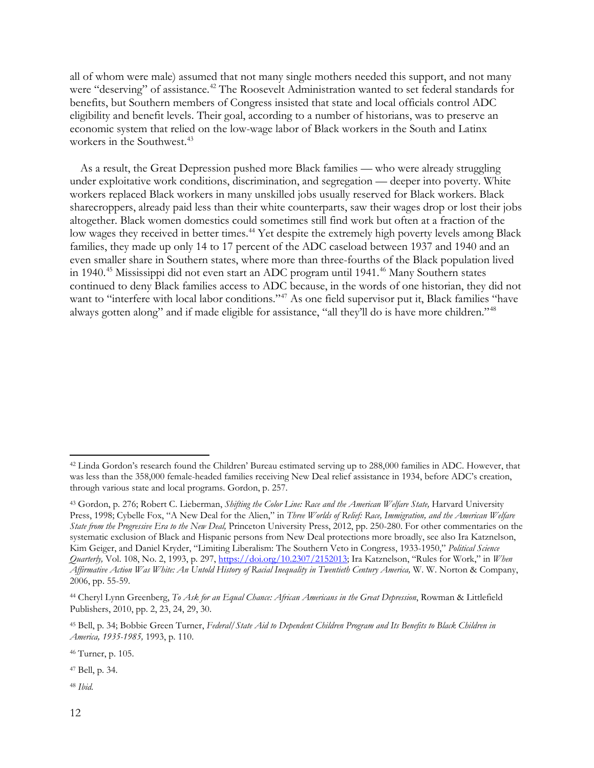all of whom were male) assumed that not many single mothers needed this support, and not many were "deserving" of assistance.<sup>[42](#page-11-0)</sup> The Roosevelt Administration wanted to set federal standards for benefits, but Southern members of Congress insisted that state and local officials control ADC eligibility and benefit levels. Their goal, according to a number of historians, was to preserve an economic system that relied on the low-wage labor of Black workers in the South and Latinx workers in the Southwest.<sup>[43](#page-11-1)</sup>

As a result, the Great Depression pushed more Black families — who were already struggling under exploitative work conditions, discrimination, and segregation — deeper into poverty. White workers replaced Black workers in many unskilled jobs usually reserved for Black workers. Black sharecroppers, already paid less than their white counterparts, saw their wages drop or lost their jobs altogether. Black women domestics could sometimes still find work but often at a fraction of the low wages they received in better times.<sup>44</sup> Yet despite the extremely high poverty levels among Black families, they made up only 14 to 17 percent of the ADC caseload between 1937 and 1940 and an even smaller share in Southern states, where more than three-fourths of the Black population lived in 1940.<sup>[45](#page-11-3)</sup> Mississippi did not even start an ADC program until 1941.<sup>[46](#page-11-4)</sup> Many Southern states continued to deny Black families access to ADC because, in the words of one historian, they did not want to "interfere with local labor conditions."<sup>[47](#page-11-5)</sup> As one field supervisor put it, Black families "have always gotten along" and if made eligible for assistance, "all they'll do is have more children."[48](#page-11-6)

<span id="page-11-0"></span><sup>42</sup> Linda Gordon's research found the Children' Bureau estimated serving up to 288,000 families in ADC. However, that was less than the 358,000 female-headed families receiving New Deal relief assistance in 1934, before ADC's creation, through various state and local programs. Gordon, p. 257.

<span id="page-11-1"></span><sup>&</sup>lt;sup>43</sup> Gordon, p. 276; Robert C. Lieberman, *Shifting the Color Line: Race and the American Welfare State*, Harvard University Press, 1998; Cybelle Fox, "A New Deal for the Alien," in *Three Worlds of Relief: Race, Immigration, and the American Welfare State from the Progressive Era to the New Deal,* Princeton University Press, 2012, pp. 250-280. For other commentaries on the systematic exclusion of Black and Hispanic persons from New Deal protections more broadly, see also Ira Katznelson, Kim Geiger, and Daniel Kryder, "Limiting Liberalism: The Southern Veto in Congress, 1933-1950," *Political Science Quarterly,* Vol. 108, No. 2, 1993, p. 297, [https://doi.org/10.2307/2152013;](https://doi.org/10.2307/2152013) Ira Katznelson, "Rules for Work," in *When Affirmative Action Was White: An Untold History of Racial Inequality in Twentieth Century America,* W. W. Norton & Company, 2006, pp. 55-59.

<span id="page-11-2"></span><sup>44</sup> Cheryl Lynn Greenberg, *To Ask for an Equal Chance: African Americans in the Great Depression*, Rowman & Littlefield Publishers, 2010, pp. 2, 23, 24, 29, 30.

<span id="page-11-3"></span><sup>45</sup> Bell, p. 34; Bobbie Green Turner, *Federal/State Aid to Dependent Children Program and Its Benefits to Black Children in America, 1935-1985,* 1993, p. 110.

<span id="page-11-4"></span><sup>46</sup> Turner, p. 105.

<span id="page-11-5"></span><sup>47</sup> Bell, p. 34.

<span id="page-11-6"></span><sup>48</sup> *Ibid.*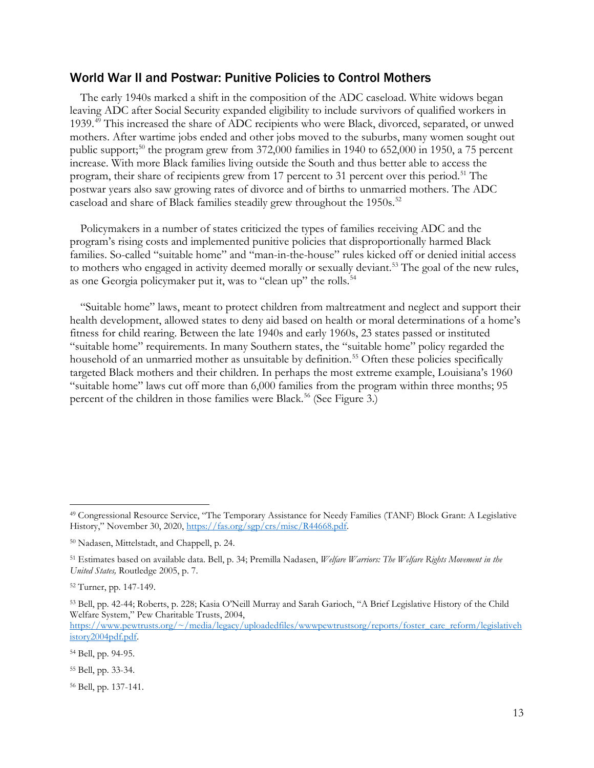#### World War II and Postwar: Punitive Policies to Control Mothers

The early 1940s marked a shift in the composition of the ADC caseload. White widows began leaving ADC after Social Security expanded eligibility to include survivors of qualified workers in 1939.[49](#page-12-0) This increased the share of ADC recipients who were Black, divorced, separated, or unwed mothers. After wartime jobs ended and other jobs moved to the suburbs, many women sought out public support;<sup>[50](#page-12-1)</sup> the program grew from 372,000 families in 1940 to 652,000 in 1950, a 75 percent increase. With more Black families living outside the South and thus better able to access the program, their share of recipients grew from 17 percent to 31 percent over this period.<sup>[51](#page-12-2)</sup> The postwar years also saw growing rates of divorce and of births to unmarried mothers. The ADC caseload and share of Black families steadily grew throughout the 1950s.<sup>[52](#page-12-3)</sup>

Policymakers in a number of states criticized the types of families receiving ADC and the program's rising costs and implemented punitive policies that disproportionally harmed Black families. So-called "suitable home" and "man-in-the-house" rules kicked off or denied initial access to mothers who engaged in activity deemed morally or sexually deviant.<sup>[53](#page-12-4)</sup> The goal of the new rules, as one Georgia policymaker put it, was to "clean up" the rolls.<sup>[54](#page-12-5)</sup>

"Suitable home" laws, meant to protect children from maltreatment and neglect and support their health development, allowed states to deny aid based on health or moral determinations of a home's fitness for child rearing. Between the late 1940s and early 1960s, 23 states passed or instituted "suitable home" requirements. In many Southern states, the "suitable home" policy regarded the household of an unmarried mother as unsuitable by definition. [55](#page-12-6) Often these policies specifically targeted Black mothers and their children. In perhaps the most extreme example, Louisiana's 1960 "suitable home" laws cut off more than 6,000 families from the program within three months; 95 percent of the children in those families were Black.<sup>56</sup> (See Figure 3.)

<span id="page-12-0"></span><sup>49</sup> Congressional Resource Service, "The Temporary Assistance for Needy Families (TANF) Block Grant: A Legislative History," November 30, 2020, [https://fas.org/sgp/crs/misc/R44668.pdf.](https://fas.org/sgp/crs/misc/R44668.pdf) 

<span id="page-12-1"></span><sup>50</sup> Nadasen, Mittelstadt, and Chappell, p. 24.

<span id="page-12-2"></span><sup>51</sup> Estimates based on available data. Bell, p. 34; Premilla Nadasen, *Welfare Warriors: The Welfare Rights Movement in the United States,* Routledge 2005, p. 7.

<span id="page-12-3"></span><sup>52</sup> Turner, pp. 147-149.

<span id="page-12-4"></span><sup>53</sup> Bell, pp. 42-44; Roberts, p. 228; Kasia O'Neill Murray and Sarah Garioch, "A Brief Legislative History of the Child Welfare System," Pew Charitable Trusts, 2004,

[https://www.pewtrusts.org/~/media/legacy/uploadedfiles/wwwpewtrustsorg/reports/foster\\_care\\_reform/legislativeh](https://www.pewtrusts.org/%7E/media/legacy/uploadedfiles/wwwpewtrustsorg/reports/foster_care_reform/legislativehistory2004pdf.pdf) [istory2004pdf.pdf.](https://www.pewtrusts.org/%7E/media/legacy/uploadedfiles/wwwpewtrustsorg/reports/foster_care_reform/legislativehistory2004pdf.pdf)

<span id="page-12-5"></span><sup>54</sup> Bell, pp. 94-95.

<span id="page-12-6"></span><sup>55</sup> Bell, pp. 33-34.

<span id="page-12-7"></span><sup>56</sup> Bell, pp. 137-141.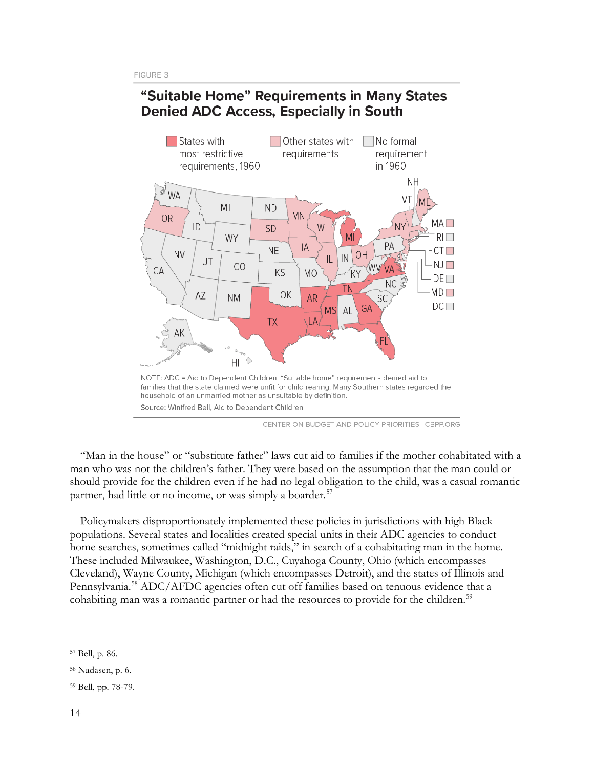## "Suitable Home" Requirements in Many States **Denied ADC Access, Especially in South**



CENTER ON BUDGET AND POLICY PRIORITIES | CBPP.ORG

"Man in the house" or "substitute father" laws cut aid to families if the mother cohabitated with a man who was not the children's father. They were based on the assumption that the man could or should provide for the children even if he had no legal obligation to the child, was a casual romantic partner, had little or no income, or was simply a boarder.<sup>[57](#page-13-0)</sup>

Policymakers disproportionately implemented these policies in jurisdictions with high Black populations. Several states and localities created special units in their ADC agencies to conduct home searches, sometimes called "midnight raids," in search of a cohabitating man in the home. These included Milwaukee, Washington, D.C., Cuyahoga County, Ohio (which encompasses Cleveland), Wayne County, Michigan (which encompasses Detroit), and the states of Illinois and Pennsylvania.<sup>[58](#page-13-1)</sup> ADC/AFDC agencies often cut off families based on tenuous evidence that a cohabiting man was a romantic partner or had the resources to provide for the children.<sup>[59](#page-13-2)</sup>

<span id="page-13-0"></span><sup>57</sup> Bell, p. 86.

<span id="page-13-1"></span><sup>58</sup> Nadasen, p. 6.

<span id="page-13-2"></span><sup>59</sup> Bell, pp. 78-79.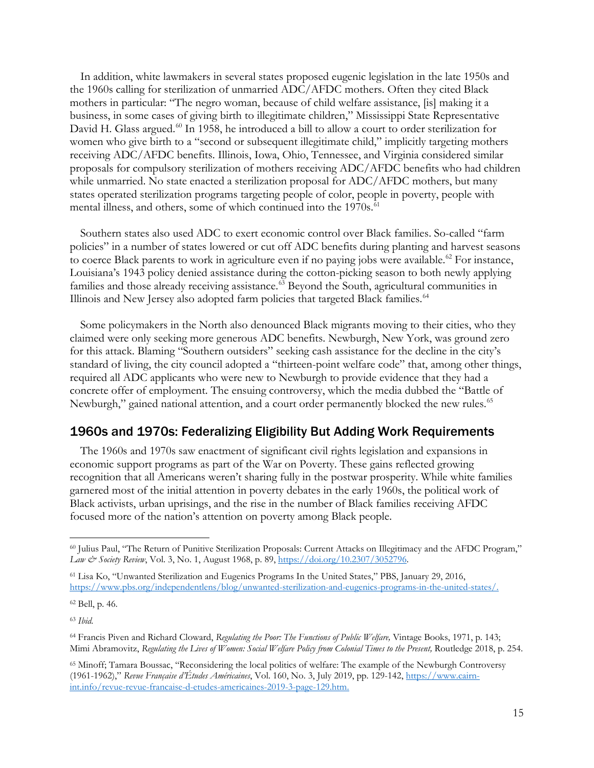In addition, white lawmakers in several states proposed eugenic legislation in the late 1950s and the 1960s calling for sterilization of unmarried ADC/AFDC mothers. Often they cited Black mothers in particular: "The negro woman, because of child welfare assistance, [is] making it a business, in some cases of giving birth to illegitimate children," Mississippi State Representative David H. Glass argued.<sup>[60](#page-14-0)</sup> In 1958, he introduced a bill to allow a court to order sterilization for women who give birth to a "second or subsequent illegitimate child," implicitly targeting mothers receiving ADC/AFDC benefits. Illinois, Iowa, Ohio, Tennessee, and Virginia considered similar proposals for compulsory sterilization of mothers receiving ADC/AFDC benefits who had children while unmarried. No state enacted a sterilization proposal for ADC/AFDC mothers, but many states operated sterilization programs targeting people of color, people in poverty, people with mental illness, and others, some of which continued into the 1970s. [61](#page-14-1)

Southern states also used ADC to exert economic control over Black families. So-called "farm policies" in a number of states lowered or cut off ADC benefits during planting and harvest seasons to coerce Black parents to work in agriculture even if no paying jobs were available.<sup>62</sup> For instance, Louisiana's 1943 policy denied assistance during the cotton-picking season to both newly applying families and those already receiving assistance.<sup>[63](#page-14-3)</sup> Beyond the South, agricultural communities in Illinois and New Jersey also adopted farm policies that targeted Black families.<sup>[64](#page-14-4)</sup>

Some policymakers in the North also denounced Black migrants moving to their cities, who they claimed were only seeking more generous ADC benefits. Newburgh, New York, was ground zero for this attack. Blaming "Southern outsiders" seeking cash assistance for the decline in the city's standard of living, the city council adopted a "thirteen-point welfare code" that, among other things, required all ADC applicants who were new to Newburgh to provide evidence that they had a concrete offer of employment. The ensuing controversy, which the media dubbed the "Battle of Newburgh," gained national attention, and a court order permanently blocked the new rules.<sup>[65](#page-14-5)</sup>

### 1960s and 1970s: Federalizing Eligibility But Adding Work Requirements

The 1960s and 1970s saw enactment of significant civil rights legislation and expansions in economic support programs as part of the War on Poverty. These gains reflected growing recognition that all Americans weren't sharing fully in the postwar prosperity. While white families garnered most of the initial attention in poverty debates in the early 1960s, the political work of Black activists, urban uprisings, and the rise in the number of Black families receiving AFDC focused more of the nation's attention on poverty among Black people.

<span id="page-14-0"></span><sup>60</sup> Julius Paul, "The Return of Punitive Sterilization Proposals: Current Attacks on Illegitimacy and the AFDC Program," *Law & Society Review*, Vol. 3, No. 1, August 1968, p. 89, [https://doi.org/10.2307/3052796.](https://doi.org/10.2307/3052796) 

<span id="page-14-1"></span><sup>61</sup> Lisa Ko, "Unwanted Sterilization and Eugenics Programs In the United States," PBS, January 29, 2016, [https://www.pbs.org/independentlens/blog/unwanted-sterilization-and-eugenics-programs-in-the-united-states/.](https://www.pbs.org/independentlens/blog/unwanted-sterilization-and-eugenics-programs-in-the-united-states/)

<span id="page-14-2"></span><sup>62</sup> Bell, p. 46.

<span id="page-14-3"></span><sup>63</sup> *Ibid.*

<span id="page-14-4"></span><sup>64</sup> Francis Piven and Richard Cloward, *Regulating the Poor: The Functions of Public Welfare,* Vintage Books, 1971, p. 143; Mimi Abramovitz, *Regulating the Lives of Women: Social Welfare Policy from Colonial Times to the Present,* Routledge 2018, p. 254.

<span id="page-14-5"></span><sup>65</sup> Minoff; Tamara Boussac, "Reconsidering the local politics of welfare: The example of the Newburgh Controversy (1961-1962)," *Revue Française d'Études Américaines*, Vol. 160, No. 3, July 2019, pp. 129-142[, https://www.cairn](https://www.cairn-int.info/revue-revue-francaise-d-etudes-americaines-2019-3-page-129.htm.)[int.info/revue-revue-francaise-d-etudes-americaines-2019-3-page-129.htm.](https://www.cairn-int.info/revue-revue-francaise-d-etudes-americaines-2019-3-page-129.htm.)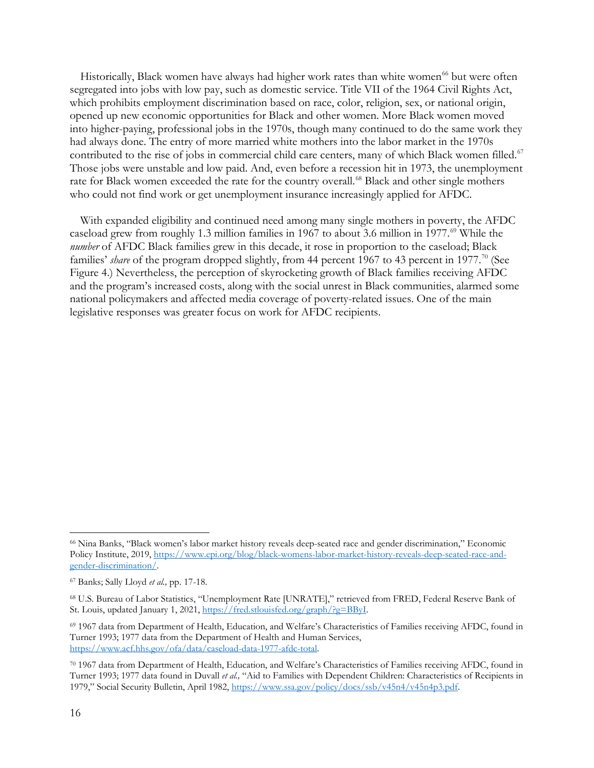Historically, Black women have always had higher work rates than white women<sup>[66](#page-15-0)</sup> but were often segregated into jobs with low pay, such as domestic service. Title VII of the 1964 Civil Rights Act, which prohibits employment discrimination based on race, color, religion, sex, or national origin, opened up new economic opportunities for Black and other women. More Black women moved into higher-paying, professional jobs in the 1970s, though many continued to do the same work they had always done. The entry of more married white mothers into the labor market in the 1970s contributed to the rise of jobs in commercial child care centers, many of which Black women filled.<sup>[67](#page-15-1)</sup> Those jobs were unstable and low paid. And, even before a recession hit in 1973, the unemployment rate for Black women exceeded the rate for the country overall.<sup>[68](#page-15-2)</sup> Black and other single mothers who could not find work or get unemployment insurance increasingly applied for AFDC.

With expanded eligibility and continued need among many single mothers in poverty, the AFDC caseload grew from roughly 1.3 million families in 1967 to about 3.6 million in 1977. [69](#page-15-3) While the *number* of AFDC Black families grew in this decade, it rose in proportion to the caseload; Black families' *share* of the program dropped slightly, from 44 percent 1967 to 43 percent in 1977.<sup>[70](#page-15-4)</sup> (See Figure 4.) Nevertheless, the perception of skyrocketing growth of Black families receiving AFDC and the program's increased costs, along with the social unrest in Black communities, alarmed some national policymakers and affected media coverage of poverty-related issues. One of the main legislative responses was greater focus on work for AFDC recipients.

<span id="page-15-0"></span><sup>66</sup> Nina Banks, "Black women's labor market history reveals deep-seated race and gender discrimination," Economic Policy Institute, 2019[, https://www.epi.org/blog/black-womens-labor-market-history-reveals-deep-seated-race-and](https://www.epi.org/blog/black-womens-labor-market-history-reveals-deep-seated-race-and-gender-discrimination/)[gender-discrimination/.](https://www.epi.org/blog/black-womens-labor-market-history-reveals-deep-seated-race-and-gender-discrimination/) 

<span id="page-15-1"></span><sup>67</sup> Banks; Sally Lloyd *et al.,* pp. 17-18.

<span id="page-15-2"></span><sup>68</sup> U.S. Bureau of Labor Statistics, "Unemployment Rate [UNRATE]," retrieved from FRED, Federal Reserve Bank of St. Louis, updated January 1, 2021, [https://fred.stlouisfed.org/graph/?g=BByI.](https://fred.stlouisfed.org/graph/?g=BByI) 

<span id="page-15-3"></span><sup>69</sup> 1967 data from Department of Health, Education, and Welfare's Characteristics of Families receiving AFDC, found in Turner 1993; 1977 data from the Department of Health and Human Services, [https://www.acf.hhs.gov/ofa/data/caseload-data-1977-afdc-total.](https://www.acf.hhs.gov/ofa/data/caseload-data-1977-afdc-total)

<span id="page-15-4"></span><sup>70</sup> 1967 data from Department of Health, Education, and Welfare's Characteristics of Families receiving AFDC, found in Turner 1993; 1977 data found in Duvall *et al.,* "Aid to Families with Dependent Children: Characteristics of Recipients in 1979," Social Security Bulletin, April 1982, [https://www.ssa.gov/policy/docs/ssb/v45n4/v45n4p3.pdf.](https://www.ssa.gov/policy/docs/ssb/v45n4/v45n4p3.pdf)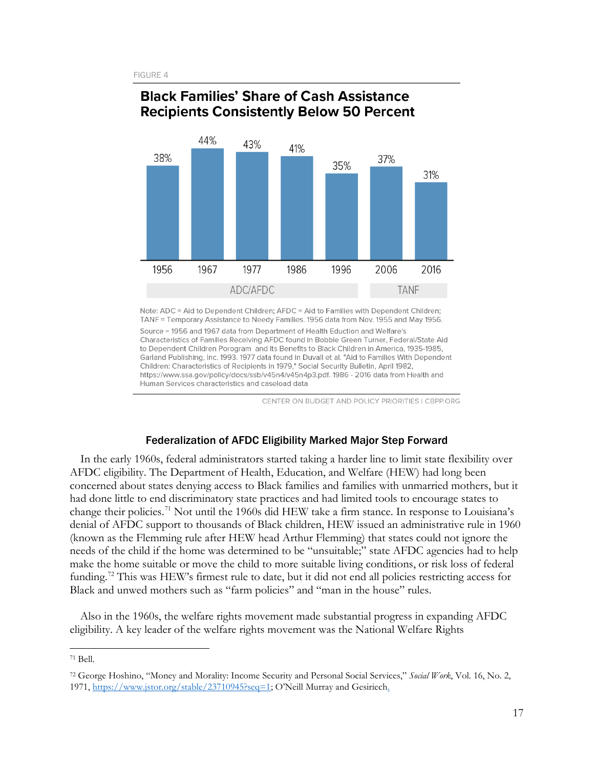

## **Black Families' Share of Cash Assistance Recipients Consistently Below 50 Percent**

Note: ADC = Aid to Dependent Children; AFDC = Aid to Families with Dependent Children; TANF = Temporary Assistance to Needy Families. 1956 data from Nov. 1955 and May 1956.

Source = 1956 and 1967 data from Department of Health Eduction and Welfare's Characteristics of Families Receiving AFDC found in Bobbie Green Turner, Federal/State Aid to Dependent Children Porogram and Its Benefits to Black Children in America, 1935-1985, Garland Publishing, Inc. 1993. 1977 data found in Duvall et al. "Aid to Families With Dependent Children: Characteristics of Recipients in 1979," Social Security Bulletin, April 1982, https://www.ssa.gov/policy/docs/ssb/v45n4/v45n4p3.pdf. 1986 - 2016 data from Health and Human Services characteristics and caseload data

CENTER ON BUDGET AND POLICY PRIORITIES I CBPP.ORG

#### Federalization of AFDC Eligibility Marked Major Step Forward

In the early 1960s, federal administrators started taking a harder line to limit state flexibility over AFDC eligibility. The Department of Health, Education, and Welfare (HEW) had long been concerned about states denying access to Black families and families with unmarried mothers, but it had done little to end discriminatory state practices and had limited tools to encourage states to change their policies.<sup>[71](#page-16-0)</sup> Not until the 1960s did HEW take a firm stance. In response to Louisiana's denial of AFDC support to thousands of Black children, HEW issued an administrative rule in 1960 (known as the Flemming rule after HEW head Arthur Flemming) that states could not ignore the needs of the child if the home was determined to be "unsuitable;" state AFDC agencies had to help make the home suitable or move the child to more suitable living conditions, or risk loss of federal funding.<sup>[72](#page-16-1)</sup> This was HEW's firmest rule to date, but it did not end all policies restricting access for Black and unwed mothers such as "farm policies" and "man in the house" rules.

Also in the 1960s, the welfare rights movement made substantial progress in expanding AFDC eligibility. A key leader of the welfare rights movement was the National Welfare Rights

<span id="page-16-0"></span><sup>71</sup> Bell.

<span id="page-16-1"></span><sup>72</sup> George Hoshino, "Money and Morality: Income Security and Personal Social Services," *Social Work*, Vol. 16, No. 2, 1971, [https://www.jstor.org/stable/23710945?seq=1;](https://www.jstor.org/stable/23710945?seq=1) O'Neill Murray and Gesiriech.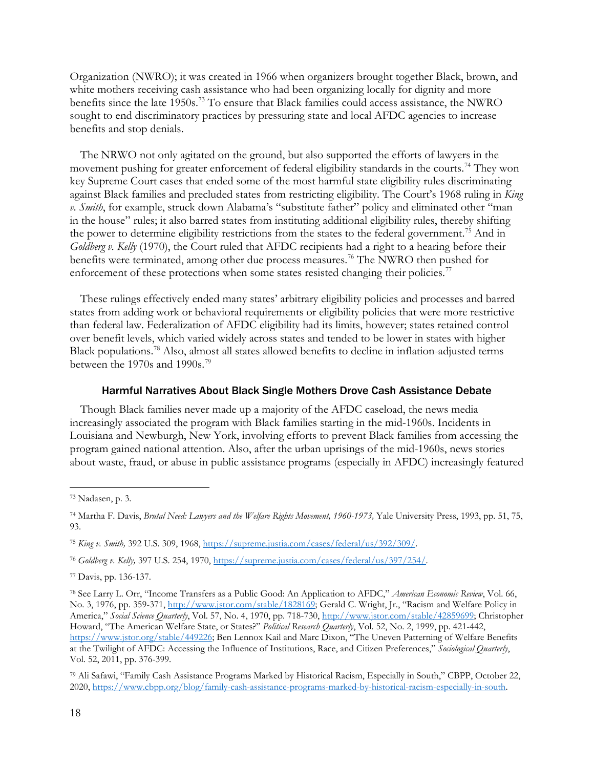Organization (NWRO); it was created in 1966 when organizers brought together Black, brown, and white mothers receiving cash assistance who had been organizing locally for dignity and more benefits since the late 1950s.<sup>[73](#page-17-0)</sup> To ensure that Black families could access assistance, the NWRO sought to end discriminatory practices by pressuring state and local AFDC agencies to increase benefits and stop denials.

The NRWO not only agitated on the ground, but also supported the efforts of lawyers in the movement pushing for greater enforcement of federal eligibility standards in the courts.<sup>[74](#page-17-1)</sup> They won key Supreme Court cases that ended some of the most harmful state eligibility rules discriminating against Black families and precluded states from restricting eligibility. The Court's 1968 ruling in *King v. Smith*, for example, struck down Alabama's "substitute father" policy and eliminated other "man in the house" rules; it also barred states from instituting additional eligibility rules, thereby shifting the power to determine eligibility restrictions from the states to the federal government.<sup>[75](#page-17-2)</sup> And in *Goldberg v. Kelly* (1970), the Court ruled that AFDC recipients had a right to a hearing before their benefits were terminated, among other due process measures.<sup>[76](#page-17-3)</sup> The NWRO then pushed for enforcement of these protections when some states resisted changing their policies.<sup>[77](#page-17-4)</sup>

These rulings effectively ended many states' arbitrary eligibility policies and processes and barred states from adding work or behavioral requirements or eligibility policies that were more restrictive than federal law. Federalization of AFDC eligibility had its limits, however; states retained control over benefit levels, which varied widely across states and tended to be lower in states with higher Black populations.<sup>[78](#page-17-5)</sup> Also, almost all states allowed benefits to decline in inflation-adjusted terms between the 1970s and 1990s.<sup>79</sup>

#### Harmful Narratives About Black Single Mothers Drove Cash Assistance Debate

Though Black families never made up a majority of the AFDC caseload, the news media increasingly associated the program with Black families starting in the mid-1960s. Incidents in Louisiana and Newburgh, New York, involving efforts to prevent Black families from accessing the program gained national attention. Also, after the urban uprisings of the mid-1960s, news stories about waste, fraud, or abuse in public assistance programs (especially in AFDC) increasingly featured

<span id="page-17-6"></span><sup>79</sup> Ali Safawi, "Family Cash Assistance Programs Marked by Historical Racism, Especially in South," CBPP, October 22, 2020, [https://www.cbpp.org/blog/family-cash-assistance-programs-marked-by-historical-racism-especially-in-south.](https://www.cbpp.org/blog/family-cash-assistance-programs-marked-by-historical-racism-especially-in-south) 

<span id="page-17-0"></span><sup>73</sup> Nadasen, p. 3.

<span id="page-17-1"></span><sup>74</sup> Martha F. Davis, *Brutal Need: Lawyers and the Welfare Rights Movement, 1960-1973,* Yale University Press, 1993, pp. 51, 75, 93.

<span id="page-17-2"></span><sup>75</sup> *King v. Smith,* 392 U.S. 309, 1968, [https://supreme.justia.com/cases/federal/us/392/309/.](https://supreme.justia.com/cases/federal/us/392/309/) 

<span id="page-17-3"></span><sup>76</sup> *Goldberg v. Kelly,* 397 U.S. 254, 1970, [https://supreme.justia.com/cases/federal/us/397/254/.](https://supreme.justia.com/cases/federal/us/397/254/)

<span id="page-17-4"></span><sup>77</sup> Davis, pp. 136-137.

<span id="page-17-5"></span><sup>78</sup> See Larry L. Orr, "Income Transfers as a Public Good: An Application to AFDC," *American Economic Review*, Vol. 66, No. 3, 1976, pp. 359-371, [http://www.jstor.com/stable/1828169;](http://www.jstor.com/stable/1828169) Gerald C. Wright, Jr., "Racism and Welfare Policy in America," *Social Science Quarterly*, Vol. 57, No. 4, 1970, pp. 718-730, [http://www.jstor.com/stable/42859699;](http://www.jstor.com/stable/42859699) Christopher Howard, "The American Welfare State, or States?" *Political Research Quarterly*, Vol. 52, No. 2, 1999, pp. 421-442, [https://www.jstor.org/stable/449226;](https://www.jstor.org/stable/449226) Ben Lennox Kail and Marc Dixon, "The Uneven Patterning of Welfare Benefits at the Twilight of AFDC: Accessing the Influence of Institutions, Race, and Citizen Preferences," *Sociological Quarterly*, Vol. 52, 2011, pp. 376-399.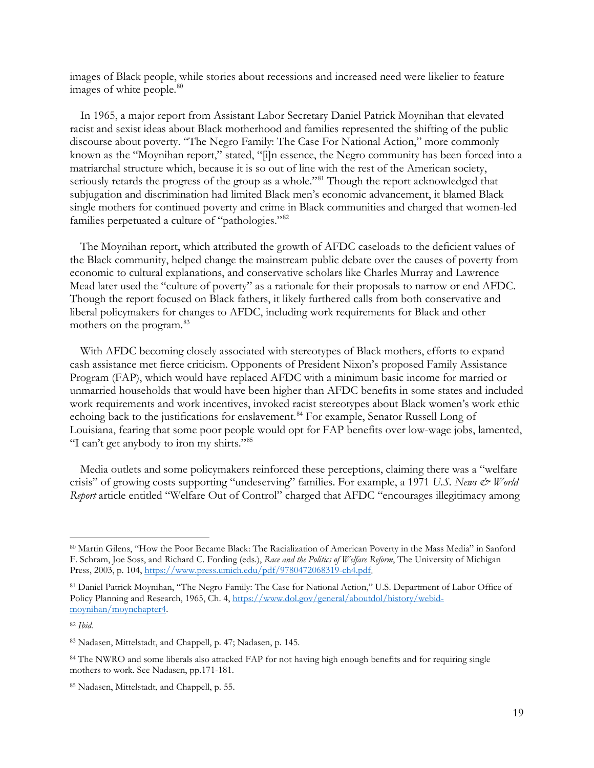images of Black people, while stories about recessions and increased need were likelier to feature images of white people.<sup>80</sup>

In 1965, a major report from Assistant Labor Secretary Daniel Patrick Moynihan that elevated racist and sexist ideas about Black motherhood and families represented the shifting of the public discourse about poverty. "The Negro Family: The Case For National Action," more commonly known as the "Moynihan report," stated, "[i]n essence, the Negro community has been forced into a matriarchal structure which, because it is so out of line with the rest of the American society, seriously retards the progress of the group as a whole."<sup>[81](#page-18-1)</sup> Though the report acknowledged that subjugation and discrimination had limited Black men's economic advancement, it blamed Black single mothers for continued poverty and crime in Black communities and charged that women-led families perpetuated a culture of "pathologies."<sup>[82](#page-18-2)</sup>

The Moynihan report, which attributed the growth of AFDC caseloads to the deficient values of the Black community, helped change the mainstream public debate over the causes of poverty from economic to cultural explanations, and conservative scholars like Charles Murray and Lawrence Mead later used the "culture of poverty" as a rationale for their proposals to narrow or end AFDC. Though the report focused on Black fathers, it likely furthered calls from both conservative and liberal policymakers for changes to AFDC, including work requirements for Black and other mothers on the program. [83](#page-18-3)

With AFDC becoming closely associated with stereotypes of Black mothers, efforts to expand cash assistance met fierce criticism. Opponents of President Nixon's proposed Family Assistance Program (FAP), which would have replaced AFDC with a minimum basic income for married or unmarried households that would have been higher than AFDC benefits in some states and included work requirements and work incentives, invoked racist stereotypes about Black women's work ethic echoing back to the justifications for enslavement.<sup>[84](#page-18-4)</sup> For example, Senator Russell Long of Louisiana, fearing that some poor people would opt for FAP benefits over low-wage jobs, lamented, "I can't get anybody to iron my shirts.["85](#page-18-5)

Media outlets and some policymakers reinforced these perceptions, claiming there was a "welfare crisis" of growing costs supporting "undeserving" families. For example, a 1971 *U.S. News & World Report* article entitled "Welfare Out of Control" charged that AFDC "encourages illegitimacy among

<span id="page-18-0"></span><sup>80</sup> Martin Gilens, "How the Poor Became Black: The Racialization of American Poverty in the Mass Media" in Sanford F. Schram, Joe Soss, and Richard C. Fording (eds.), *Race and the Politics of Welfare Reform*, The University of Michigan Press, 2003, p. 104, [https://www.press.umich.edu/pdf/9780472068319-ch4.pdf.](https://www.press.umich.edu/pdf/9780472068319-ch4.pdf)

<span id="page-18-1"></span><sup>81</sup> Daniel Patrick Moynihan, "The Negro Family: The Case for National Action," U.S. Department of Labor Office of Policy Planning and Research, 1965, Ch. 4, [https://www.dol.gov/general/aboutdol/history/webid](https://www.dol.gov/general/aboutdol/history/webid-moynihan/moynchapter4)[moynihan/moynchapter4.](https://www.dol.gov/general/aboutdol/history/webid-moynihan/moynchapter4)

<span id="page-18-2"></span><sup>82</sup> *Ibid.*

<span id="page-18-3"></span><sup>83</sup> Nadasen, Mittelstadt, and Chappell, p. 47; Nadasen, p. 145.

<span id="page-18-4"></span><sup>84</sup> The NWRO and some liberals also attacked FAP for not having high enough benefits and for requiring single mothers to work. See Nadasen, pp.171-181.

<span id="page-18-5"></span><sup>85</sup> Nadasen, Mittelstadt, and Chappell, p. 55.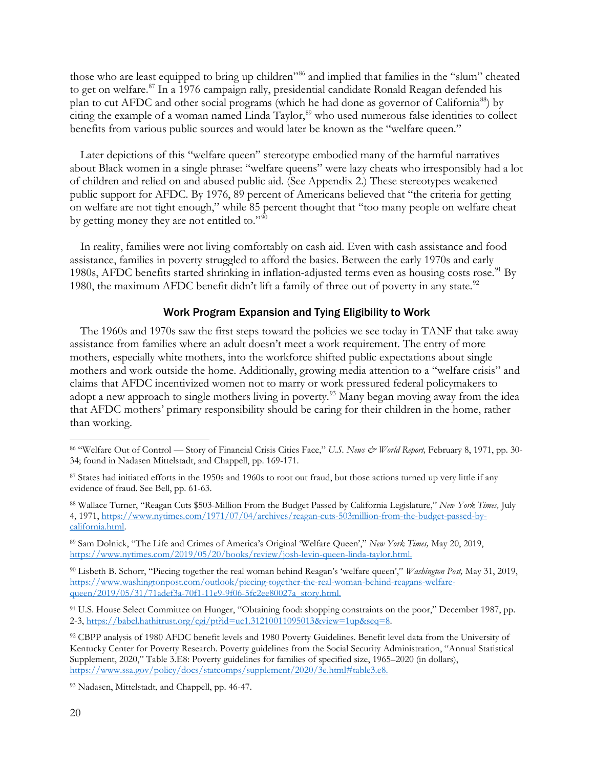those who are least equipped to bring up children"<sup>[86](#page-19-0)</sup> and implied that families in the "slum" cheated to get on welfare.<sup>[87](#page-19-1)</sup> In a 1976 campaign rally, presidential candidate Ronald Reagan defended his plan to cut AFDC and other social programs (which he had done as governor of California<sup>88</sup>) by citing the example of a woman named Linda Taylor, [89](#page-19-3) who used numerous false identities to collect benefits from various public sources and would later be known as the "welfare queen."

Later depictions of this "welfare queen" stereotype embodied many of the harmful narratives about Black women in a single phrase: "welfare queens" were lazy cheats who irresponsibly had a lot of children and relied on and abused public aid. (See Appendix 2.) These stereotypes weakened public support for AFDC. By 1976, 89 percent of Americans believed that "the criteria for getting on welfare are not tight enough," while 85 percent thought that "too many people on welfare cheat by getting money they are not entitled to."[90](#page-19-4)

In reality, families were not living comfortably on cash aid. Even with cash assistance and food assistance, families in poverty struggled to afford the basics. Between the early 1970s and early 1980s, AFDC benefits started shrinking in inflation-adjusted terms even as housing costs rose.<sup>[91](#page-19-5)</sup> By 1980, the maximum AFDC benefit didn't lift a family of three out of poverty in any state.<sup>[92](#page-19-6)</sup>

#### Work Program Expansion and Tying Eligibility to Work

The 1960s and 1970s saw the first steps toward the policies we see today in TANF that take away assistance from families where an adult doesn't meet a work requirement. The entry of more mothers, especially white mothers, into the workforce shifted public expectations about single mothers and work outside the home. Additionally, growing media attention to a "welfare crisis" and claims that AFDC incentivized women not to marry or work pressured federal policymakers to adopt a new approach to single mothers living in poverty.<sup>[93](#page-19-7)</sup> Many began moving away from the idea that AFDC mothers' primary responsibility should be caring for their children in the home, rather than working.

<span id="page-19-2"></span><sup>88</sup> Wallace Turner, "Reagan Cuts \$503-Million From the Budget Passed by California Legislature," *New York Times,* July 4, 1971, [https://www.nytimes.com/1971/07/04/archives/reagan-cuts-503million-from-the-budget-passed-by](https://www.nytimes.com/1971/07/04/archives/reagan-cuts-503million-from-the-budget-passed-by-california.html)[california.html.](https://www.nytimes.com/1971/07/04/archives/reagan-cuts-503million-from-the-budget-passed-by-california.html)

<span id="page-19-3"></span><sup>89</sup> Sam Dolnick, "The Life and Crimes of America's Original 'Welfare Queen'," *New York Times,* May 20, 2019, [https://www.nytimes.com/2019/05/20/books/review/josh-levin-queen-linda-taylor.html.](https://www.nytimes.com/2019/05/20/books/review/josh-levin-queen-linda-taylor.html)

<span id="page-19-4"></span><sup>90</sup> Lisbeth B. Schorr, "Piecing together the real woman behind Reagan's 'welfare queen'," *Washington Post,* May 31, 2019, [https://www.washingtonpost.com/outlook/piecing-together-the-real-woman-behind-reagans-welfare](https://www.washingtonpost.com/outlook/piecing-together-the-real-woman-behind-reagans-welfare-queen/2019/05/31/71adef3a-70f1-11e9-9f06-5fc2ee80027a_story.html)[queen/2019/05/31/71adef3a-70f1-11e9-9f06-5fc2ee80027a\\_story.html.](https://www.washingtonpost.com/outlook/piecing-together-the-real-woman-behind-reagans-welfare-queen/2019/05/31/71adef3a-70f1-11e9-9f06-5fc2ee80027a_story.html)

<span id="page-19-5"></span>91 U.S. House Select Committee on Hunger, "Obtaining food: shopping constraints on the poor," December 1987, pp. 2-3, [https://babel.hathitrust.org/cgi/pt?id=uc1.31210011095013&view=1up&seq=8.](https://babel.hathitrust.org/cgi/pt?id=uc1.31210011095013&view=1up&seq=8)

<span id="page-19-6"></span><sup>92</sup> CBPP analysis of 1980 AFDC benefit levels and 1980 Poverty Guidelines. Benefit level data from the University of Kentucky Center for Poverty Research. Poverty guidelines from the Social Security Administration, "Annual Statistical Supplement, 2020," Table 3.E8: Poverty guidelines for families of specified size, 1965–2020 (in dollars), [https://www.ssa.gov/policy/docs/statcomps/supplement/2020/3e.html#table3.e8.](https://www.ssa.gov/policy/docs/statcomps/supplement/2020/3e.html#table3.e8)

<span id="page-19-7"></span><sup>93</sup> Nadasen, Mittelstadt, and Chappell, pp. 46-47.

<span id="page-19-0"></span><sup>86</sup> "Welfare Out of Control — Story of Financial Crisis Cities Face," *U.S. News & World Report,* February 8, 1971, pp. 30- 34; found in Nadasen Mittelstadt, and Chappell, pp. 169-171.

<span id="page-19-1"></span><sup>87</sup> States had initiated efforts in the 1950s and 1960s to root out fraud, but those actions turned up very little if any evidence of fraud. See Bell, pp. 61-63.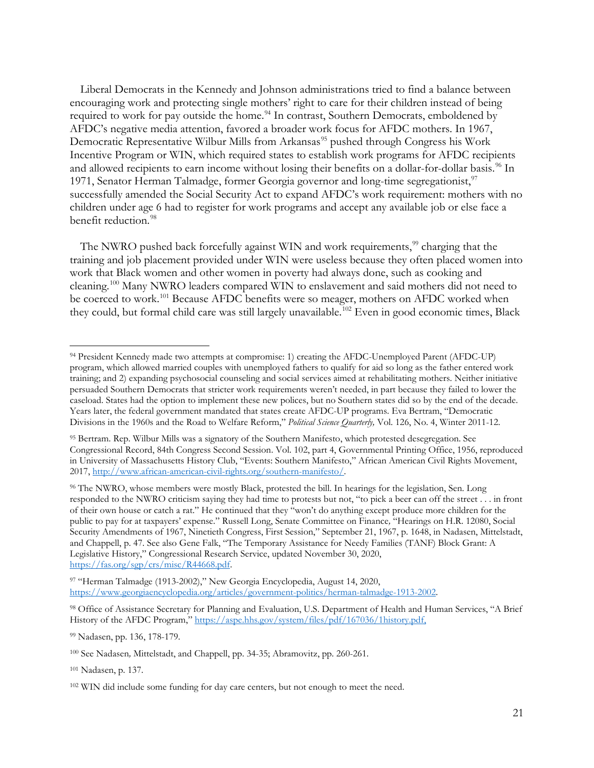Liberal Democrats in the Kennedy and Johnson administrations tried to find a balance between encouraging work and protecting single mothers' right to care for their children instead of being required to work for pay outside the home.<sup>[94](#page-20-0)</sup> In contrast, Southern Democrats, emboldened by AFDC's negative media attention, favored a broader work focus for AFDC mothers. In 1967, Democratic Representative Wilbur Mills from Arkansas<sup>[95](#page-20-1)</sup> pushed through Congress his Work Incentive Program or WIN, which required states to establish work programs for AFDC recipients and allowed recipients to earn income without losing their benefits on a dollar-for-dollar basis.<sup>[96](#page-20-2)</sup> In 1[97](#page-20-3)1, Senator Herman Talmadge, former Georgia governor and long-time segregationist,<sup>97</sup> successfully amended the Social Security Act to expand AFDC's work requirement: mothers with no children under age 6 had to register for work programs and accept any available job or else face a benefit reduction.<sup>[98](#page-20-4)</sup>

The NWRO pushed back forcefully against WIN and work requirements,<sup>[99](#page-20-5)</sup> charging that the training and job placement provided under WIN were useless because they often placed women into work that Black women and other women in poverty had always done, such as cooking and cleaning. [100](#page-20-6) Many NWRO leaders compared WIN to enslavement and said mothers did not need to be coerced to work.<sup>[101](#page-20-7)</sup> Because AFDC benefits were so meager, mothers on AFDC worked when they could, but formal child care was still largely unavailable. [102](#page-20-8) Even in good economic times, Black

<span id="page-20-3"></span>97 "Herman Talmadge (1913-2002)," New Georgia Encyclopedia, August 14, 2020, [https://www.georgiaencyclopedia.org/articles/government-politics/herman-talmadge-1913-2002.](https://www.georgiaencyclopedia.org/articles/government-politics/herman-talmadge-1913-2002)

<span id="page-20-5"></span><sup>99</sup> Nadasen, pp. 136, 178-179.

<span id="page-20-7"></span><sup>101</sup> Nadasen, p. 137.

<span id="page-20-0"></span><sup>94</sup> President Kennedy made two attempts at compromise: 1) creating the AFDC-Unemployed Parent (AFDC-UP) program, which allowed married couples with unemployed fathers to qualify for aid so long as the father entered work training; and 2) expanding psychosocial counseling and social services aimed at rehabilitating mothers. Neither initiative persuaded Southern Democrats that stricter work requirements weren't needed, in part because they failed to lower the caseload. States had the option to implement these new polices, but no Southern states did so by the end of the decade. Years later, the federal government mandated that states create AFDC-UP programs. Eva Bertram, "Democratic Divisions in the 1960s and the Road to Welfare Reform," *Political Science Quarterly,* Vol. 126, No. 4, Winter 2011-12.

<span id="page-20-1"></span><sup>95</sup> Bertram. Rep. Wilbur Mills was a signatory of the Southern Manifesto, which protested desegregation. See Congressional Record, 84th Congress Second Session. Vol. 102, part 4, Governmental Printing Office, 1956, reproduced in University of Massachusetts History Club, "Events: Southern Manifesto," African American Civil Rights Movement, 2017, [http://www.african-american-civil-rights.org/southern-manifesto/.](http://www.african-american-civil-rights.org/southern-manifesto/) 

<span id="page-20-2"></span><sup>96</sup> The NWRO, whose members were mostly Black, protested the bill. In hearings for the legislation, Sen. Long responded to the NWRO criticism saying they had time to protests but not, "to pick a beer can off the street . . . in front of their own house or catch a rat." He continued that they "won't do anything except produce more children for the public to pay for at taxpayers' expense." Russell Long, Senate Committee on Finance*,* "Hearings on H.R. 12080, Social Security Amendments of 1967, Ninetieth Congress, First Session," September 21, 1967, p. 1648, in Nadasen, Mittelstadt, and Chappell, p. 47. See also Gene Falk, "The Temporary Assistance for Needy Families (TANF) Block Grant: A Legislative History," Congressional Research Service, updated November 30, 2020, [https://fas.org/sgp/crs/misc/R44668.pdf.](https://fas.org/sgp/crs/misc/R44668.pdf)

<span id="page-20-4"></span><sup>98</sup> Office of Assistance Secretary for Planning and Evaluation, U.S. Department of Health and Human Services, "A Brief History of the AFDC Program," [https://aspe.hhs.gov/system/files/pdf/167036/1history.pdf,](https://aspe.hhs.gov/system/files/pdf/167036/1history.pdf)

<span id="page-20-6"></span><sup>100</sup> See Nadasen*,* Mittelstadt, and Chappell, pp. 34-35; Abramovitz, pp. 260-261.

<span id="page-20-8"></span><sup>&</sup>lt;sup>102</sup> WIN did include some funding for day care centers, but not enough to meet the need.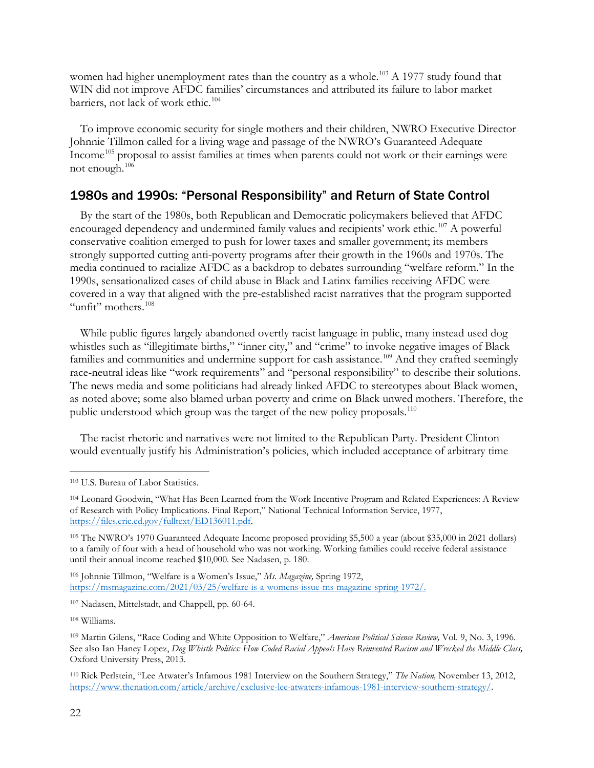women had higher unemployment rates than the country as a whole.<sup>[103](#page-21-0)</sup> A 1977 study found that WIN did not improve AFDC families' circumstances and attributed its failure to labor market barriers, not lack of work ethic.<sup>[104](#page-21-1)</sup>

To improve economic security for single mothers and their children, NWRO Executive Director Johnnie Tillmon called for a living wage and passage of the NWRO's Guaranteed Adequate Income<sup>[105](#page-21-2)</sup> proposal to assist families at times when parents could not work or their earnings were not enough. [106](#page-21-3)

## 1980s and 1990s: "Personal Responsibility" and Return of State Control

By the start of the 1980s, both Republican and Democratic policymakers believed that AFDC encouraged dependency and undermined family values and recipients' work ethic.<sup>[107](#page-21-4)</sup> A powerful conservative coalition emerged to push for lower taxes and smaller government; its members strongly supported cutting anti-poverty programs after their growth in the 1960s and 1970s. The media continued to racialize AFDC as a backdrop to debates surrounding "welfare reform." In the 1990s, sensationalized cases of child abuse in Black and Latinx families receiving AFDC were covered in a way that aligned with the pre-established racist narratives that the program supported "unfit" mothers.<sup>[108](#page-21-5)</sup>

While public figures largely abandoned overtly racist language in public, many instead used dog whistles such as "illegitimate births," "inner city," and "crime" to invoke negative images of Black families and communities and undermine support for cash assistance.<sup>[109](#page-21-6)</sup> And they crafted seemingly race-neutral ideas like "work requirements" and "personal responsibility" to describe their solutions. The news media and some politicians had already linked AFDC to stereotypes about Black women, as noted above; some also blamed urban poverty and crime on Black unwed mothers. Therefore, the public understood which group was the target of the new policy proposals.<sup>[110](#page-21-7)</sup>

The racist rhetoric and narratives were not limited to the Republican Party. President Clinton would eventually justify his Administration's policies, which included acceptance of arbitrary time

<span id="page-21-3"></span><sup>106</sup> Johnnie Tillmon, "Welfare is a Women's Issue," *Ms. Magazine,* Spring 1972, [https://msmagazine.com/2021/03/25/welfare-is-a-womens-issue-ms-magazine-spring-1972/.](https://msmagazine.com/2021/03/25/welfare-is-a-womens-issue-ms-magazine-spring-1972/)

<span id="page-21-4"></span><sup>107</sup> Nadasen, Mittelstadt, and Chappell, pp. 60-64.

<span id="page-21-5"></span><sup>108</sup> Williams.

<span id="page-21-0"></span><sup>103</sup> U.S. Bureau of Labor Statistics.

<span id="page-21-1"></span><sup>104</sup> Leonard Goodwin, "What Has Been Learned from the Work Incentive Program and Related Experiences: A Review of Research with Policy Implications. Final Report," National Technical Information Service, 1977, [https://files.eric.ed.gov/fulltext/ED136011.pdf.](https://files.eric.ed.gov/fulltext/ED136011.pdf)

<span id="page-21-2"></span><sup>105</sup> The NWRO's 1970 Guaranteed Adequate Income proposed providing \$5,500 a year (about \$35,000 in 2021 dollars) to a family of four with a head of household who was not working. Working families could receive federal assistance until their annual income reached \$10,000. See Nadasen, p. 180.

<span id="page-21-6"></span><sup>109</sup> Martin Gilens, "Race Coding and White Opposition to Welfare," *American Political Science Review,* Vol. 9, No. 3, 1996. See also Ian Haney Lopez, *Dog Whistle Politics: How Coded Racial Appeals Have Reinvented Racism and Wrecked the Middle Class,*  Oxford University Press, 2013.

<span id="page-21-7"></span><sup>110</sup> Rick Perlstein, "Lee Atwater's Infamous 1981 Interview on the Southern Strategy," *The Nation,* November 13, 2012, [https://www.thenation.com/article/archive/exclusive-lee-atwaters-infamous-1981-interview-southern-strategy/.](https://www.thenation.com/article/archive/exclusive-lee-atwaters-infamous-1981-interview-southern-strategy/)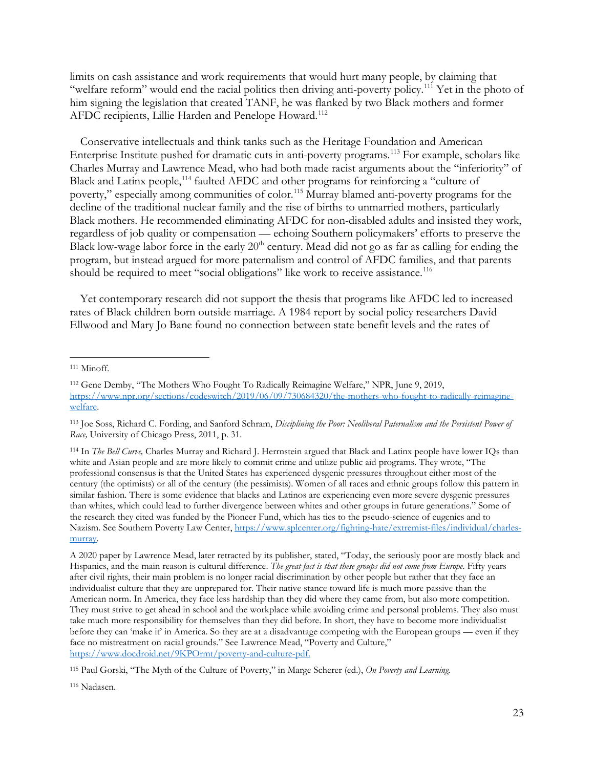limits on cash assistance and work requirements that would hurt many people, by claiming that "welfare reform" would end the racial politics then driving anti-poverty policy.[111](#page-22-0) Yet in the photo of him signing the legislation that created TANF, he was flanked by two Black mothers and former AFDC recipients, Lillie Harden and Penelope Howard.<sup>[112](#page-22-1)</sup>

Conservative intellectuals and think tanks such as the Heritage Foundation and American Enterprise Institute pushed for dramatic cuts in anti-poverty programs. [113](#page-22-2) For example, scholars like Charles Murray and Lawrence Mead, who had both made racist arguments about the "inferiority" of Black and Latinx people,<sup>[114](#page-22-3)</sup> faulted AFDC and other programs for reinforcing a "culture of poverty," especially among communities of color.<sup>[115](#page-22-4)</sup> Murray blamed anti-poverty programs for the decline of the traditional nuclear family and the rise of births to unmarried mothers, particularly Black mothers. He recommended eliminating AFDC for non-disabled adults and insisted they work, regardless of job quality or compensation — echoing Southern policymakers' efforts to preserve the Black low-wage labor force in the early  $20<sup>th</sup>$  century. Mead did not go as far as calling for ending the program, but instead argued for more paternalism and control of AFDC families, and that parents should be required to meet "social obligations" like work to receive assistance.<sup>[116](#page-22-5)</sup>

Yet contemporary research did not support the thesis that programs like AFDC led to increased rates of Black children born outside marriage. A 1984 report by social policy researchers David Ellwood and Mary Jo Bane found no connection between state benefit levels and the rates of

<span id="page-22-0"></span><sup>111</sup> Minoff*.* 

<span id="page-22-1"></span><sup>112</sup> Gene Demby, "The Mothers Who Fought To Radically Reimagine Welfare," NPR, June 9, 2019, [https://www.npr.org/sections/codeswitch/2019/06/09/730684320/the-mothers-who-fought-to-radically-reimagine](https://www.npr.org/sections/codeswitch/2019/06/09/730684320/the-mothers-who-fought-to-radically-reimagine-welfare)[welfare.](https://www.npr.org/sections/codeswitch/2019/06/09/730684320/the-mothers-who-fought-to-radically-reimagine-welfare)

<span id="page-22-2"></span><sup>113</sup> Joe Soss, Richard C. Fording, and Sanford Schram, *Disciplining the Poor: Neoliberal Paternalism and the Persistent Power of Race,* University of Chicago Press, 2011, p. 31.

<span id="page-22-3"></span><sup>114</sup> In *The Bell Curve,* Charles Murray and Richard J. Herrnstein argued that Black and Latinx people have lower IQs than white and Asian people and are more likely to commit crime and utilize public aid programs. They wrote, "The professional consensus is that the United States has experienced dysgenic pressures throughout either most of the century (the optimists) or all of the century (the pessimists). Women of all races and ethnic groups follow this pattern in similar fashion. There is some evidence that blacks and Latinos are experiencing even more severe dysgenic pressures than whites, which could lead to further divergence between whites and other groups in future generations." Some of the research they cited was funded by the Pioneer Fund, which has ties to the pseudo-science of eugenics and to Nazism. See Southern Poverty Law Center, [https://www.splcenter.org/fighting-hate/extremist-files/individual/charles](https://www.splcenter.org/fighting-hate/extremist-files/individual/charles-murray)[murray.](https://www.splcenter.org/fighting-hate/extremist-files/individual/charles-murray) 

A 2020 paper by Lawrence Mead, later retracted by its publisher, stated, "Today, the seriously poor are mostly black and Hispanics, and the main reason is cultural difference. *The great fact is that these groups did not come from Europe.* Fifty years after civil rights, their main problem is no longer racial discrimination by other people but rather that they face an individualist culture that they are unprepared for. Their native stance toward life is much more passive than the American norm. In America, they face less hardship than they did where they came from, but also more competition. They must strive to get ahead in school and the workplace while avoiding crime and personal problems. They also must take much more responsibility for themselves than they did before. In short, they have to become more individualist before they can 'make it' in America. So they are at a disadvantage competing with the European groups — even if they face no mistreatment on racial grounds." See Lawrence Mead, "Poverty and Culture," [https://www.docdroid.net/9KPOrmt/poverty-and-culture-pdf.](https://www.docdroid.net/9KPOrmt/poverty-and-culture-pdf)

<span id="page-22-4"></span><sup>115</sup> Paul Gorski, "The Myth of the Culture of Poverty," in Marge Scherer (ed.), *On Poverty and Learning.*

<span id="page-22-5"></span><sup>116</sup> Nadasen.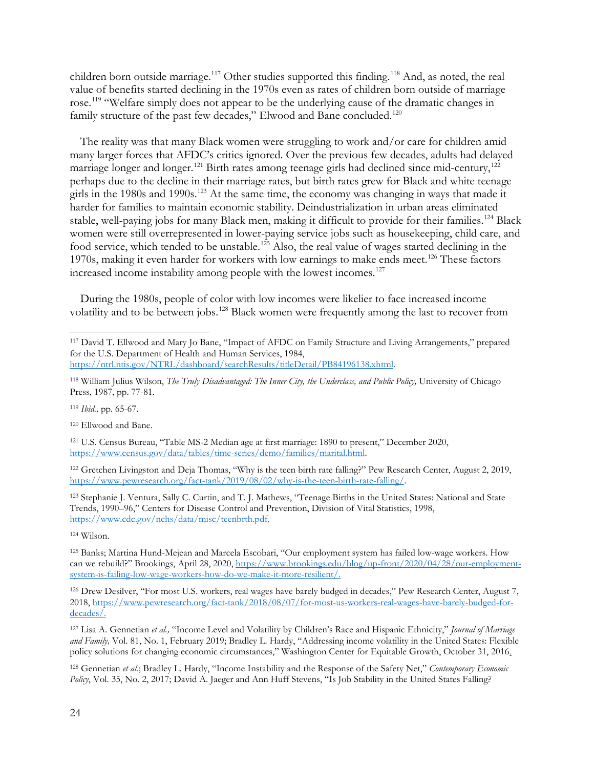children born outside marriage.<sup>[117](#page-23-0)</sup> Other studies supported this finding.<sup>[118](#page-23-1)</sup> And, as noted, the real value of benefits started declining in the 1970s even as rates of children born outside of marriage rose.<sup>[119](#page-23-2)</sup> "Welfare simply does not appear to be the underlying cause of the dramatic changes in family structure of the past few decades," Elwood and Bane concluded.<sup>[120](#page-23-3)</sup>

The reality was that many Black women were struggling to work and/or care for children amid many larger forces that AFDC's critics ignored. Over the previous few decades, adults had delayed marriage longer and longer.<sup>[121](#page-23-4)</sup> Birth rates among teenage girls had declined since mid-century,<sup>[122](#page-23-5)</sup> perhaps due to the decline in their marriage rates, but birth rates grew for Black and white teenage girls in the 1980s and 1990s.<sup>[123](#page-23-6)</sup> At the same time, the economy was changing in ways that made it harder for families to maintain economic stability. Deindustrialization in urban areas eliminated stable, well-paying jobs for many Black men, making it difficult to provide for their families.<sup>[124](#page-23-7)</sup> Black women were still overrepresented in lower-paying service jobs such as housekeeping, child care, and food service, which tended to be unstable.<sup>[125](#page-23-8)</sup> Also, the real value of wages started declining in the 1970s, making it even harder for workers with low earnings to make ends meet.<sup>[126](#page-23-9)</sup> These factors increased income instability among people with the lowest incomes.<sup>[127](#page-23-10)</sup>

During the 1980s, people of color with low incomes were likelier to face increased income volatility and to be between jobs.<sup>[128](#page-23-11)</sup> Black women were frequently among the last to recover from

<span id="page-23-2"></span><sup>119</sup> *Ibid.,* pp. 65-67.

<span id="page-23-3"></span><sup>120</sup> Ellwood and Bane.

<span id="page-23-4"></span><sup>121</sup> U.S. Census Bureau, "Table MS-2 Median age at first marriage: 1890 to present," December 2020, [https://www.census.gov/data/tables/time-series/demo/families/marital.html.](https://www.census.gov/data/tables/time-series/demo/families/marital.html) 

<span id="page-23-5"></span><sup>122</sup> Gretchen Livingston and Deja Thomas, "Why is the teen birth rate falling?" Pew Research Center, August 2, 2019, [https://www.pewresearch.org/fact-tank/2019/08/02/why-is-the-teen-birth-rate-falling/.](https://www.pewresearch.org/fact-tank/2019/08/02/why-is-the-teen-birth-rate-falling/) 

<span id="page-23-6"></span><sup>123</sup> Stephanie J. Ventura, Sally C. Curtin, and T. J. Mathews, "Teenage Births in the United States: National and State Trends, 1990–96," Centers for Disease Control and Prevention, Division of Vital Statistics, 1998, [https://www.cdc.gov/nchs/data/misc/teenbrth.pdf.](https://www.cdc.gov/nchs/data/misc/teenbrth.pdf)

<span id="page-23-7"></span><sup>124</sup> Wilson.

<span id="page-23-8"></span><sup>125</sup> Banks; Martina Hund-Mejean and Marcela Escobari, "Our employment system has failed low-wage workers. How can we rebuild?" Brookings, April 28, 2020, [https://www.brookings.edu/blog/up-front/2020/04/28/our-employment](https://www.brookings.edu/blog/up-front/2020/04/28/our-employment-system-is-failing-low-wage-workers-how-do-we-make-it-more-resilient/)[system-is-failing-low-wage-workers-how-do-we-make-it-more-resilient/.](https://www.brookings.edu/blog/up-front/2020/04/28/our-employment-system-is-failing-low-wage-workers-how-do-we-make-it-more-resilient/)

<span id="page-23-9"></span><sup>126</sup> Drew Desilver, "For most U.S. workers, real wages have barely budged in decades," Pew Research Center, August 7, 2018, [https://www.pewresearch.org/fact-tank/2018/08/07/for-most-us-workers-real-wages-have-barely-budged-for](https://www.pewresearch.org/fact-tank/2018/08/07/for-most-us-workers-real-wages-have-barely-budged-for-decades/)[decades/.](https://www.pewresearch.org/fact-tank/2018/08/07/for-most-us-workers-real-wages-have-barely-budged-for-decades/)

<span id="page-23-10"></span><sup>127</sup> Lisa A. Gennetian *et al.,* "Income Level and Volatility by Children's Race and Hispanic Ethnicity," *Journal of Marriage and Family,* Vol. 81, No. 1, February 2019; Bradley L. Hardy, "Addressing income volatility in the United States: Flexible policy solutions for changing economic circumstances," Washington Center for Equitable Growth, October 31, 2016.

<span id="page-23-11"></span><sup>128</sup> Gennetian *et al.*; Bradley L. Hardy, "Income Instability and the Response of the Safety Net," *Contemporary Economic Policy*, Vol. 35, No. 2, 2017; David A. Jaeger and Ann Huff Stevens, "Is Job Stability in the United States Falling?

<span id="page-23-0"></span><sup>117</sup> David T. Ellwood and Mary Jo Bane, "Impact of AFDC on Family Structure and Living Arrangements," prepared for the U.S. Department of Health and Human Services, 1984,

[https://ntrl.ntis.gov/NTRL/dashboard/searchResults/titleDetail/PB84196138.xhtml.](https://ntrl.ntis.gov/NTRL/dashboard/searchResults/titleDetail/PB84196138.xhtml)

<span id="page-23-1"></span><sup>118</sup> William Julius Wilson, *The Truly Disadvantaged: The Inner City, the Underclass, and Public Policy,* University of Chicago Press, 1987, pp. 77-81.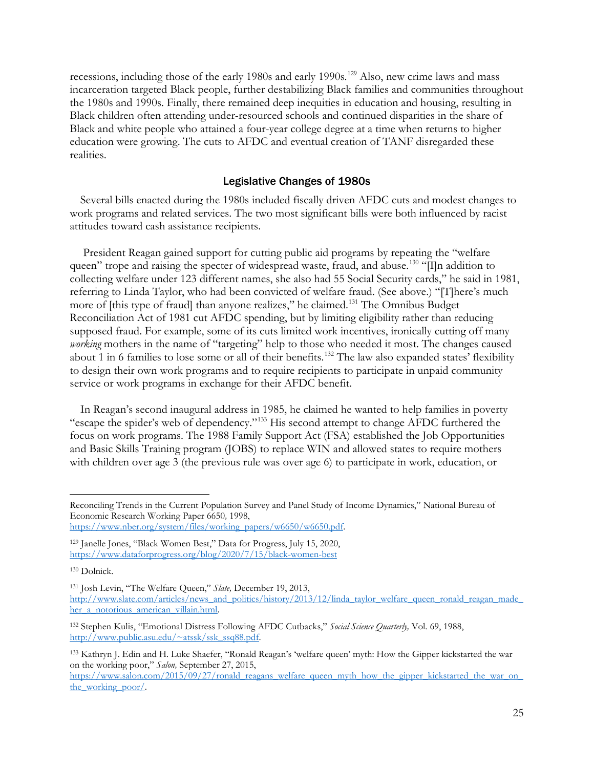recessions, including those of the early 1980s and early 1990s.<sup>[129](#page-24-0)</sup> Also, new crime laws and mass incarceration targeted Black people, further destabilizing Black families and communities throughout the 1980s and 1990s. Finally, there remained deep inequities in education and housing, resulting in Black children often attending under-resourced schools and continued disparities in the share of Black and white people who attained a four-year college degree at a time when returns to higher education were growing. The cuts to AFDC and eventual creation of TANF disregarded these realities.

#### Legislative Changes of 1980s

Several bills enacted during the 1980s included fiscally driven AFDC cuts and modest changes to work programs and related services. The two most significant bills were both influenced by racist attitudes toward cash assistance recipients.

President Reagan gained support for cutting public aid programs by repeating the "welfare queen" trope and raising the specter of widespread waste, fraud, and abuse.<sup>[130](#page-24-1)</sup> "[I]n addition to collecting welfare under 123 different names, she also had 55 Social Security cards," he said in 1981, referring to Linda Taylor, who had been convicted of welfare fraud. (See above.) "[T]here's much more of [this type of fraud] than anyone realizes," he claimed.<sup>[131](#page-24-2)</sup> The Omnibus Budget Reconciliation Act of 1981 cut AFDC spending, but by limiting eligibility rather than reducing supposed fraud. For example, some of its cuts limited work incentives, ironically cutting off many *working* mothers in the name of "targeting" help to those who needed it most. The changes caused about 1 in 6 families to lose some or all of their benefits.<sup>[132](#page-24-3)</sup> The law also expanded states' flexibility to design their own work programs and to require recipients to participate in unpaid community service or work programs in exchange for their AFDC benefit.

In Reagan's second inaugural address in 1985, he claimed he wanted to help families in poverty "escape the spider's web of dependency."[133](#page-24-4) His second attempt to change AFDC furthered the focus on work programs. The 1988 Family Support Act (FSA) established the Job Opportunities and Basic Skills Training program (JOBS) to replace WIN and allowed states to require mothers with children over age 3 (the previous rule was over age 6) to participate in work, education, or

Reconciling Trends in the Current Population Survey and Panel Study of Income Dynamics," National Bureau of Economic Research Working Paper 6650*,* 1998,

[https://www.nber.org/system/files/working\\_papers/w6650/w6650.pdf.](https://www.nber.org/system/files/working_papers/w6650/w6650.pdf)

<span id="page-24-0"></span><sup>129</sup> Janelle Jones, "Black Women Best," Data for Progress, July 15, 2020, <https://www.dataforprogress.org/blog/2020/7/15/black-women-best>

<span id="page-24-1"></span><sup>130</sup> Dolnick.

<span id="page-24-2"></span><sup>131</sup> Josh Levin, "The Welfare Queen," *Slate,* December 19, 2013, [http://www.slate.com/articles/news\\_and\\_politics/history/2013/12/linda\\_taylor\\_welfare\\_queen\\_ronald\\_reagan\\_made\\_](http://www.slate.com/articles/news_and_politics/history/2013/12/linda_taylor_welfare_queen_ronald_reagan_made_her_a_notorious_american_villain.html) her a notorious american villain.html.

<span id="page-24-3"></span><sup>132</sup> Stephen Kulis, "Emotional Distress Following AFDC Cutbacks," *Social Science Quarterly,* Vol. 69, 1988, [http://www.public.asu.edu/~atssk/ssk\\_ssq88.pdf.](http://www.public.asu.edu/%7Eatssk/ssk_ssq88.pdf)

<span id="page-24-4"></span><sup>133</sup> Kathryn J. Edin and H. Luke Shaefer, "Ronald Reagan's 'welfare queen' myth: How the Gipper kickstarted the war on the working poor," *Salon,* September 27, 2015,

[https://www.salon.com/2015/09/27/ronald\\_reagans\\_welfare\\_queen\\_myth\\_how\\_the\\_gipper\\_kickstarted\\_the\\_war\\_on\\_](https://www.salon.com/2015/09/27/ronald_reagans_welfare_queen_myth_how_the_gipper_kickstarted_the_war_on_the_working_poor/) the working poor/.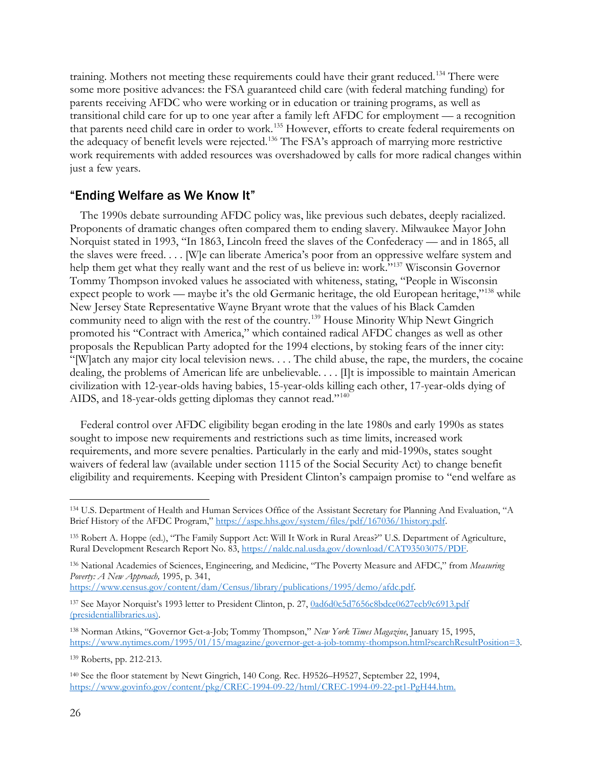training. Mothers not meeting these requirements could have their grant reduced.<sup>[134](#page-25-0)</sup> There were some more positive advances: the FSA guaranteed child care (with federal matching funding) for parents receiving AFDC who were working or in education or training programs, as well as transitional child care for up to one year after a family left AFDC for employment — a recognition that parents need child care in order to work. [135](#page-25-1) However, efforts to create federal requirements on the adequacy of benefit levels were rejected.<sup>[136](#page-25-2)</sup> The FSA's approach of marrying more restrictive work requirements with added resources was overshadowed by calls for more radical changes within just a few years.

## "Ending Welfare as We Know It"

The 1990s debate surrounding AFDC policy was, like previous such debates, deeply racialized. Proponents of dramatic changes often compared them to ending slavery. Milwaukee Mayor John Norquist stated in 1993, "In 1863, Lincoln freed the slaves of the Confederacy — and in 1865, all the slaves were freed. . . . [W]e can liberate America's poor from an oppressive welfare system and help them get what they really want and the rest of us believe in: work."<sup>137</sup> Wisconsin Governor Tommy Thompson invoked values he associated with whiteness, stating, "People in Wisconsin expect people to work — maybe it's the old Germanic heritage, the old European heritage, $v^{138}$  $v^{138}$  $v^{138}$  while New Jersey State Representative Wayne Bryant wrote that the values of his Black Camden community need to align with the rest of the country.[139](#page-25-5) House Minority Whip Newt Gingrich promoted his "Contract with America," which contained radical AFDC changes as well as other proposals the Republican Party adopted for the 1994 elections, by stoking fears of the inner city: "[W]atch any major city local television news. . . . The child abuse, the rape, the murders, the cocaine dealing, the problems of American life are unbelievable. . . . [I]t is impossible to maintain American civilization with 12-year-olds having babies, 15-year-olds killing each other, 17-year-olds dying of AIDS, and 18-year-olds getting diplomas they cannot read."<sup>[140](#page-25-6)</sup>

Federal control over AFDC eligibility began eroding in the late 1980s and early 1990s as states sought to impose new requirements and restrictions such as time limits, increased work requirements, and more severe penalties. Particularly in the early and mid-1990s, states sought waivers of federal law (available under section 1115 of the Social Security Act) to change benefit eligibility and requirements. Keeping with President Clinton's campaign promise to "end welfare as

<span id="page-25-2"></span><sup>136</sup> National Academies of Sciences, Engineering, and Medicine, "The Poverty Measure and AFDC," from *Measuring Poverty: A New Approach,* 1995, p. 341,

[https://www.census.gov/content/dam/Census/library/publications/1995/demo/afdc.pdf.](https://www.census.gov/content/dam/Census/library/publications/1995/demo/afdc.pdf)

<span id="page-25-3"></span>137 See Mayor Norquist's 1993 letter to President Clinton, p. 27, 0ad6d0c5d7656c8bdce0627ecb9c6913.pdf [\(presidentiallibraries.us\).](https://clinton.presidentiallibraries.us/files/original/0ad6d0c5d7656c8bdce0627ecb9c6913.pdf) 

<span id="page-25-4"></span><sup>138</sup> Norman Atkins, "Governor Get-a-Job; Tommy Thompson," *New York Times Magazine*, January 15, 1995, [https://www.nytimes.com/1995/01/15/magazine/governor-get-a-job-tommy-thompson.html?searchResultPosition=3.](https://www.nytimes.com/1995/01/15/magazine/governor-get-a-job-tommy-thompson.html?searchResultPosition=3)

<span id="page-25-5"></span><sup>139</sup> Roberts, pp. 212-213.

<span id="page-25-6"></span><sup>140</sup> See the floor statement by Newt Gingrich, 140 Cong. Rec. H9526–H9527, September 22, 1994, [https://www.govinfo.gov/content/pkg/CREC-1994-09-22/html/CREC-1994-09-22-pt1-PgH44.htm.](https://www.govinfo.gov/content/pkg/CREC-1994-09-22/html/CREC-1994-09-22-pt1-PgH44.htm)

<span id="page-25-0"></span><sup>134</sup> U.S. Department of Health and Human Services Office of the Assistant Secretary for Planning And Evaluation, "A Brief History of the AFDC Program," [https://aspe.hhs.gov/system/files/pdf/167036/1history.pdf.](https://aspe.hhs.gov/system/files/pdf/167036/1history.pdf)

<span id="page-25-1"></span><sup>135</sup> Robert A. Hoppe (ed.), "The Family Support Act: Will It Work in Rural Areas?" U.S. Department of Agriculture, Rural Development Research Report No. 83, [https://naldc.nal.usda.gov/download/CAT93503075/PDF.](https://naldc.nal.usda.gov/download/CAT93503075/PDF)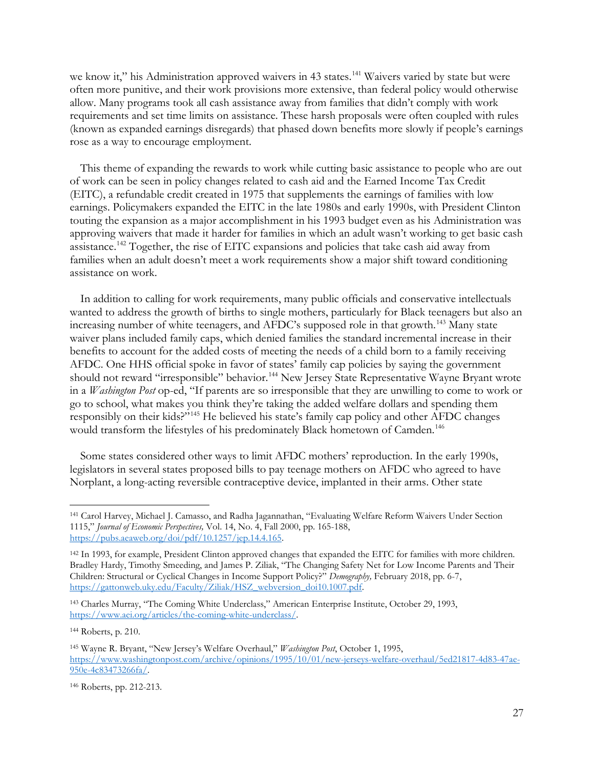we know it," his Administration approved waivers in 43 states.<sup>[141](#page-26-0)</sup> Waivers varied by state but were often more punitive, and their work provisions more extensive, than federal policy would otherwise allow. Many programs took all cash assistance away from families that didn't comply with work requirements and set time limits on assistance. These harsh proposals were often coupled with rules (known as expanded earnings disregards) that phased down benefits more slowly if people's earnings rose as a way to encourage employment.

This theme of expanding the rewards to work while cutting basic assistance to people who are out of work can be seen in policy changes related to cash aid and the Earned Income Tax Credit (EITC), a refundable credit created in 1975 that supplements the earnings of families with low earnings. Policymakers expanded the EITC in the late 1980s and early 1990s, with President Clinton touting the expansion as a major accomplishment in his 1993 budget even as his Administration was approving waivers that made it harder for families in which an adult wasn't working to get basic cash assistance.<sup>[142](#page-26-1)</sup> Together, the rise of EITC expansions and policies that take cash aid away from families when an adult doesn't meet a work requirements show a major shift toward conditioning assistance on work.

In addition to calling for work requirements, many public officials and conservative intellectuals wanted to address the growth of births to single mothers, particularly for Black teenagers but also an increasing number of white teenagers, and AFDC's supposed role in that growth.<sup>[143](#page-26-2)</sup> Many state waiver plans included family caps, which denied families the standard incremental increase in their benefits to account for the added costs of meeting the needs of a child born to a family receiving AFDC. One HHS official spoke in favor of states' family cap policies by saying the government should not reward "irresponsible" behavior.<sup>[144](#page-26-3)</sup> New Jersey State Representative Wayne Bryant wrote in a *Washington Post* op-ed, "If parents are so irresponsible that they are unwilling to come to work or go to school, what makes you think they're taking the added welfare dollars and spending them responsibly on their kids?"[145](#page-26-4) He believed his state's family cap policy and other AFDC changes would transform the lifestyles of his predominately Black hometown of Camden.<sup>[146](#page-26-5)</sup>

Some states considered other ways to limit AFDC mothers' reproduction. In the early 1990s, legislators in several states proposed bills to pay teenage mothers on AFDC who agreed to have Norplant, a long-acting reversible contraceptive device, implanted in their arms. Other state

<span id="page-26-3"></span><sup>144</sup> Roberts, p. 210.

<span id="page-26-0"></span><sup>141</sup> Carol Harvey, Michael J. Camasso, and Radha Jagannathan, "Evaluating Welfare Reform Waivers Under Section 1115," *Journal of Economic Perspectives,* Vol. 14, No. 4, Fall 2000, pp. 165-188, [https://pubs.aeaweb.org/doi/pdf/10.1257/jep.14.4.165.](https://pubs.aeaweb.org/doi/pdf/10.1257/jep.14.4.165) 

<span id="page-26-1"></span><sup>&</sup>lt;sup>142</sup> In 1993, for example, President Clinton approved changes that expanded the EITC for families with more children. Bradley Hardy, Timothy Smeeding, and James P. Ziliak, "The Changing Safety Net for Low Income Parents and Their Children: Structural or Cyclical Changes in Income Support Policy?" *Demography,* February 2018, pp. 6-7, https://gattonweb.uky.edu/Faculty/Ziliak/HSZ\_webversion\_doi10.1007.pdf.

<span id="page-26-2"></span><sup>143</sup> Charles Murray, "The Coming White Underclass," American Enterprise Institute, October 29, 1993, [https://www.aei.org/articles/the-coming-white-underclass/.](https://www.aei.org/articles/the-coming-white-underclass/) 

<span id="page-26-4"></span><sup>145</sup> Wayne R. Bryant, "New Jersey's Welfare Overhaul," *Washington Post*, October 1, 1995, [https://www.washingtonpost.com/archive/opinions/1995/10/01/new-jerseys-welfare-overhaul/5ed21817-4d83-47ae-](https://www.washingtonpost.com/archive/opinions/1995/10/01/new-jerseys-welfare-overhaul/5ed21817-4d83-47ae-950e-4c83473266fa/)[950e-4c83473266fa/.](https://www.washingtonpost.com/archive/opinions/1995/10/01/new-jerseys-welfare-overhaul/5ed21817-4d83-47ae-950e-4c83473266fa/)

<span id="page-26-5"></span><sup>146</sup> Roberts, pp. 212-213.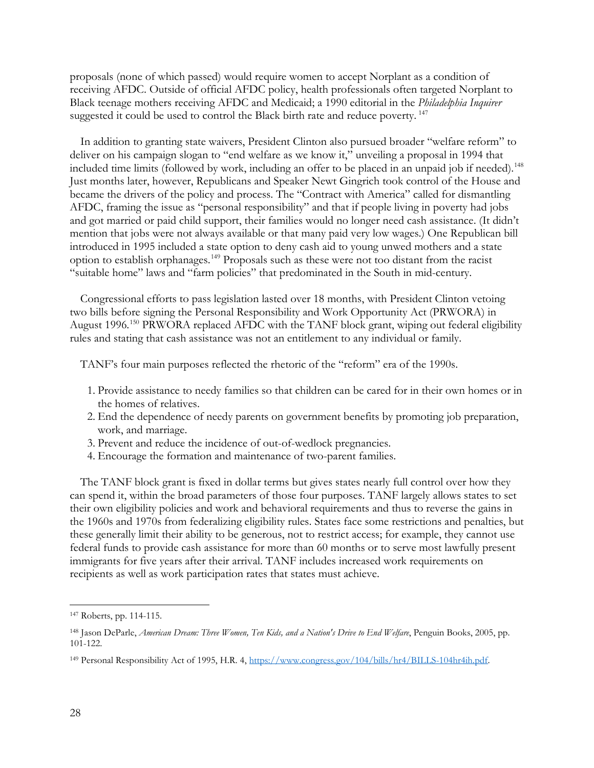proposals (none of which passed) would require women to accept Norplant as a condition of receiving AFDC. Outside of official AFDC policy, health professionals often targeted Norplant to Black teenage mothers receiving AFDC and Medicaid; a 1990 editorial in the *Philadelphia Inquirer*  suggested it could be used to control the Black birth rate and reduce poverty.<sup>[147](#page-27-0)</sup>

In addition to granting state waivers, President Clinton also pursued broader "welfare reform" to deliver on his campaign slogan to "end welfare as we know it," unveiling a proposal in 1994 that included time limits (followed by work, including an offer to be placed in an unpaid job if needed).[148](#page-27-1) Just months later, however, Republicans and Speaker Newt Gingrich took control of the House and became the drivers of the policy and process. The "Contract with America" called for dismantling AFDC, framing the issue as "personal responsibility" and that if people living in poverty had jobs and got married or paid child support, their families would no longer need cash assistance. (It didn't mention that jobs were not always available or that many paid very low wages.) One Republican bill introduced in 1995 included a state option to deny cash aid to young unwed mothers and a state option to establish orphanages.[149](#page-27-2) Proposals such as these were not too distant from the racist "suitable home" laws and "farm policies" that predominated in the South in mid-century.

Congressional efforts to pass legislation lasted over 18 months, with President Clinton vetoing two bills before signing the Personal Responsibility and Work Opportunity Act (PRWORA) in August 1996.<sup>[150](#page-27-3)</sup> PRWORA replaced AFDC with the TANF block grant, wiping out federal eligibility rules and stating that cash assistance was not an entitlement to any individual or family.

TANF's four main purposes reflected the rhetoric of the "reform" era of the 1990s.

- 1. Provide assistance to needy families so that children can be cared for in their own homes or in the homes of relatives.
- 2. End the dependence of needy parents on government benefits by promoting job preparation, work, and marriage.
- 3. Prevent and reduce the incidence of out-of-wedlock pregnancies.
- 4. Encourage the formation and maintenance of two-parent families.

The TANF block grant is fixed in dollar terms but gives states nearly full control over how they can spend it, within the broad parameters of those four purposes. TANF largely allows states to set their own eligibility policies and work and behavioral requirements and thus to reverse the gains in the 1960s and 1970s from federalizing eligibility rules. States face some restrictions and penalties, but these generally limit their ability to be generous, not to restrict access; for example, they cannot use federal funds to provide cash assistance for more than 60 months or to serve most lawfully present immigrants for five years after their arrival. TANF includes increased work requirements on recipients as well as work participation rates that states must achieve.

<span id="page-27-0"></span><sup>147</sup> Roberts, pp. 114-115.

<span id="page-27-1"></span><sup>148</sup> Jason DeParle, *American Dream: Three Women, Ten Kids, and a Nation's Drive to End Welfare*, Penguin Books, 2005, pp. 101-122.

<span id="page-27-3"></span><span id="page-27-2"></span><sup>149</sup> Personal Responsibility Act of 1995, H.R. 4, [https://www.congress.gov/104/bills/hr4/BILLS-104hr4ih.pdf.](https://www.congress.gov/104/bills/hr4/BILLS-104hr4ih.pdf)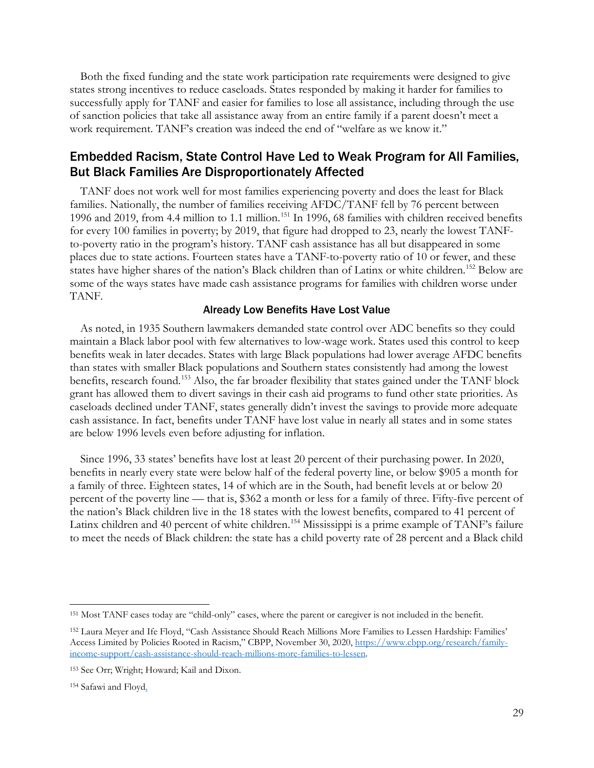Both the fixed funding and the state work participation rate requirements were designed to give states strong incentives to reduce caseloads. States responded by making it harder for families to successfully apply for TANF and easier for families to lose all assistance, including through the use of sanction policies that take all assistance away from an entire family if a parent doesn't meet a work requirement. TANF's creation was indeed the end of "welfare as we know it."

### Embedded Racism, State Control Have Led to Weak Program for All Families, But Black Families Are Disproportionately Affected

TANF does not work well for most families experiencing poverty and does the least for Black families. Nationally, the number of families receiving AFDC/TANF fell by 76 percent between 1996 and 2019, from 4.4 million to 1.1 million.<sup>[151](#page-28-0)</sup> In 1996, 68 families with children received benefits for every 100 families in poverty; by 2019, that figure had dropped to 23, nearly the lowest TANFto-poverty ratio in the program's history. TANF cash assistance has all but disappeared in some places due to state actions. Fourteen states have a TANF-to-poverty ratio of 10 or fewer, and these states have higher shares of the nation's Black children than of Latinx or white children.<sup>[152](#page-28-1)</sup> Below are some of the ways states have made cash assistance programs for families with children worse under TANF.

#### Already Low Benefits Have Lost Value

As noted, in 1935 Southern lawmakers demanded state control over ADC benefits so they could maintain a Black labor pool with few alternatives to low-wage work. States used this control to keep benefits weak in later decades. States with large Black populations had lower average AFDC benefits than states with smaller Black populations and Southern states consistently had among the lowest benefits, research found.<sup>[153](#page-28-2)</sup> Also, the far broader flexibility that states gained under the TANF block grant has allowed them to divert savings in their cash aid programs to fund other state priorities. As caseloads declined under TANF, states generally didn't invest the savings to provide more adequate cash assistance. In fact, benefits under TANF have lost value in nearly all states and in some states are below 1996 levels even before adjusting for inflation.

Since 1996, 33 states' benefits have lost at least 20 percent of their purchasing power. In 2020, benefits in nearly every state were below half of the federal poverty line, or below \$905 a month for a family of three. Eighteen states, 14 of which are in the South, had benefit levels at or below 20 percent of the poverty line — that is, \$362 a month or less for a family of three. Fifty-five percent of the nation's Black children live in the 18 states with the lowest benefits, compared to 41 percent of Latinx children and 40 percent of white children.<sup>[154](#page-28-3)</sup> Mississippi is a prime example of TANF's failure to meet the needs of Black children: the state has a child poverty rate of 28 percent and a Black child

<span id="page-28-0"></span><sup>151</sup> Most TANF cases today are "child-only" cases, where the parent or caregiver is not included in the benefit.

<span id="page-28-1"></span><sup>152</sup> Laura Meyer and Ife Floyd, "Cash Assistance Should Reach Millions More Families to Lessen Hardship: Families' Access Limited by Policies Rooted in Racism," CBPP, November 30, 2020, [https://www.cbpp.org/research/family](https://www.cbpp.org/research/family-income-support/cash-assistance-should-reach-millions-more-families-to-lessen)[income-support/cash-assistance-should-reach-millions-more-families-to-lessen.](https://www.cbpp.org/research/family-income-support/cash-assistance-should-reach-millions-more-families-to-lessen)

<span id="page-28-2"></span><sup>153</sup> See Orr; Wright; Howard; Kail and Dixon.

<span id="page-28-3"></span><sup>154</sup> Safawi and Floyd.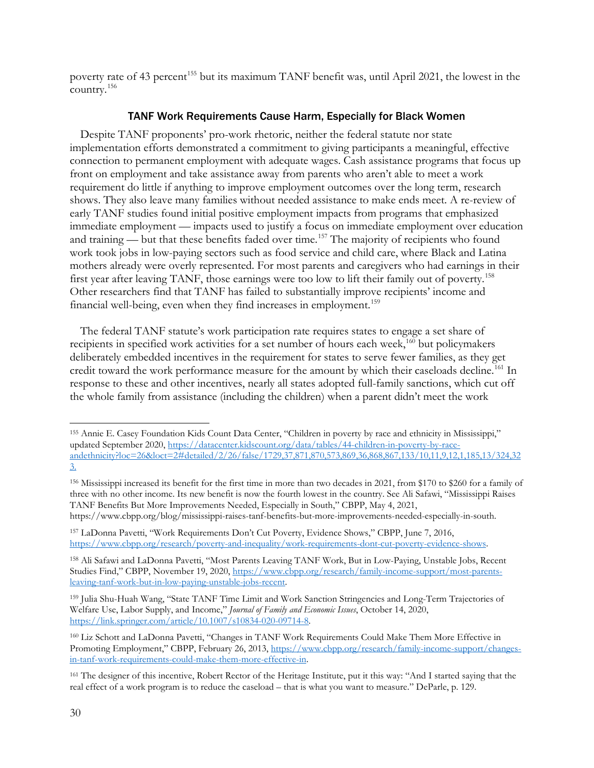poverty rate of 43 percent<sup>[155](#page-29-0)</sup> but its maximum TANF benefit was, until April 2021, the lowest in the country. [156](#page-29-1)

#### TANF Work Requirements Cause Harm, Especially for Black Women

Despite TANF proponents' pro-work rhetoric, neither the federal statute nor state implementation efforts demonstrated a commitment to giving participants a meaningful, effective connection to permanent employment with adequate wages. Cash assistance programs that focus up front on employment and take assistance away from parents who aren't able to meet a work requirement do little if anything to improve employment outcomes over the long term, research shows. They also leave many families without needed assistance to make ends meet. A re-review of early TANF studies found initial positive employment impacts from programs that emphasized immediate employment — impacts used to justify a focus on immediate employment over education and training — but that these benefits faded over time.<sup>[157](#page-29-2)</sup> The majority of recipients who found work took jobs in low-paying sectors such as food service and child care, where Black and Latina mothers already were overly represented. For most parents and caregivers who had earnings in their first year after leaving TANF, those earnings were too low to lift their family out of poverty.[158](#page-29-3) Other researchers find that TANF has failed to substantially improve recipients' income and financial well-being, even when they find increases in employment.<sup>[159](#page-29-4)</sup>

The federal TANF statute's work participation rate requires states to engage a set share of recipients in specified work activities for a set number of hours each week,<sup>[160](#page-29-5)</sup> but policymakers deliberately embedded incentives in the requirement for states to serve fewer families, as they get credit toward the work performance measure for the amount by which their caseloads decline.<sup>[161](#page-29-6)</sup> In response to these and other incentives, nearly all states adopted full-family sanctions, which cut off the whole family from assistance (including the children) when a parent didn't meet the work

<span id="page-29-0"></span><sup>155</sup> Annie E. Casey Foundation Kids Count Data Center, "Children in poverty by race and ethnicity in Mississippi," updated September 2020, [https://datacenter.kidscount.org/data/tables/44-children-in-poverty-by-race](https://datacenter.kidscount.org/data/tables/44-children-in-poverty-by-race-andethnicity?loc=26&loct=2#detailed/2/26/false/1729,37,871,870,573,869,36,868,867,133/10,11,9,12,1,185,13/324,323)[andethnicity?loc=26&loct=2#detailed/2/26/false/1729,37,871,870,573,869,36,868,867,133/10,11,9,12,1,185,13/324,32](https://datacenter.kidscount.org/data/tables/44-children-in-poverty-by-race-andethnicity?loc=26&loct=2#detailed/2/26/false/1729,37,871,870,573,869,36,868,867,133/10,11,9,12,1,185,13/324,323) [3.](https://datacenter.kidscount.org/data/tables/44-children-in-poverty-by-race-andethnicity?loc=26&loct=2#detailed/2/26/false/1729,37,871,870,573,869,36,868,867,133/10,11,9,12,1,185,13/324,323) 

<span id="page-29-1"></span><sup>156</sup> Mississippi increased its benefit for the first time in more than two decades in 2021, from \$170 to \$260 for a family of three with no other income. Its new benefit is now the fourth lowest in the country. See Ali Safawi, "Mississippi Raises TANF Benefits But More Improvements Needed, Especially in South," CBPP, May 4, 2021, https://www.cbpp.org/blog/mississippi-raises-tanf-benefits-but-more-improvements-needed-especially-in-south.

<span id="page-29-2"></span><sup>157</sup> LaDonna Pavetti, "Work Requirements Don't Cut Poverty, Evidence Shows," CBPP, June 7, 2016, [https://www.cbpp.org/research/poverty-and-inequality/work-requirements-dont-cut-poverty-evidence-shows.](https://www.cbpp.org/research/poverty-and-inequality/work-requirements-dont-cut-poverty-evidence-shows)

<span id="page-29-3"></span><sup>158</sup> Ali Safawi and LaDonna Pavetti, "Most Parents Leaving TANF Work, But in Low-Paying, Unstable Jobs, Recent Studies Find," CBPP, November 19, 2020, [https://www.cbpp.org/research/family-income-support/most-parents](https://www.cbpp.org/research/family-income-support/most-parents-leaving-tanf-work-but-in-low-paying-unstable-jobs-recent)[leaving-tanf-work-but-in-low-paying-unstable-jobs-recent.](https://www.cbpp.org/research/family-income-support/most-parents-leaving-tanf-work-but-in-low-paying-unstable-jobs-recent)

<span id="page-29-4"></span><sup>159</sup> Julia Shu-Huah Wang, "State TANF Time Limit and Work Sanction Stringencies and Long-Term Trajectories of Welfare Use, Labor Supply, and Income," *Journal of Family and Economic Issues*, October 14, 2020, [https://link.springer.com/article/10.1007/s10834-020-09714-8.](https://link.springer.com/article/10.1007/s10834-020-09714-8)

<span id="page-29-5"></span><sup>160</sup> Liz Schott and LaDonna Pavetti, "Changes in TANF Work Requirements Could Make Them More Effective in Promoting Employment," CBPP, February 26, 2013, [https://www.cbpp.org/research/family-income-support/changes](https://www.cbpp.org/research/family-income-support/changes-in-tanf-work-requirements-could-make-them-more-effective-in)[in-tanf-work-requirements-could-make-them-more-effective-in.](https://www.cbpp.org/research/family-income-support/changes-in-tanf-work-requirements-could-make-them-more-effective-in)

<span id="page-29-6"></span><sup>161</sup> The designer of this incentive, Robert Rector of the Heritage Institute, put it this way: "And I started saying that the real effect of a work program is to reduce the caseload – that is what you want to measure." DeParle, p. 129.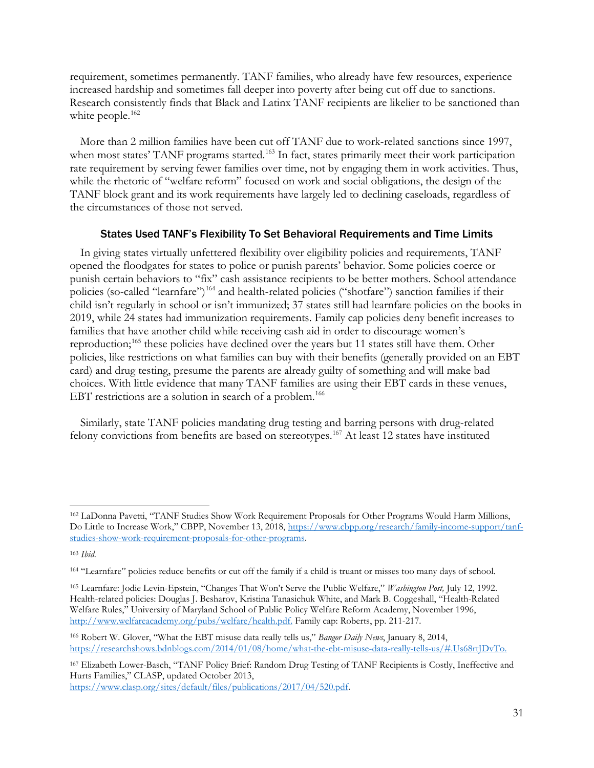requirement, sometimes permanently. TANF families, who already have few resources, experience increased hardship and sometimes fall deeper into poverty after being cut off due to sanctions. Research consistently finds that Black and Latinx TANF recipients are likelier to be sanctioned than white people.<sup>[162](#page-30-0)</sup>

More than 2 million families have been cut off TANF due to work-related sanctions since 1997, when most states' TANF programs started.<sup>[163](#page-30-1)</sup> In fact, states primarily meet their work participation rate requirement by serving fewer families over time, not by engaging them in work activities. Thus, while the rhetoric of "welfare reform" focused on work and social obligations, the design of the TANF block grant and its work requirements have largely led to declining caseloads, regardless of the circumstances of those not served.

#### States Used TANF's Flexibility To Set Behavioral Requirements and Time Limits

In giving states virtually unfettered flexibility over eligibility policies and requirements, TANF opened the floodgates for states to police or punish parents' behavior. Some policies coerce or punish certain behaviors to "fix" cash assistance recipients to be better mothers. School attendance policies (so-called "learnfare") [164](#page-30-2) and health-related policies ("shotfare") sanction families if their child isn't regularly in school or isn't immunized; 37 states still had learnfare policies on the books in 2019, while 24 states had immunization requirements. Family cap policies deny benefit increases to families that have another child while receiving cash aid in order to discourage women's reproduction;<sup>[165](#page-30-3)</sup> these policies have declined over the years but 11 states still have them. Other policies, like restrictions on what families can buy with their benefits (generally provided on an EBT card) and drug testing, presume the parents are already guilty of something and will make bad choices. With little evidence that many TANF families are using their EBT cards in these venues, EBT restrictions are a solution in search of a problem.<sup>166</sup>

Similarly, state TANF policies mandating drug testing and barring persons with drug-related felony convictions from benefits are based on stereotypes.<sup>[167](#page-30-5)</sup> At least 12 states have instituted

<span id="page-30-0"></span><sup>162</sup> LaDonna Pavetti, "TANF Studies Show Work Requirement Proposals for Other Programs Would Harm Millions, Do Little to Increase Work," CBPP, November 13, 2018, [https://www.cbpp.org/research/family-income-support/tanf](https://www.cbpp.org/research/family-income-support/tanf-studies-show-work-requirement-proposals-for-other-programs)[studies-show-work-requirement-proposals-for-other-programs.](https://www.cbpp.org/research/family-income-support/tanf-studies-show-work-requirement-proposals-for-other-programs)

<span id="page-30-1"></span><sup>163</sup> *Ibid.*

<span id="page-30-2"></span><sup>164</sup> "Learnfare" policies reduce benefits or cut off the family if a child is truant or misses too many days of school.

<span id="page-30-3"></span><sup>165</sup> Learnfare: Jodie Levin-Epstein, "Changes That Won't Serve the Public Welfare," *Washington Post,* July 12, 1992. Health-related policies: Douglas J. Besharov, Kristina Tanasichuk White, and Mark B. Coggeshall, "Health-Related Welfare Rules," University of Maryland School of Public Policy Welfare Reform Academy, November 1996, [http://www.welfareacademy.org/pubs/welfare/health.pdf.](http://www.welfareacademy.org/pubs/welfare/health.pdf) Family cap: Roberts, pp. 211-217.

<span id="page-30-4"></span><sup>166</sup> Robert W. Glover, "What the EBT misuse data really tells us," *Bangor Daily News*, January 8, 2014, [https://researchshows.bdnblogs.com/2014/01/08/home/what-the-ebt-misuse-data-really-tells-us/#.Us68rtJDvTo.](https://researchshows.bdnblogs.com/2014/01/08/home/what-the-ebt-misuse-data-really-tells-us/#.Us68rtJDvTo)

<span id="page-30-5"></span><sup>167</sup> Elizabeth Lower-Basch, "TANF Policy Brief: Random Drug Testing of TANF Recipients is Costly, Ineffective and Hurts Families," CLASP, updated October 2013,

[https://www.clasp.org/sites/default/files/publications/2017/04/520.pdf.](https://www.clasp.org/sites/default/files/publications/2017/04/520.pdf)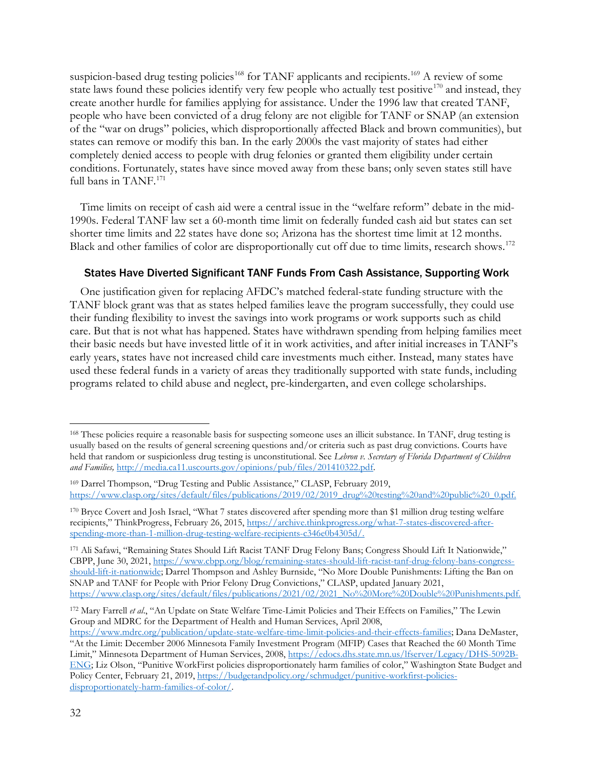suspicion-based drug testing policies<sup>[168](#page-31-0)</sup> for TANF applicants and recipients.<sup>[169](#page-31-1)</sup> A review of some state laws found these policies identify very few people who actually test positive<sup>[170](#page-31-2)</sup> and instead, they create another hurdle for families applying for assistance. Under the 1996 law that created TANF, people who have been convicted of a drug felony are not eligible for TANF or SNAP (an extension of the "war on drugs" policies, which disproportionally affected Black and brown communities), but states can remove or modify this ban. In the early 2000s the vast majority of states had either completely denied access to people with drug felonies or granted them eligibility under certain conditions. Fortunately, states have since moved away from these bans; only seven states still have full bans in TANF.<sup>[171](#page-31-3)</sup>

Time limits on receipt of cash aid were a central issue in the "welfare reform" debate in the mid-1990s. Federal TANF law set a 60-month time limit on federally funded cash aid but states can set shorter time limits and 22 states have done so; Arizona has the shortest time limit at 12 months. Black and other families of color are disproportionally cut off due to time limits, research shows.<sup>[172](#page-31-4)</sup>

#### States Have Diverted Significant TANF Funds From Cash Assistance, Supporting Work

One justification given for replacing AFDC's matched federal-state funding structure with the TANF block grant was that as states helped families leave the program successfully, they could use their funding flexibility to invest the savings into work programs or work supports such as child care. But that is not what has happened. States have withdrawn spending from helping families meet their basic needs but have invested little of it in work activities, and after initial increases in TANF's early years, states have not increased child care investments much either. Instead, many states have used these federal funds in a variety of areas they traditionally supported with state funds, including programs related to child abuse and neglect, pre-kindergarten, and even college scholarships.

<span id="page-31-0"></span><sup>&</sup>lt;sup>168</sup> These policies require a reasonable basis for suspecting someone uses an illicit substance. In TANF, drug testing is usually based on the results of general screening questions and/or criteria such as past drug convictions. Courts have held that random or suspicionless drug testing is unconstitutional. See *Lebron v. Secretary of Florida Department of Children and Families,* [http://media.ca11.uscourts.gov/opinions/pub/files/201410322.pdf.](http://media.ca11.uscourts.gov/opinions/pub/files/201410322.pdf)

<span id="page-31-1"></span><sup>169</sup> Darrel Thompson, "Drug Testing and Public Assistance," CLASP, February 2019, [https://www.clasp.org/sites/default/files/publications/2019/02/2019\\_drug%20testing%20and%20public%20\\_0.pdf.](https://www.clasp.org/sites/default/files/publications/2019/02/2019_drug%20testing%20and%20public%20_0.pdf)

<span id="page-31-2"></span><sup>170</sup> Bryce Covert and Josh Israel, "What 7 states discovered after spending more than \$1 million drug testing welfare recipients," ThinkProgress, February 26, 2015, [https://archive.thinkprogress.org/what-7-states-discovered-after](https://archive.thinkprogress.org/what-7-states-discovered-after-spending-more-than-1-million-drug-testing-welfare-recipients-c346e0b4305d/)[spending-more-than-1-million-drug-testing-welfare-recipients-c346e0b4305d/.](https://archive.thinkprogress.org/what-7-states-discovered-after-spending-more-than-1-million-drug-testing-welfare-recipients-c346e0b4305d/)

<span id="page-31-3"></span><sup>171</sup> Ali Safawi, "Remaining States Should Lift Racist TANF Drug Felony Bans; Congress Should Lift It Nationwide," CBPP, June 30, 2021, [https://www.cbpp.org/blog/remaining-states-should-lift-racist-tanf-drug-felony-bans-congress](https://www.cbpp.org/blog/remaining-states-should-lift-racist-tanf-drug-felony-bans-congress-should-lift-it-nationwide)[should-lift-it-nationwide;](https://www.cbpp.org/blog/remaining-states-should-lift-racist-tanf-drug-felony-bans-congress-should-lift-it-nationwide) Darrel Thompson and Ashley Burnside, "No More Double Punishments: Lifting the Ban on SNAP and TANF for People with Prior Felony Drug Convictions," CLASP, updated January 2021, [https://www.clasp.org/sites/default/files/publications/2021/02/2021\\_No%20More%20Double%20Punishments.pdf.](https://www.clasp.org/sites/default/files/publications/2021/02/2021_No%20More%20Double%20Punishments.pdf)

<span id="page-31-4"></span><sup>172</sup> Mary Farrell *et al*., "An Update on State Welfare Time-Limit Policies and Their Effects on Families," The Lewin Group and MDRC for the Department of Health and Human Services, April 2008,

[https://www.mdrc.org/publication/update-state-welfare-time-limit-policies-and-their-effects-families;](https://www.mdrc.org/publication/update-state-welfare-time-limit-policies-and-their-effects-families) Dana DeMaster, "At the Limit: December 2006 Minnesota Family Investment Program (MFIP) Cases that Reached the 60 Month Time Limit," Minnesota Department of Human Services, 2008, [https://edocs.dhs.state.mn.us/lfserver/Legacy/DHS-5092B-](https://edocs.dhs.state.mn.us/lfserver/Legacy/DHS-5092B-ENG)[ENG;](https://edocs.dhs.state.mn.us/lfserver/Legacy/DHS-5092B-ENG) Liz Olson, "Punitive WorkFirst policies disproportionately harm families of color," Washington State Budget and Policy Center, February 21, 2019[, https://budgetandpolicy.org/schmudget/punitive-workfirst-policies](https://budgetandpolicy.org/schmudget/punitive-workfirst-policies-disproportionately-harm-families-of-color/)[disproportionately-harm-families-of-color/.](https://budgetandpolicy.org/schmudget/punitive-workfirst-policies-disproportionately-harm-families-of-color/)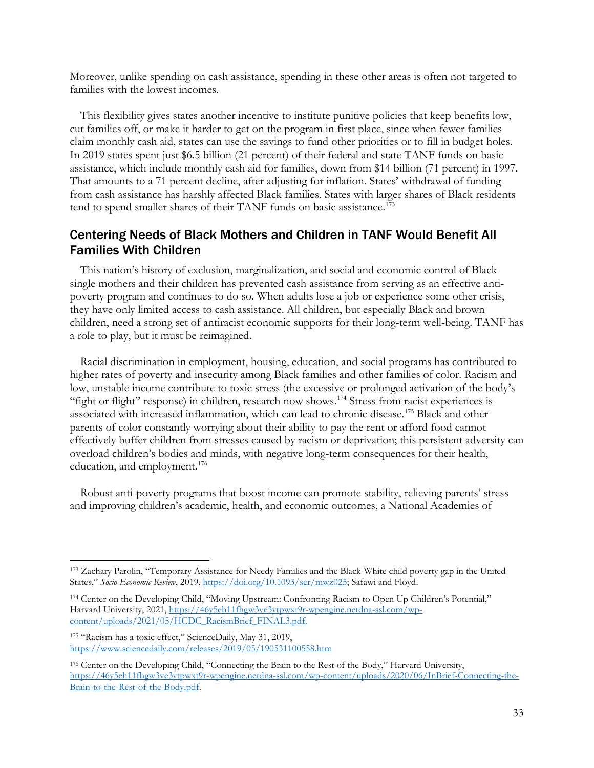Moreover, unlike spending on cash assistance, spending in these other areas is often not targeted to families with the lowest incomes.

This flexibility gives states another incentive to institute punitive policies that keep benefits low, cut families off, or make it harder to get on the program in first place, since when fewer families claim monthly cash aid, states can use the savings to fund other priorities or to fill in budget holes. In 2019 states spent just \$6.5 billion (21 percent) of their federal and state TANF funds on basic assistance, which include monthly cash aid for families, down from \$14 billion (71 percent) in 1997. That amounts to a 71 percent decline, after adjusting for inflation. States' withdrawal of funding from cash assistance has harshly affected Black families. States with larger shares of Black residents tend to spend smaller shares of their TANF funds on basic assistance.<sup>[173](#page-32-0)</sup>

## Centering Needs of Black Mothers and Children in TANF Would Benefit All Families With Children

This nation's history of exclusion, marginalization, and social and economic control of Black single mothers and their children has prevented cash assistance from serving as an effective antipoverty program and continues to do so. When adults lose a job or experience some other crisis, they have only limited access to cash assistance. All children, but especially Black and brown children, need a strong set of antiracist economic supports for their long-term well-being. TANF has a role to play, but it must be reimagined.

Racial discrimination in employment, housing, education, and social programs has contributed to higher rates of poverty and insecurity among Black families and other families of color. Racism and low, unstable income contribute to toxic stress (the excessive or prolonged activation of the body's "fight or flight" response) in children, research now shows.<sup>[174](#page-32-1)</sup> Stress from racist experiences is associated with increased inflammation, which can lead to chronic disease.[175](#page-32-2) Black and other parents of color constantly worrying about their ability to pay the rent or afford food cannot effectively buffer children from stresses caused by racism or deprivation; this persistent adversity can overload children's bodies and minds, with negative long-term consequences for their health, education, and employment.<sup>[176](#page-32-3)</sup>

Robust anti-poverty programs that boost income can promote stability, relieving parents' stress and improving children's academic, health, and economic outcomes, a National Academies of

<span id="page-32-0"></span><sup>173</sup> Zachary Parolin, "Temporary Assistance for Needy Families and the Black-White child poverty gap in the United States," Socio-Economic Review, 2019, [https://doi.org/10.1093/ser/mwz025;](https://doi.org/10.1093/ser/mwz025) Safawi and Floyd.

<span id="page-32-1"></span><sup>174</sup> Center on the Developing Child, "Moving Upstream: Confronting Racism to Open Up Children's Potential," Harvard University, 2021, [https://46y5eh11fhgw3ve3ytpwxt9r-wpengine.netdna-ssl.com/wp](https://46y5eh11fhgw3ve3ytpwxt9r-wpengine.netdna-ssl.com/wp-content/uploads/2021/05/HCDC_RacismBrief_FINAL3.pdf)[content/uploads/2021/05/HCDC\\_RacismBrief\\_FINAL3.pdf.](https://46y5eh11fhgw3ve3ytpwxt9r-wpengine.netdna-ssl.com/wp-content/uploads/2021/05/HCDC_RacismBrief_FINAL3.pdf)

<span id="page-32-2"></span><sup>175</sup> "Racism has a toxic effect," ScienceDaily, May 31, 2019, <https://www.sciencedaily.com/releases/2019/05/190531100558.htm>

<span id="page-32-3"></span><sup>176</sup> Center on the Developing Child, "Connecting the Brain to the Rest of the Body," Harvard University, [https://46y5eh11fhgw3ve3ytpwxt9r-wpengine.netdna-ssl.com/wp-content/uploads/2020/06/InBrief-Connecting-the-](https://46y5eh11fhgw3ve3ytpwxt9r-wpengine.netdna-ssl.com/wp-content/uploads/2020/06/InBrief-Connecting-the-Brain-to-the-Rest-of-the-Body.pdf)[Brain-to-the-Rest-of-the-Body.pdf.](https://46y5eh11fhgw3ve3ytpwxt9r-wpengine.netdna-ssl.com/wp-content/uploads/2020/06/InBrief-Connecting-the-Brain-to-the-Rest-of-the-Body.pdf)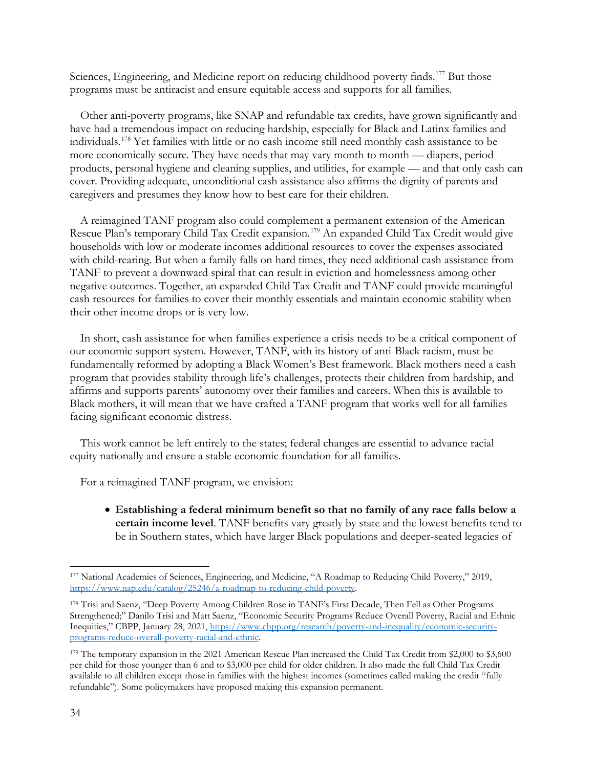Sciences, Engineering, and Medicine report on reducing childhood poverty finds.<sup>[177](#page-33-0)</sup> But those programs must be antiracist and ensure equitable access and supports for all families.

Other anti-poverty programs, like SNAP and refundable tax credits, have grown significantly and have had a tremendous impact on reducing hardship, especially for Black and Latinx families and individuals.[178](#page-33-1) Yet families with little or no cash income still need monthly cash assistance to be more economically secure. They have needs that may vary month to month — diapers, period products, personal hygiene and cleaning supplies, and utilities, for example — and that only cash can cover. Providing adequate, unconditional cash assistance also affirms the dignity of parents and caregivers and presumes they know how to best care for their children.

A reimagined TANF program also could complement a permanent extension of the American Rescue Plan's temporary Child Tax Credit expansion.<sup>[179](#page-33-2)</sup> An expanded Child Tax Credit would give households with low or moderate incomes additional resources to cover the expenses associated with child-rearing. But when a family falls on hard times, they need additional cash assistance from TANF to prevent a downward spiral that can result in eviction and homelessness among other negative outcomes. Together, an expanded Child Tax Credit and TANF could provide meaningful cash resources for families to cover their monthly essentials and maintain economic stability when their other income drops or is very low.

In short, cash assistance for when families experience a crisis needs to be a critical component of our economic support system. However, TANF, with its history of anti-Black racism, must be fundamentally reformed by adopting a Black Women's Best framework. Black mothers need a cash program that provides stability through life's challenges, protects their children from hardship, and affirms and supports parents' autonomy over their families and careers. When this is available to Black mothers, it will mean that we have crafted a TANF program that works well for all families facing significant economic distress.

This work cannot be left entirely to the states; federal changes are essential to advance racial equity nationally and ensure a stable economic foundation for all families.

For a reimagined TANF program, we envision:

• **Establishing a federal minimum benefit so that no family of any race falls below a certain income level**. TANF benefits vary greatly by state and the lowest benefits tend to be in Southern states, which have larger Black populations and deeper-seated legacies of

<span id="page-33-0"></span><sup>177</sup> National Academies of Sciences, Engineering, and Medicine, "A Roadmap to Reducing Child Poverty," 2019, [https://www.nap.edu/catalog/25246/a-roadmap-to-reducing-child-poverty.](https://www.nap.edu/catalog/25246/a-roadmap-to-reducing-child-poverty)

<span id="page-33-1"></span><sup>178</sup> Trisi and Saenz, "Deep Poverty Among Children Rose in TANF's First Decade, Then Fell as Other Programs Strengthened;" Danilo Trisi and Matt Saenz, "Economic Security Programs Reduce Overall Poverty, Racial and Ethnic Inequities," CBPP, January 28, 2021, [https://www.cbpp.org/research/poverty-and-inequality/economic-security](https://www.cbpp.org/research/poverty-and-inequality/economic-security-programs-reduce-overall-poverty-racial-and-ethnic)[programs-reduce-overall-poverty-racial-and-ethnic.](https://www.cbpp.org/research/poverty-and-inequality/economic-security-programs-reduce-overall-poverty-racial-and-ethnic)

<span id="page-33-2"></span><sup>179</sup> The temporary expansion in the 2021 American Rescue Plan increased the Child Tax Credit from \$2,000 to \$3,600 per child for those younger than 6 and to \$3,000 per child for older children. It also made the full Child Tax Credit available to all children except those in families with the highest incomes (sometimes called making the credit "fully refundable"). Some policymakers have proposed making this expansion permanent.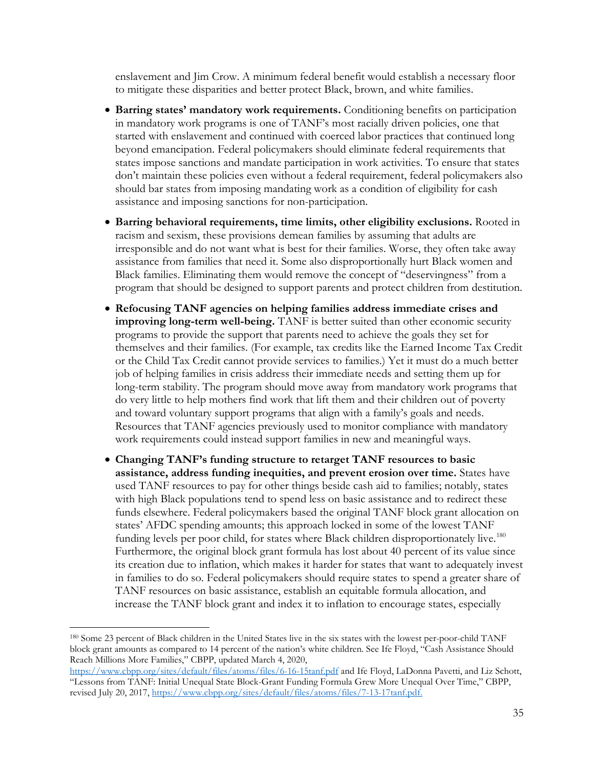enslavement and Jim Crow. A minimum federal benefit would establish a necessary floor to mitigate these disparities and better protect Black, brown, and white families.

- **Barring states' mandatory work requirements.** Conditioning benefits on participation in mandatory work programs is one of TANF's most racially driven policies, one that started with enslavement and continued with coerced labor practices that continued long beyond emancipation. Federal policymakers should eliminate federal requirements that states impose sanctions and mandate participation in work activities. To ensure that states don't maintain these policies even without a federal requirement, federal policymakers also should bar states from imposing mandating work as a condition of eligibility for cash assistance and imposing sanctions for non-participation.
- **Barring behavioral requirements, time limits, other eligibility exclusions.** Rooted in racism and sexism, these provisions demean families by assuming that adults are irresponsible and do not want what is best for their families. Worse, they often take away assistance from families that need it. Some also disproportionally hurt Black women and Black families. Eliminating them would remove the concept of "deservingness" from a program that should be designed to support parents and protect children from destitution.
- **Refocusing TANF agencies on helping families address immediate crises and improving long-term well-being.** TANF is better suited than other economic security programs to provide the support that parents need to achieve the goals they set for themselves and their families. (For example, tax credits like the Earned Income Tax Credit or the Child Tax Credit cannot provide services to families.) Yet it must do a much better job of helping families in crisis address their immediate needs and setting them up for long-term stability. The program should move away from mandatory work programs that do very little to help mothers find work that lift them and their children out of poverty and toward voluntary support programs that align with a family's goals and needs. Resources that TANF agencies previously used to monitor compliance with mandatory work requirements could instead support families in new and meaningful ways.
- **Changing TANF's funding structure to retarget TANF resources to basic assistance, address funding inequities, and prevent erosion over time.** States have used TANF resources to pay for other things beside cash aid to families; notably, states with high Black populations tend to spend less on basic assistance and to redirect these funds elsewhere. Federal policymakers based the original TANF block grant allocation on states' AFDC spending amounts; this approach locked in some of the lowest TANF funding levels per poor child, for states where Black children disproportionately live.<sup>[180](#page-34-0)</sup> Furthermore, the original block grant formula has lost about 40 percent of its value since its creation due to inflation, which makes it harder for states that want to adequately invest in families to do so. Federal policymakers should require states to spend a greater share of TANF resources on basic assistance, establish an equitable formula allocation, and increase the TANF block grant and index it to inflation to encourage states, especially

<span id="page-34-0"></span><sup>180</sup> Some 23 percent of Black children in the United States live in the six states with the lowest per-poor-child TANF block grant amounts as compared to 14 percent of the nation's white children. See Ife Floyd, "Cash Assistance Should Reach Millions More Families," CBPP, updated March 4, 2020,

<https://www.cbpp.org/sites/default/files/atoms/files/6-16-15tanf.pdf> and Ife Floyd, LaDonna Pavetti, and Liz Schott, "Lessons from TANF: Initial Unequal State Block-Grant Funding Formula Grew More Unequal Over Time," CBPP, revised July 20, 2017[, https://www.cbpp.org/sites/default/files/atoms/files/7-13-17tanf.pdf.](https://www.cbpp.org/sites/default/files/atoms/files/7-13-17tanf.pdf)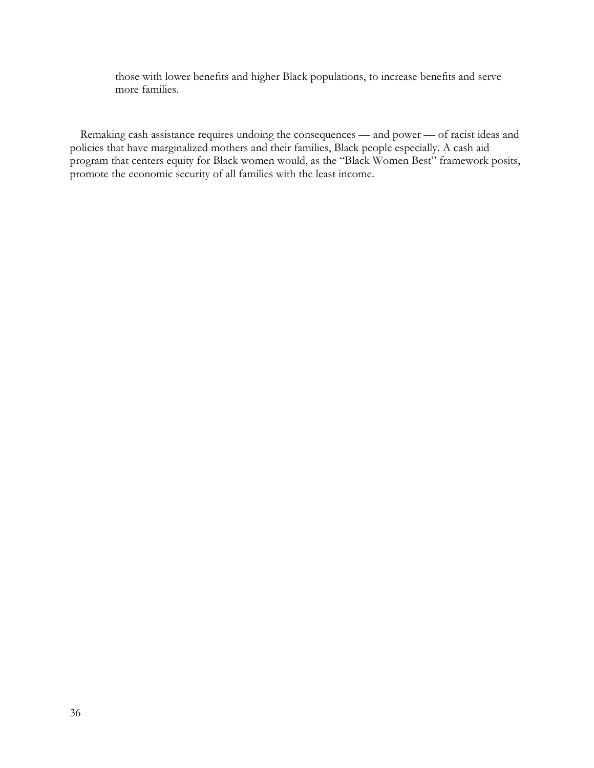those with lower benefits and higher Black populations, to increase benefits and serve more families.

Remaking cash assistance requires undoing the consequences — and power — of racist ideas and policies that have marginalized mothers and their families, Black people especially. A cash aid program that centers equity for Black women would, as the "Black Women Best" framework posits, promote the economic security of all families with the least income.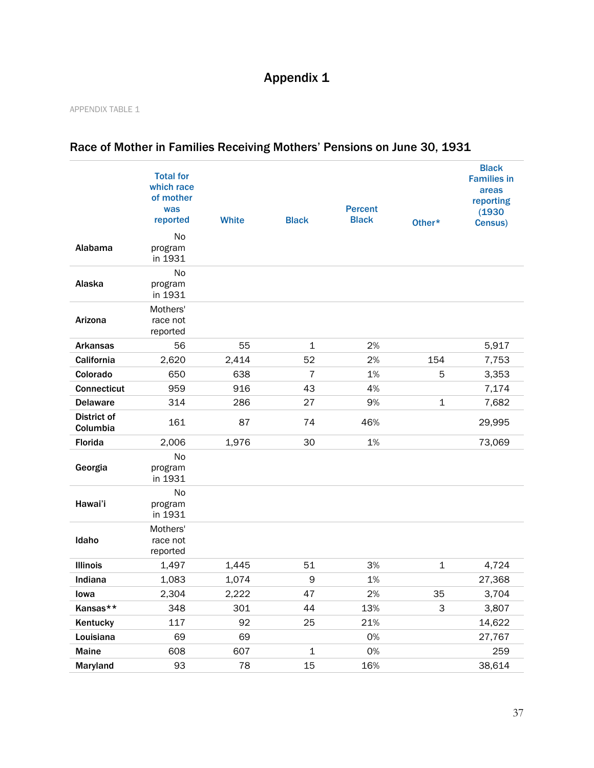# Appendix 1

#### APPENDIX TABLE 1

|                                | <b>Total for</b><br>which race<br>of mother<br>was<br>reported | <b>White</b> | <b>Black</b> | <b>Percent</b><br><b>Black</b> | Other*      | <b>Black</b><br><b>Families in</b><br>areas<br>reporting<br>(1930)<br>Census) |
|--------------------------------|----------------------------------------------------------------|--------------|--------------|--------------------------------|-------------|-------------------------------------------------------------------------------|
| Alabama                        | No<br>program<br>in 1931                                       |              |              |                                |             |                                                                               |
| Alaska                         | No<br>program<br>in 1931                                       |              |              |                                |             |                                                                               |
| Arizona                        | Mothers'<br>race not<br>reported                               |              |              |                                |             |                                                                               |
| <b>Arkansas</b>                | 56                                                             | 55           | $\mathbf 1$  | 2%                             |             | 5,917                                                                         |
| California                     | 2,620                                                          | 2,414        | 52           | 2%                             | 154         | 7,753                                                                         |
| Colorado                       | 650                                                            | 638          | 7            | 1%                             | 5           | 3,353                                                                         |
| <b>Connecticut</b>             | 959                                                            | 916          | 43           | 4%                             |             | 7,174                                                                         |
| <b>Delaware</b>                | 314                                                            | 286          | 27           | 9%                             | $\mathbf 1$ | 7,682                                                                         |
| <b>District of</b><br>Columbia | 161                                                            | 87           | 74           | 46%                            |             | 29,995                                                                        |
| Florida                        | 2,006                                                          | 1,976        | 30           | 1%                             |             | 73,069                                                                        |
| Georgia                        | No<br>program<br>in 1931                                       |              |              |                                |             |                                                                               |
| Hawai'i                        | No<br>program<br>in 1931                                       |              |              |                                |             |                                                                               |
| Idaho                          | Mothers'<br>race not<br>reported                               |              |              |                                |             |                                                                               |
| <b>Illinois</b>                | 1,497                                                          | 1,445        | 51           | 3%                             | $\mathbf 1$ | 4,724                                                                         |
| Indiana                        | 1,083                                                          | 1,074        | 9            | 1%                             |             | 27,368                                                                        |
| lowa                           | 2,304                                                          | 2,222        | 47           | 2%                             | 35          | 3,704                                                                         |
| Kansas**                       | 348                                                            | 301          | 44           | 13%                            | 3           | 3,807                                                                         |
| Kentucky                       | 117                                                            | 92           | 25           | 21%                            |             | 14,622                                                                        |
| Louisiana                      | 69                                                             | 69           |              | 0%                             |             | 27,767                                                                        |
| <b>Maine</b>                   | 608                                                            | 607          | $\mathbf 1$  | 0%                             |             | 259                                                                           |
| Maryland                       | 93                                                             | 78           | 15           | 16%                            |             | 38,614                                                                        |

## Race of Mother in Families Receiving Mothers' Pensions on June 30, 1931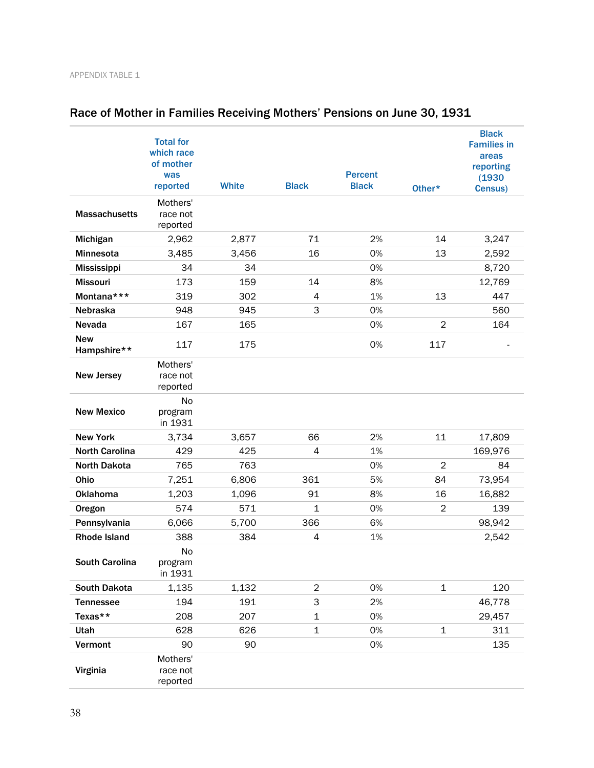|                           | <b>Total for</b><br>which race<br>of mother<br>was<br>reported | <b>White</b> | <b>Black</b>   | <b>Percent</b><br><b>Black</b> | Other*         | <b>Black</b><br><b>Families in</b><br>areas<br>reporting<br>(1930)<br>Census) |
|---------------------------|----------------------------------------------------------------|--------------|----------------|--------------------------------|----------------|-------------------------------------------------------------------------------|
| <b>Massachusetts</b>      | Mothers'<br>race not<br>reported                               |              |                |                                |                |                                                                               |
| Michigan                  | 2,962                                                          | 2,877        | 71             | 2%                             | 14             | 3,247                                                                         |
| <b>Minnesota</b>          | 3,485                                                          | 3,456        | 16             | 0%                             | 13             | 2,592                                                                         |
| <b>Mississippi</b>        | 34                                                             | 34           |                | 0%                             |                | 8,720                                                                         |
| <b>Missouri</b>           | 173                                                            | 159          | 14             | 8%                             |                | 12,769                                                                        |
| Montana***                | 319                                                            | 302          | 4              | 1%                             | 13             | 447                                                                           |
| Nebraska                  | 948                                                            | 945          | 3              | 0%                             |                | 560                                                                           |
| <b>Nevada</b>             | 167                                                            | 165          |                | 0%                             | 2              | 164                                                                           |
| <b>New</b><br>Hampshire** | 117                                                            | 175          |                | 0%                             | 117            |                                                                               |
| <b>New Jersey</b>         | Mothers'<br>race not<br>reported                               |              |                |                                |                |                                                                               |
| <b>New Mexico</b>         | No<br>program<br>in 1931                                       |              |                |                                |                |                                                                               |
| <b>New York</b>           | 3,734                                                          | 3,657        | 66             | 2%                             | 11             | 17,809                                                                        |
| <b>North Carolina</b>     | 429                                                            | 425          | 4              | 1%                             |                | 169,976                                                                       |
| <b>North Dakota</b>       | 765                                                            | 763          |                | 0%                             | $\overline{2}$ | 84                                                                            |
| Ohio                      | 7,251                                                          | 6,806        | 361            | 5%                             | 84             | 73,954                                                                        |
| <b>Oklahoma</b>           | 1,203                                                          | 1,096        | 91             | 8%                             | 16             | 16,882                                                                        |
| Oregon                    | 574                                                            | 571          | $\mathbf 1$    | 0%                             | $\overline{c}$ | 139                                                                           |
| Pennsylvania              | 6,066                                                          | 5,700        | 366            | 6%                             |                | 98,942                                                                        |
| <b>Rhode Island</b>       | 388                                                            | 384          | 4              | 1%                             |                | 2,542                                                                         |
| <b>South Carolina</b>     | No<br>program<br>in 1931                                       |              |                |                                |                |                                                                               |
| <b>South Dakota</b>       | 1,135                                                          | 1,132        | $\overline{2}$ | 0%                             | $\mathbf 1$    | 120                                                                           |
| <b>Tennessee</b>          | 194                                                            | 191          | 3              | 2%                             |                | 46,778                                                                        |
| Texas**                   | 208                                                            | 207          | 1              | 0%                             |                | 29,457                                                                        |
| Utah                      | 628                                                            | 626          | $\mathbf 1$    | 0%                             | 1              | 311                                                                           |
| Vermont                   | 90                                                             | 90           |                | 0%                             |                | 135                                                                           |
| Virginia                  | Mothers'<br>race not<br>reported                               |              |                |                                |                |                                                                               |

# Race of Mother in Families Receiving Mothers' Pensions on June 30, 1931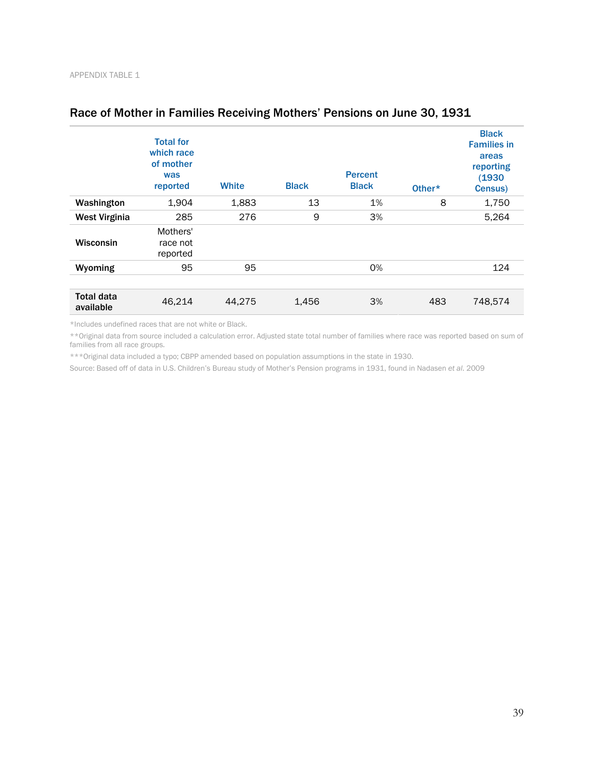|                                | <b>Total for</b><br>which race<br>of mother<br>was<br>reported | <b>White</b> | <b>Black</b> | <b>Percent</b><br><b>Black</b> | Other* | <b>Black</b><br><b>Families in</b><br>areas<br>reporting<br>(1930)<br>Census) |
|--------------------------------|----------------------------------------------------------------|--------------|--------------|--------------------------------|--------|-------------------------------------------------------------------------------|
| Washington                     | 1,904                                                          | 1,883        | 13           | 1%                             | 8      | 1,750                                                                         |
| <b>West Virginia</b>           | 285                                                            | 276          | 9            | 3%                             |        | 5,264                                                                         |
| Wisconsin                      | Mothers'<br>race not<br>reported                               |              |              |                                |        |                                                                               |
| Wyoming                        | 95                                                             | 95           |              | 0%                             |        | 124                                                                           |
|                                |                                                                |              |              |                                |        |                                                                               |
| <b>Total data</b><br>available | 46,214                                                         | 44,275       | 1,456        | 3%                             | 483    | 748,574                                                                       |

## Race of Mother in Families Receiving Mothers' Pensions on June 30, 1931

\*Includes undefined races that are not white or Black.

\*\*Original data from source included a calculation error. Adjusted state total number of families where race was reported based on sum of families from all race groups.

\*\*\*Original data included a typo; CBPP amended based on population assumptions in the state in 1930.

Source: Based off of data in U.S. Children's Bureau study of Mother's Pension programs in 1931, found in Nadasen *et al*. 2009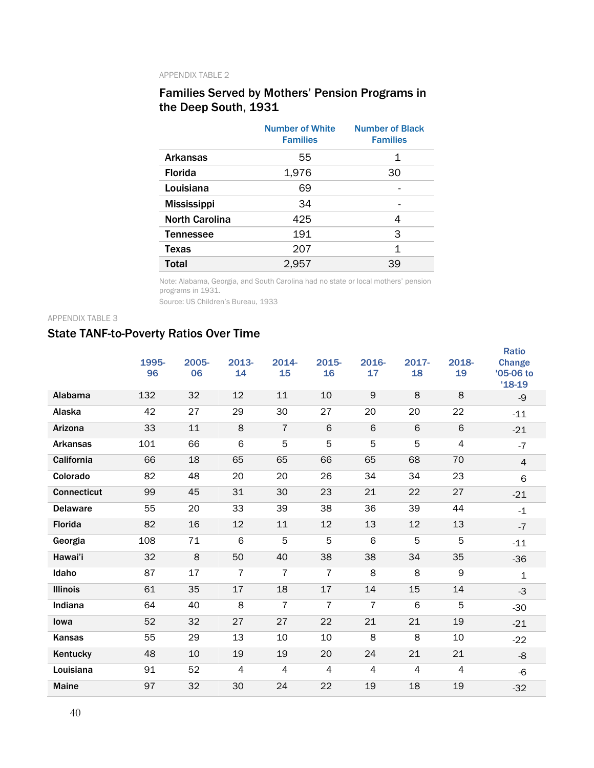#### APPENDIX TABLE 2

## Families Served by Mothers' Pension Programs in the Deep South, 1931

|                       | <b>Number of White</b><br><b>Families</b> | <b>Number of Black</b><br><b>Families</b> |
|-----------------------|-------------------------------------------|-------------------------------------------|
| <b>Arkansas</b>       | 55                                        | 1                                         |
| <b>Florida</b>        | 1,976                                     | 30                                        |
| Louisiana             | 69                                        |                                           |
| <b>Mississippi</b>    | 34                                        |                                           |
| <b>North Carolina</b> | 425                                       | 4                                         |
| <b>Tennessee</b>      | 191                                       | 3                                         |
| <b>Texas</b>          | 207                                       | 1                                         |
| <b>Total</b>          | 2,957                                     | 39                                        |

Note: Alabama, Georgia, and South Carolina had no state or local mothers' pension programs in 1931.

Source: US Children's Bureau, 1933

#### APPENDIX TABLE 3

## State TANF-to-Poverty Ratios Over Time

|                    | 1995-<br>96 | 2005-<br>06 | 2013-<br>14    | 2014-<br>15    | 2015-<br>16    | 2016-<br>17    | $2017 -$<br>18 | 2018-<br>19    | <b>Ratio</b><br><b>Change</b><br>'05-06 to |
|--------------------|-------------|-------------|----------------|----------------|----------------|----------------|----------------|----------------|--------------------------------------------|
|                    |             |             |                |                |                |                |                |                | $'18-19$                                   |
| Alabama            | 132         | 32          | 12             | 11             | 10             | 9              | 8              | 8              | -9                                         |
| Alaska             | 42          | 27          | 29             | 30             | 27             | 20             | 20             | 22             | $-11$                                      |
| Arizona            | 33          | 11          | 8              | $\overline{7}$ | 6              | 6              | 6              | $6\phantom{1}$ | $-21$                                      |
| <b>Arkansas</b>    | 101         | 66          | 6              | 5              | 5              | 5              | 5              | $\overline{4}$ | $-7$                                       |
| California         | 66          | 18          | 65             | 65             | 66             | 65             | 68             | 70             | $\overline{4}$                             |
| Colorado           | 82          | 48          | 20             | 20             | 26             | 34             | 34             | 23             | 6                                          |
| <b>Connecticut</b> | 99          | 45          | 31             | 30             | 23             | 21             | 22             | 27             | $-21$                                      |
| <b>Delaware</b>    | 55          | 20          | 33             | 39             | 38             | 36             | 39             | 44             | $-1$                                       |
| Florida            | 82          | 16          | 12             | 11             | 12             | 13             | 12             | 13             | $-7$                                       |
| Georgia            | 108         | 71          | 6              | 5              | 5              | 6              | 5              | 5              | $-11$                                      |
| Hawai'i            | 32          | 8           | 50             | 40             | 38             | 38             | 34             | 35             | $-36$                                      |
| Idaho              | 87          | 17          | 7              | 7              | $\overline{7}$ | 8              | 8              | 9              | 1                                          |
| <b>Illinois</b>    | 61          | 35          | 17             | 18             | 17             | 14             | 15             | 14             | $-3$                                       |
| Indiana            | 64          | 40          | 8              | $\overline{7}$ | $\overline{7}$ | $\overline{7}$ | 6              | 5              | $-30$                                      |
| lowa               | 52          | 32          | 27             | 27             | 22             | 21             | 21             | 19             | $-21$                                      |
| Kansas             | 55          | 29          | 13             | 10             | 10             | 8              | 8              | 10             | $-22$                                      |
| Kentucky           | 48          | 10          | 19             | 19             | 20             | 24             | 21             | 21             | -8                                         |
| Louisiana          | 91          | 52          | $\overline{4}$ | 4              | $\overline{4}$ | $\overline{4}$ | 4              | 4              | -6                                         |
| <b>Maine</b>       | 97          | 32          | 30             | 24             | 22             | 19             | 18             | 19             | $-32$                                      |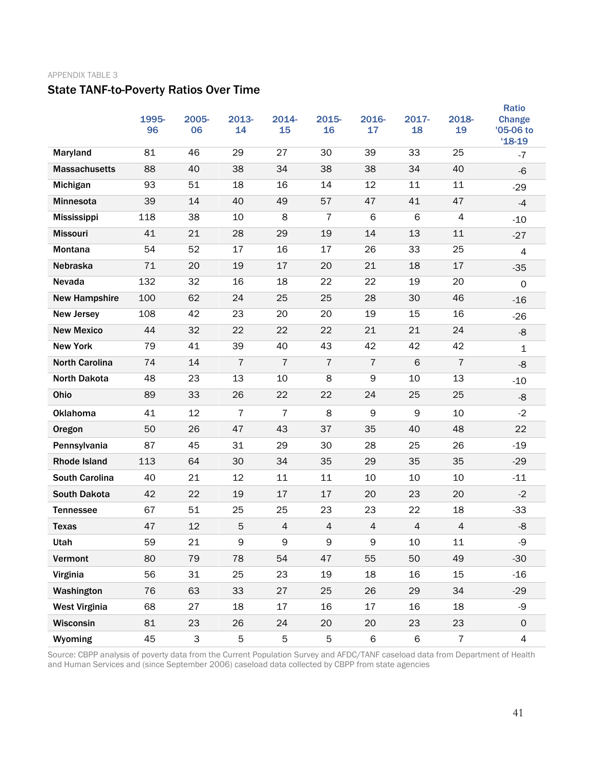#### APPENDIX TABLE 3

## State TANF-to-Poverty Ratios Over Time

|                       | 1995-<br>96 | 2005-<br>06               | 2013-<br>14    | 2014-<br>15    | 2015-<br>16    | 2016-<br>17    | 2017-<br>18 | 2018-<br>19    | Ratio<br><b>Change</b><br>'05-06 to<br>$'18-19$ |
|-----------------------|-------------|---------------------------|----------------|----------------|----------------|----------------|-------------|----------------|-------------------------------------------------|
| Maryland              | 81          | 46                        | 29             | 27             | 30             | 39             | 33          | 25             | $-7$                                            |
| <b>Massachusetts</b>  | 88          | 40                        | 38             | 34             | 38             | 38             | 34          | 40             | $-6$                                            |
| Michigan              | 93          | 51                        | 18             | 16             | 14             | 12             | 11          | 11             | $-29$                                           |
| <b>Minnesota</b>      | 39          | 14                        | 40             | 49             | 57             | 47             | 41          | 47             | $-4$                                            |
| Mississippi           | 118         | 38                        | 10             | 8              | 7              | 6              | 6           | 4              | $-10$                                           |
| <b>Missouri</b>       | 41          | 21                        | 28             | 29             | 19             | 14             | 13          | 11             | $-27$                                           |
| Montana               | 54          | 52                        | 17             | 16             | 17             | 26             | 33          | 25             | 4                                               |
| Nebraska              | 71          | 20                        | 19             | 17             | 20             | 21             | 18          | 17             | $-35$                                           |
| Nevada                | 132         | 32                        | 16             | 18             | 22             | 22             | 19          | 20             | $\mathbf 0$                                     |
| <b>New Hampshire</b>  | 100         | 62                        | 24             | 25             | 25             | 28             | 30          | 46             | $-16$                                           |
| <b>New Jersey</b>     | 108         | 42                        | 23             | 20             | 20             | 19             | 15          | 16             | $-26$                                           |
| <b>New Mexico</b>     | 44          | 32                        | 22             | 22             | 22             | 21             | 21          | 24             | -8                                              |
| <b>New York</b>       | 79          | 41                        | 39             | 40             | 43             | 42             | 42          | 42             | $\mathbf 1$                                     |
| <b>North Carolina</b> | 74          | 14                        | $\overline{7}$ | $\overline{7}$ | $\overline{7}$ | $\overline{7}$ | 6           | $\overline{7}$ | $-8$                                            |
| <b>North Dakota</b>   | 48          | 23                        | 13             | 10             | 8              | 9              | 10          | 13             | $-10$                                           |
| Ohio                  | 89          | 33                        | 26             | 22             | 22             | 24             | 25          | 25             | -8                                              |
| <b>Oklahoma</b>       | 41          | 12                        | $\overline{7}$ | 7              | 8              | 9              | 9           | 10             | $-2$                                            |
| Oregon                | 50          | 26                        | 47             | 43             | 37             | 35             | 40          | 48             | 22                                              |
| Pennsylvania          | 87          | 45                        | 31             | 29             | 30             | 28             | 25          | 26             | $-19$                                           |
| <b>Rhode Island</b>   | 113         | 64                        | 30             | 34             | 35             | 29             | 35          | 35             | $-29$                                           |
| <b>South Carolina</b> | 40          | 21                        | 12             | 11             | 11             | 10             | 10          | 10             | $-11$                                           |
| <b>South Dakota</b>   | 42          | 22                        | 19             | 17             | 17             | 20             | 23          | 20             | $-2$                                            |
| <b>Tennessee</b>      | 67          | 51                        | 25             | 25             | 23             | 23             | 22          | 18             | $-33$                                           |
| <b>Texas</b>          | 47          | 12                        | 5              | $\overline{4}$ | $\overline{4}$ | $\overline{4}$ | 4           | $\overline{4}$ | -8                                              |
| Utah                  | 59          | 21                        | 9              | $\mathsf 9$    | $\mathsf 9$    | $\mathsf 9$    | 10          | 11             | -9                                              |
| Vermont               | 80          | 79                        | 78             | 54             | 47             | 55             | 50          | 49             | $-30$                                           |
| Virginia              | 56          | 31                        | 25             | 23             | 19             | 18             | 16          | 15             | $-16$                                           |
| Washington            | 76          | 63                        | 33             | 27             | 25             | 26             | 29          | 34             | $-29$                                           |
| <b>West Virginia</b>  | 68          | 27                        | 18             | 17             | 16             | 17             | 16          | 18             | -9                                              |
| Wisconsin             | 81          | 23                        | 26             | 24             | 20             | 20             | 23          | 23             | $\mathsf{O}\xspace$                             |
| Wyoming               | 45          | $\ensuremath{\mathsf{3}}$ | 5              | 5              | $\mathbf 5$    | 6              | 6           | $\overline{7}$ | $\overline{4}$                                  |

Source: CBPP analysis of poverty data from the Current Population Survey and AFDC/TANF caseload data from Department of Health and Human Services and (since September 2006) caseload data collected by CBPP from state agencies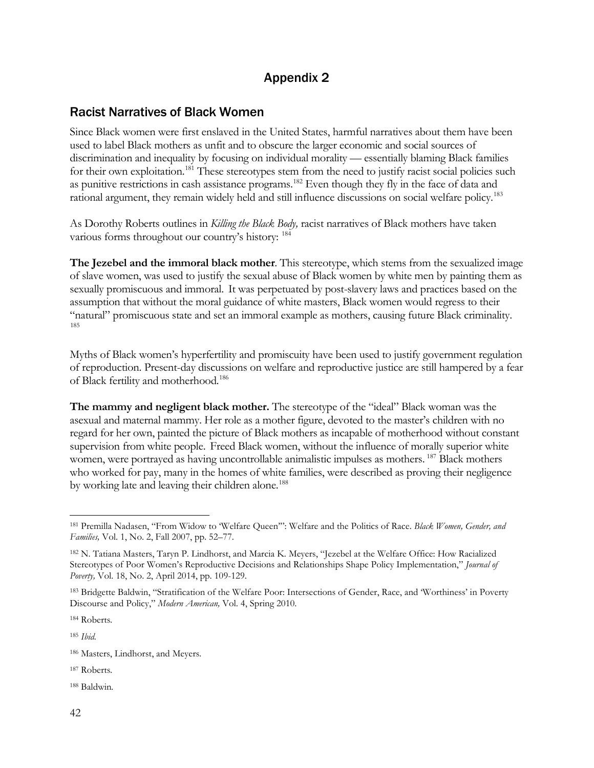## Appendix 2

## Racist Narratives of Black Women

Since Black women were first enslaved in the United States, harmful narratives about them have been used to label Black mothers as unfit and to obscure the larger economic and social sources of discrimination and inequality by focusing on individual morality — essentially blaming Black families for their own exploitation.<sup>[181](#page-41-0)</sup> These stereotypes stem from the need to justify racist social policies such as punitive restrictions in cash assistance programs.<sup>182</sup> Even though they fly in the face of data and rational argument, they remain widely held and still influence discussions on social welfare policy. [183](#page-41-2)

As Dorothy Roberts outlines in *Killing the Black Body,* racist narratives of Black mothers have taken various forms throughout our country's history: [184](#page-41-3)

**The Jezebel and the immoral black mother**. This stereotype, which stems from the sexualized image of slave women, was used to justify the sexual abuse of Black women by white men by painting them as sexually promiscuous and immoral. It was perpetuated by post-slavery laws and practices based on the assumption that without the moral guidance of white masters, Black women would regress to their "natural" promiscuous state and set an immoral example as mothers, causing future Black criminality. [185](#page-41-4)

Myths of Black women's hyperfertility and promiscuity have been used to justify government regulation of reproduction. Present-day discussions on welfare and reproductive justice are still hampered by a fear of Black fertility and motherhood. [186](#page-41-5)

**The mammy and negligent black mother.** The stereotype of the "ideal" Black woman was the asexual and maternal mammy. Her role as a mother figure, devoted to the master's children with no regard for her own, painted the picture of Black mothers as incapable of motherhood without constant supervision from white people. Freed Black women, without the influence of morally superior white women, were portrayed as having uncontrollable animalistic impulses as mothers. <sup>[187](#page-41-6)</sup> Black mothers who worked for pay, many in the homes of white families, were described as proving their negligence by working late and leaving their children alone.<sup>[188](#page-41-7)</sup>

<span id="page-41-3"></span><sup>184</sup> Roberts*.*

<span id="page-41-4"></span><sup>185</sup> *Ibid.* 

<span id="page-41-0"></span><sup>181</sup> Premilla Nadasen, "From Widow to 'Welfare Queen'": Welfare and the Politics of Race. *Black Women, Gender, and Families,* Vol. 1, No. 2, Fall 2007, pp. 52–77.

<span id="page-41-1"></span><sup>182</sup> N. Tatiana Masters, Taryn P. Lindhorst, and Marcia K. Meyers, "Jezebel at the Welfare Office: How Racialized Stereotypes of Poor Women's Reproductive Decisions and Relationships Shape Policy Implementation," *Journal of Poverty,* Vol. 18, No. 2, April 2014, pp. 109-129.

<span id="page-41-2"></span><sup>183</sup> Bridgette Baldwin, "Stratification of the Welfare Poor: Intersections of Gender, Race, and 'Worthiness' in Poverty Discourse and Policy," *Modern American,* Vol. 4, Spring 2010.

<span id="page-41-5"></span><sup>186</sup> Masters, Lindhorst, and Meyers*.*

<span id="page-41-6"></span><sup>187</sup> Roberts*.*

<span id="page-41-7"></span><sup>188</sup> Baldwin*.*